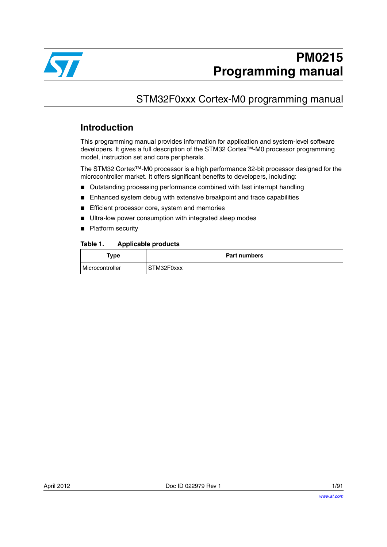

# STM32F0xxx Cortex-M0 programming manual

# **Introduction**

This programming manual provides information for application and system-level software developers. It gives a full description of the STM32 Cortex™-M0 processor programming model, instruction set and core peripherals.

The STM32 Cortex™-M0 processor is a high performance 32-bit processor designed for the microcontroller market. It offers significant benefits to developers, including:

- Outstanding processing performance combined with fast interrupt handling
- Enhanced system debug with extensive breakpoint and trace capabilities
- Efficient processor core, system and memories
- Ultra-low power consumption with integrated sleep modes
- Platform security

#### <span id="page-0-0"></span>Table 1. **Applicable products**

| Type            | <b>Part numbers</b> |
|-----------------|---------------------|
| Microcontroller | STM32F0xxx          |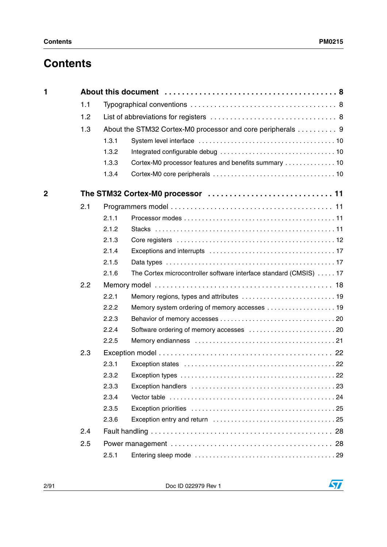# **Contents**

| $\mathbf 1$ |     |       |                                                                    |
|-------------|-----|-------|--------------------------------------------------------------------|
|             | 1.1 |       |                                                                    |
|             | 1.2 |       |                                                                    |
|             | 1.3 |       | About the STM32 Cortex-M0 processor and core peripherals 9         |
|             |     | 1.3.1 |                                                                    |
|             |     | 1.3.2 |                                                                    |
|             |     | 1.3.3 | Cortex-M0 processor features and benefits summary  10              |
|             |     | 1.3.4 |                                                                    |
| $\mathbf 2$ |     |       | The STM32 Cortex-M0 processor  11                                  |
|             | 2.1 |       |                                                                    |
|             |     | 2.1.1 |                                                                    |
|             |     | 2.1.2 |                                                                    |
|             |     | 2.1.3 |                                                                    |
|             |     | 2.1.4 |                                                                    |
|             |     | 2.1.5 |                                                                    |
|             |     | 2.1.6 | The Cortex microcontroller software interface standard (CMSIS)  17 |
|             | 2.2 |       |                                                                    |
|             |     | 2.2.1 | Memory regions, types and attributes  19                           |
|             |     | 2.2.2 | Memory system ordering of memory accesses  19                      |
|             |     | 2.2.3 |                                                                    |
|             |     | 2.2.4 |                                                                    |
|             |     | 2.2.5 |                                                                    |
|             | 2.3 |       |                                                                    |
|             |     | 2.3.1 |                                                                    |
|             |     | 2.3.2 |                                                                    |
|             |     | 2.3.3 |                                                                    |
|             |     | 2.3.4 |                                                                    |
|             |     | 2.3.5 |                                                                    |
|             |     | 2.3.6 |                                                                    |
|             | 2.4 |       |                                                                    |
|             | 2.5 |       |                                                                    |
|             |     | 2.5.1 |                                                                    |

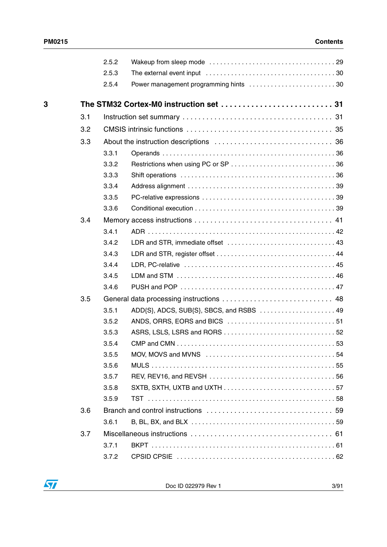|   |     | 2.5.2 |                                       |
|---|-----|-------|---------------------------------------|
|   |     | 2.5.3 |                                       |
|   |     | 2.5.4 | Power management programming hints 30 |
| 3 |     |       |                                       |
|   | 3.1 |       |                                       |
|   | 3.2 |       |                                       |
|   | 3.3 |       |                                       |
|   |     | 3.3.1 |                                       |
|   |     | 3.3.2 |                                       |
|   |     | 3.3.3 |                                       |
|   |     | 3.3.4 |                                       |
|   |     | 3.3.5 |                                       |
|   |     | 3.3.6 |                                       |
|   | 3.4 |       |                                       |
|   |     | 3.4.1 |                                       |
|   |     | 3.4.2 |                                       |
|   |     | 3.4.3 |                                       |
|   |     | 3.4.4 |                                       |
|   |     | 3.4.5 |                                       |
|   |     | 3.4.6 |                                       |
|   | 3.5 |       |                                       |
|   |     | 3.5.1 |                                       |
|   |     | 3.5.2 |                                       |
|   |     | 3.5.3 |                                       |
|   |     | 3.5.4 |                                       |
|   |     | 3.5.5 |                                       |
|   |     | 3.5.6 |                                       |
|   |     | 3.5.7 |                                       |
|   |     | 3.5.8 |                                       |
|   |     | 3.5.9 |                                       |
|   | 3.6 |       |                                       |
|   |     | 3.6.1 |                                       |
|   | 3.7 |       |                                       |
|   |     | 3.7.1 |                                       |
|   |     | 3.7.2 |                                       |

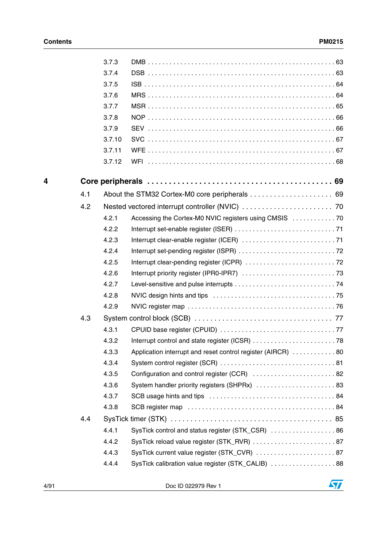|   |     | 3.7.3  |                                                              |
|---|-----|--------|--------------------------------------------------------------|
|   |     | 3.7.4  |                                                              |
|   |     | 3.7.5  |                                                              |
|   |     | 3.7.6  |                                                              |
|   |     | 3.7.7  |                                                              |
|   |     | 3.7.8  |                                                              |
|   |     | 3.7.9  |                                                              |
|   |     | 3.7.10 |                                                              |
|   |     | 3.7.11 |                                                              |
|   |     | 3.7.12 |                                                              |
|   |     |        |                                                              |
| 4 |     |        |                                                              |
|   | 4.1 |        |                                                              |
|   | 4.2 |        |                                                              |
|   |     | 4.2.1  | Accessing the Cortex-M0 NVIC registers using CMSIS  70       |
|   |     | 4.2.2  |                                                              |
|   |     | 4.2.3  |                                                              |
|   |     | 4.2.4  |                                                              |
|   |     | 4.2.5  |                                                              |
|   |     | 4.2.6  |                                                              |
|   |     | 4.2.7  |                                                              |
|   |     | 4.2.8  |                                                              |
|   |     | 4.2.9  |                                                              |
|   | 4.3 |        |                                                              |
|   |     | 4.3.1  |                                                              |
|   |     | 4.3.2  |                                                              |
|   |     | 4.3.3  | Application interrupt and reset control register (AIRCR)  80 |
|   |     | 4.3.4  |                                                              |
|   |     | 4.3.5  | Configuration and control register (CCR)  82                 |
|   |     | 4.3.6  |                                                              |
|   |     | 4.3.7  |                                                              |
|   |     | 4.3.8  |                                                              |
|   | 4.4 |        |                                                              |
|   |     | 4.4.1  | SysTick control and status register (STK_CSR)  86            |
|   |     | 4.4.2  |                                                              |
|   |     | 4.4.3  | SysTick current value register (STK_CVR)  87                 |
|   |     | 4.4.4  | SysTick calibration value register (STK_CALIB)  88           |
|   |     |        |                                                              |

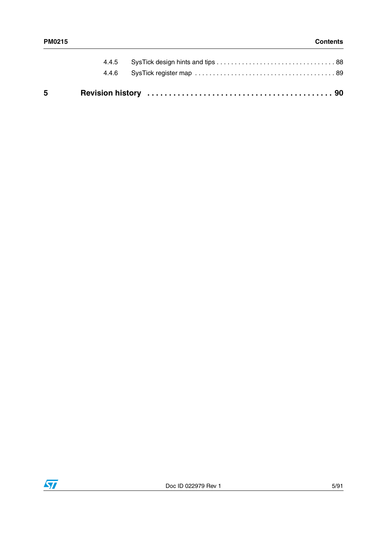| $5^{\circ}$ |  |
|-------------|--|
|             |  |
|             |  |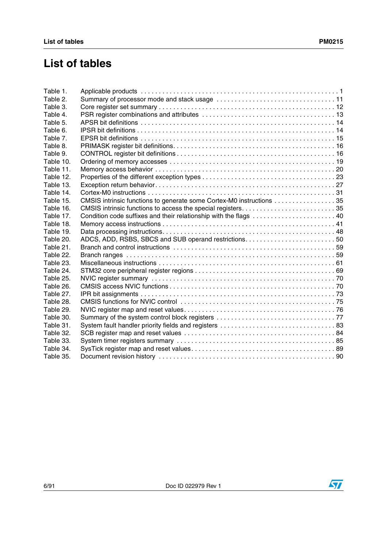# **List of tables**

| Table 1.  |                                                                      |
|-----------|----------------------------------------------------------------------|
| Table 2.  |                                                                      |
| Table 3.  |                                                                      |
| Table 4.  |                                                                      |
| Table 5.  |                                                                      |
| Table 6.  |                                                                      |
| Table 7.  |                                                                      |
| Table 8.  |                                                                      |
| Table 9.  |                                                                      |
| Table 10. |                                                                      |
| Table 11. |                                                                      |
| Table 12. |                                                                      |
| Table 13. |                                                                      |
| Table 14. |                                                                      |
| Table 15. | CMSIS intrinsic functions to generate some Cortex-M0 instructions 35 |
| Table 16. |                                                                      |
| Table 17. |                                                                      |
| Table 18. |                                                                      |
| Table 19. |                                                                      |
| Table 20. |                                                                      |
| Table 21. |                                                                      |
| Table 22. |                                                                      |
| Table 23. |                                                                      |
| Table 24. |                                                                      |
| Table 25. |                                                                      |
| Table 26. |                                                                      |
| Table 27. |                                                                      |
| Table 28. |                                                                      |
| Table 29. |                                                                      |
| Table 30. |                                                                      |
| Table 31. |                                                                      |
| Table 32. |                                                                      |
| Table 33. |                                                                      |
| Table 34. |                                                                      |
| Table 35. |                                                                      |

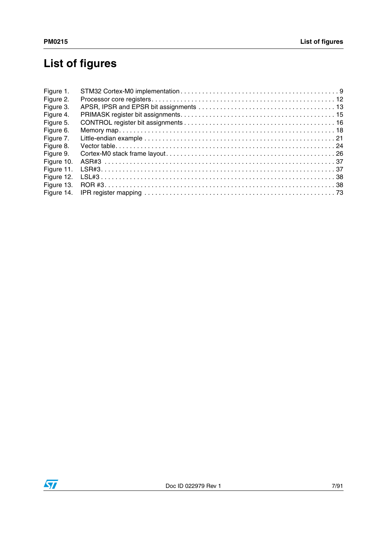# **List of figures**

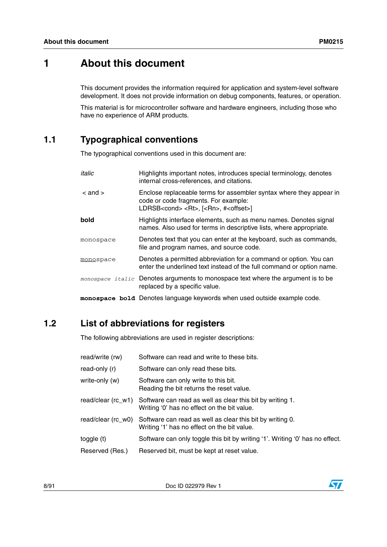# <span id="page-7-0"></span>**1 About this document**

This document provides the information required for application and system-level software development. It does not provide information on debug components, features, or operation.

This material is for microcontroller software and hardware engineers, including those who have no experience of ARM products.

# <span id="page-7-1"></span>**1.1 Typographical conventions**

The typographical conventions used in this document are:

| italic      | Highlights important notes, introduces special terminology, denotes<br>internal cross-references, and citations.                                                              |
|-------------|-------------------------------------------------------------------------------------------------------------------------------------------------------------------------------|
| $<$ and $>$ | Enclose replaceable terms for assembler syntax where they appear in<br>code or code fragments. For example:<br>LDRSB <cond> <rt>, [<rn>, #<offset>]</offset></rn></rt></cond> |
| bold        | Highlights interface elements, such as menu names. Denotes signal<br>names. Also used for terms in descriptive lists, where appropriate.                                      |
| monospace   | Denotes text that you can enter at the keyboard, such as commands,<br>file and program names, and source code.                                                                |
| monospace   | Denotes a permitted abbreviation for a command or option. You can<br>enter the underlined text instead of the full command or option name.                                    |
|             | monospace italic Denotes arguments to monospace text where the argument is to be<br>replaced by a specific value.                                                             |
|             | monospace bold Denotes language keywords when used outside example code.                                                                                                      |

# <span id="page-7-2"></span>**1.2 List of abbreviations for registers**

The following abbreviations are used in register descriptions:

| read/write (rw)    | Software can read and write to these bits.                                                                                  |
|--------------------|-----------------------------------------------------------------------------------------------------------------------------|
| read-only (r)      | Software can only read these bits.                                                                                          |
| write-only (w)     | Software can only write to this bit.<br>Reading the bit returns the reset value.                                            |
| read/clear (rc_w1) | Software can read as well as clear this bit by writing 1.<br>Writing '0' has no effect on the bit value.                    |
|                    | read/clear (rc_w0) Software can read as well as clear this bit by writing 0.<br>Writing '1' has no effect on the bit value. |
| toggle (t)         | Software can only toggle this bit by writing '1'. Writing '0' has no effect.                                                |
| Reserved (Res.)    | Reserved bit, must be kept at reset value.                                                                                  |

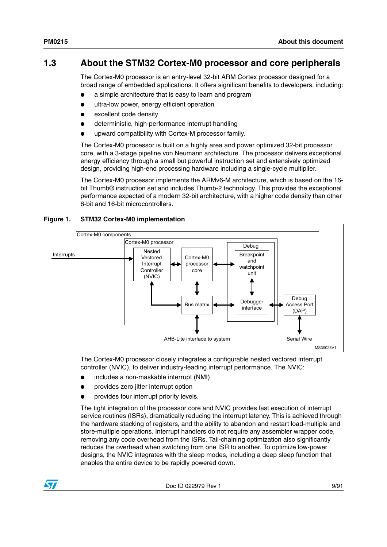# <span id="page-8-0"></span>**1.3 About the STM32 Cortex-M0 processor and core peripherals**

The Cortex-M0 processor is an entry-level 32-bit ARM Cortex processor designed for a broad range of embedded applications. It offers significant benefits to developers, including:

- a simple architecture that is easy to learn and program
- ultra-low power, energy efficient operation
- excellent code density
- deterministic, high-performance interrupt handling
- upward compatibility with Cortex-M processor family.

The Cortex-M0 processor is built on a highly area and power optimized 32-bit processor core, with a 3-stage pipeline von Neumann architecture. The processor delivers exceptional energy efficiency through a small but powerful instruction set and extensively optimized design, providing high-end processing hardware including a single-cycle multiplier.

The Cortex-M0 processor implements the ARMv6-M architecture, which is based on the 16 bit Thumb® instruction set and includes Thumb-2 technology. This provides the exceptional performance expected of a modern 32-bit architecture, with a higher code density than other 8-bit and 16-bit microcontrollers.



#### <span id="page-8-1"></span>**Figure 1. STM32 Cortex-M0 implementation**

The Cortex-M0 processor closely integrates a configurable nested vectored interrupt controller (NVIC), to deliver industry-leading interrupt performance. The NVIC:

- includes a non-maskable interrupt (NMI)
- provides zero jitter interrupt option
- provides four interrupt priority levels.

The tight integration of the processor core and NVIC provides fast execution of interrupt service routines (ISRs), dramatically reducing the interrupt latency. This is achieved through the hardware stacking of registers, and the ability to abandon and restart load-multiple and store-multiple operations. Interrupt handlers do not require any assembler wrapper code, removing any code overhead from the ISRs. Tail-chaining optimization also significantly reduces the overhead when switching from one ISR to another. To optimize low-power designs, the NVIC integrates with the sleep modes, including a deep sleep function that enables the entire device to be rapidly powered down.

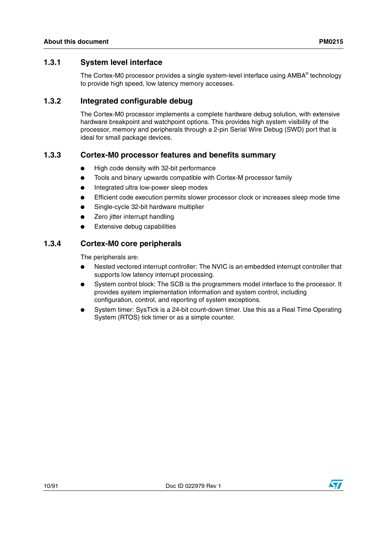# <span id="page-9-0"></span>**1.3.1 System level interface**

The Cortex-M0 processor provides a single system-level interface using AMBA® technology to provide high speed, low latency memory accesses.

# <span id="page-9-1"></span>**1.3.2 Integrated configurable debug**

The Cortex-M0 processor implements a complete hardware debug solution, with extensive hardware breakpoint and watchpoint options. This provides high system visibility of the processor, memory and peripherals through a 2-pin Serial Wire Debug (SWD) port that is ideal for small package devices.

# <span id="page-9-2"></span>**1.3.3 Cortex-M0 processor features and benefits summary**

- High code density with 32-bit performance
- Tools and binary upwards compatible with Cortex-M processor family
- Integrated ultra low-power sleep modes
- Efficient code execution permits slower processor clock or increases sleep mode time
- Single-cycle 32-bit hardware multiplier
- Zero jitter interrupt handling
- **Extensive debug capabilities**

# <span id="page-9-3"></span>**1.3.4 Cortex-M0 core peripherals**

The peripherals are:

- Nested vectored interrupt controller: The NVIC is an embedded interrupt controller that supports low latency interrupt processing.
- System control block: The SCB is the programmers model interface to the processor. It provides system implementation information and system control, including configuration, control, and reporting of system exceptions.
- System timer: SysTick is a 24-bit count-down timer. Use this as a Real Time Operating System (RTOS) tick timer or as a simple counter.

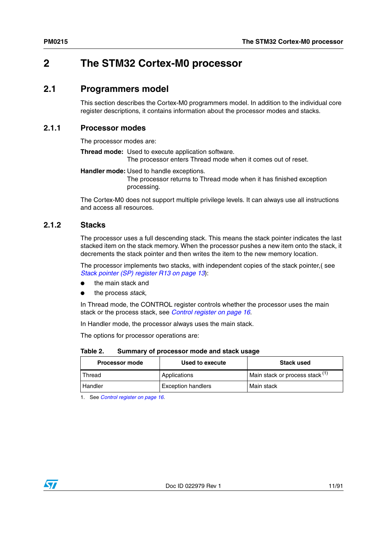# <span id="page-10-0"></span>**2 The STM32 Cortex-M0 processor**

# <span id="page-10-1"></span>**2.1 Programmers model**

This section describes the Cortex-M0 programmers model. In addition to the individual core register descriptions, it contains information about the processor modes and stacks.

# <span id="page-10-2"></span>**2.1.1 Processor modes**

The processor modes are:

**Thread mode:** Used to execute application software.

The processor enters Thread mode when it comes out of reset.

**Handler mode:** Used to handle exceptions. The processor returns to Thread mode when it has finished exception processing.

The Cortex-M0 does not support multiple privilege levels. It can always use all instructions and access all resources.

# <span id="page-10-3"></span>**2.1.2 Stacks**

The processor uses a full descending stack. This means the stack pointer indicates the last stacked item on the stack memory. When the processor pushes a new item onto the stack, it decrements the stack pointer and then writes the item to the new memory location.

The processor implements two stacks, with independent copies of the stack pointer,( see *[Stack pointer \(SP\) register R13 on page 13](#page-12-2)*):

- the main stack and
- the process *stack*,

In Thread mode, the CONTROL register controls whether the processor uses the main stack or the process stack, see *[Control register on page 16](#page-15-3)*.

In Handler mode, the processor always uses the main stack.

The options for processor operations are:

<span id="page-10-4"></span>

| Table 2. | Summary of processor mode and stack usage |  |
|----------|-------------------------------------------|--|
|----------|-------------------------------------------|--|

| <b>Processor mode</b> | Used to execute           | <b>Stack used</b>               |
|-----------------------|---------------------------|---------------------------------|
| l Thread              | Applications              | Main stack or process stack (1) |
| l Handler             | <b>Exception handlers</b> | Main stack                      |

1. See *[Control register on page 16](#page-15-3)*.

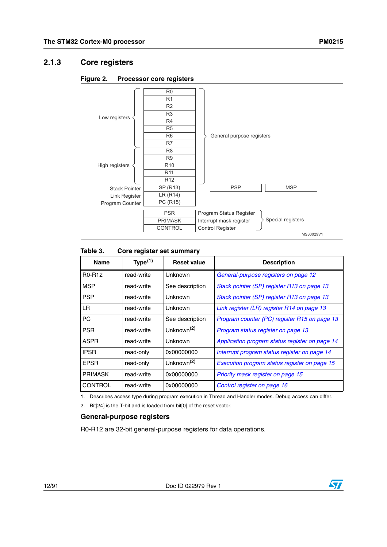# <span id="page-11-0"></span>**2.1.3 Core registers**

<span id="page-11-2"></span>



#### <span id="page-11-1"></span>Table 3. **Core register set summary**

| <b>Name</b>                     | Type <sup>(1)</sup> | <b>Reset value</b>     | <b>Description</b>                             |
|---------------------------------|---------------------|------------------------|------------------------------------------------|
| R <sub>0</sub> -R <sub>12</sub> | read-write          | Unknown                | General-purpose registers on page 12           |
| <b>MSP</b>                      | read-write          | See description        | Stack pointer (SP) register R13 on page 13     |
| <b>PSP</b>                      | read-write          | Unknown                | Stack pointer (SP) register R13 on page 13     |
| LR.                             | read-write          | Unknown                | Link register (LR) register R14 on page 13     |
| <b>PC</b>                       | read-write          | See description        | Program counter (PC) register R15 on page 13   |
| <b>PSR</b>                      | read-write          | Unknown <sup>(2)</sup> | Program status register on page 13             |
| <b>ASPR</b>                     | read-write          | Unknown                | Application program status register on page 14 |
| <b>IPSR</b>                     | read-only           | 0x00000000             | Interrupt program status register on page 14   |
| <b>EPSR</b>                     | read-only           | Unknown <sup>(2)</sup> | Execution program status register on page 15   |
| <b>PRIMASK</b>                  | read-write          | 0x00000000             | Priority mask register on page 15              |
| <b>CONTROL</b>                  | read-write          | 0x00000000             | Control register on page 16                    |

1. Describes access type during program execution in Thread and Handler modes. Debug access can differ.

<span id="page-11-4"></span>2. Bit[24] is the T-bit and is loaded from bit[0] of the reset vector.

#### <span id="page-11-3"></span>**General-purpose registers**

R0-R12 are 32-bit general-purpose registers for data operations.

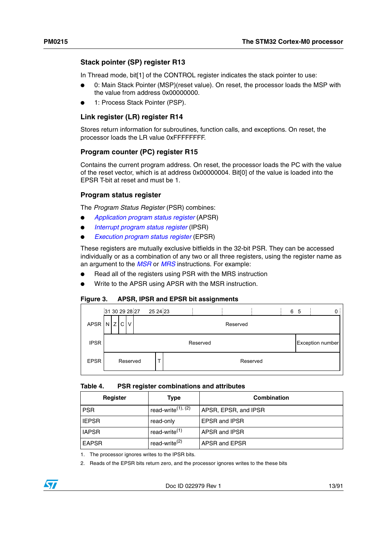## <span id="page-12-2"></span>**Stack pointer (SP) register R13**

In Thread mode, bit<sup>[1]</sup> of the CONTROL register indicates the stack pointer to use:

- 0: Main Stack Pointer (MSP)(reset value). On reset, the processor loads the MSP with the value from address 0x00000000.
- 1: Process Stack Pointer (PSP).

## <span id="page-12-3"></span>**Link register (LR) register R14**

Stores return information for subroutines, function calls, and exceptions. On reset, the processor loads the LR value 0xFFFFFFFF.

#### <span id="page-12-4"></span>**Program counter (PC) register R15**

Contains the current program address. On reset, the processor loads the PC with the value of the reset vector, which is at address 0x00000004. Bit[0] of the value is loaded into the EPSR T-bit at reset and must be 1.

#### <span id="page-12-5"></span>**Program status register**

The *Program Status Register* (PSR) combines:

- *[Application program status register](#page-13-2)* (APSR)
- *[Interrupt program status register](#page-13-3)* (IPSR)
- *[Execution program status register](#page-14-2)* (EPSR)

These registers are mutually exclusive bitfields in the 32-bit PSR. They can be accessed individually or as a combination of any two or all three registers, using the register name as an argument to the *[MSR](#page-64-0)* or *[MRS](#page-63-1)* instructions. For example:

- Read all of the registers using PSR with the MRS instruction
- Write to the APSR using APSR with the MSR instruction.

#### <span id="page-12-1"></span>**Figure 3. APSR, IPSR and EPSR bit assignments**

|             | 31 30 29 28 27 25 24 23 |          |          |          | 6 5 |                  |
|-------------|-------------------------|----------|----------|----------|-----|------------------|
|             | APSR N Z C V            |          | Reserved |          |     |                  |
| <b>IPSR</b> |                         | Reserved |          |          |     | Exception number |
| <b>EPSR</b> | Reserved                |          |          | Reserved |     |                  |

#### <span id="page-12-0"></span>**Table 4. PSR register combinations and attributes**

| Register<br>Type |                           | Combination          |
|------------------|---------------------------|----------------------|
| <b>PSR</b>       | read-write $(1)$ , $(2)$  | APSR, EPSR, and IPSR |
| <b>IEPSR</b>     | read-only                 | <b>EPSR and IPSR</b> |
| <b>IAPSR</b>     | read-write <sup>(1)</sup> | APSR and IPSR        |
| <b>EAPSR</b>     | read-write <sup>(2)</sup> | APSR and EPSR        |

1. The processor ignores writes to the IPSR bits.

<span id="page-12-6"></span>2. Reads of the EPSR bits return zero, and the processor ignores writes to the these bits

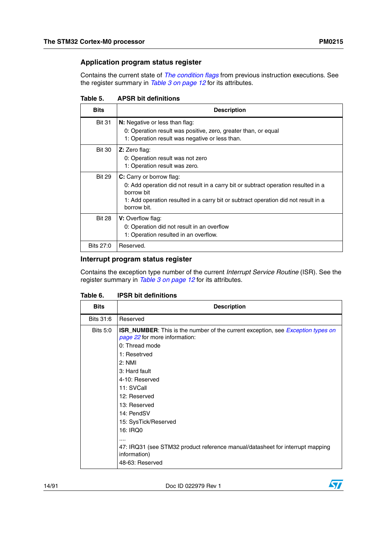## <span id="page-13-2"></span>**Application program status register**

Contains the current state of *[The condition flags](#page-38-3)* from previous instruction executions. See the register summary in *[Table 3 on page 12](#page-11-1)* for its attributes.

<span id="page-13-0"></span>

| Table 5. | <b>APSR bit definitions</b> |
|----------|-----------------------------|
|----------|-----------------------------|

| <b>Bits</b>   | <b>Description</b>                                                                                                                                                                                                                       |
|---------------|------------------------------------------------------------------------------------------------------------------------------------------------------------------------------------------------------------------------------------------|
| <b>Bit 31</b> | <b>N:</b> Negative or less than flag:<br>0: Operation result was positive, zero, greater than, or equal                                                                                                                                  |
| <b>Bit 30</b> | 1: Operation result was negative or less than.<br>Z: Zero flag:<br>0: Operation result was not zero<br>1: Operation result was zero.                                                                                                     |
| <b>Bit 29</b> | <b>C:</b> Carry or borrow flag:<br>0: Add operation did not result in a carry bit or subtract operation resulted in a<br>borrow bit<br>1: Add operation resulted in a carry bit or subtract operation did not result in a<br>borrow bit. |
| <b>Bit 28</b> | <b>V:</b> Overflow flag:<br>0: Operation did not result in an overflow<br>1: Operation resulted in an overflow.                                                                                                                          |
| Bits 27:0     | Reserved.                                                                                                                                                                                                                                |

## <span id="page-13-3"></span>**Interrupt program status register**

Contains the exception type number of the current *Interrupt Service Routine* (ISR). See the register summary in *[Table 3 on page 12](#page-11-1)* for its attributes.

<span id="page-13-1"></span>

| Table 6. |  | <b>IPSR bit definitions</b> |
|----------|--|-----------------------------|
|----------|--|-----------------------------|

| <b>Bits</b>     | <b>Description</b>                                                                                                                                                                                                                                          |
|-----------------|-------------------------------------------------------------------------------------------------------------------------------------------------------------------------------------------------------------------------------------------------------------|
| Bits 31:6       | Reserved                                                                                                                                                                                                                                                    |
| <b>Bits 5:0</b> | <b>ISR_NUMBER:</b> This is the number of the current exception, see <i>Exception types on</i><br>page 22 for more information:<br>0: Thread mode<br>1: Resetrved<br>2: NMI<br>3: Hard fault<br>4-10: Reserved<br>11: SVCall<br>12: Reserved<br>13: Reserved |
|                 | 14: PendSV<br>15: SysTick/Reserved<br>16: IRQ0<br>47: IRQ31 (see STM32 product reference manual/datasheet for interrupt mapping<br>information)<br>48-63: Reserved                                                                                          |

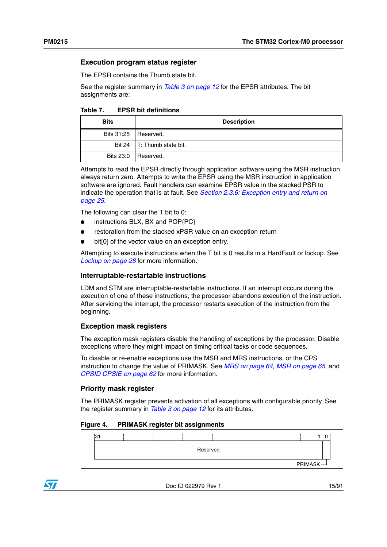#### <span id="page-14-2"></span>**Execution program status register**

The EPSR contains the Thumb state bit.

See the register summary in *[Table 3 on page 12](#page-11-1)* for the EPSR attributes. The bit assignments are:

<span id="page-14-0"></span>Table 7. **TEPSR bit definitions** 

| <b>Bits</b>            | <b>Description</b>           |
|------------------------|------------------------------|
| Bits 31:25   Reserved. |                              |
|                        | Bit 24   T: Thumb state bit. |
| Bits 23:0              | Reserved.                    |

Attempts to read the EPSR directly through application software using the MSR instruction always return zero. Attempts to write the EPSR using the MSR instruction in application software are ignored. Fault handlers can examine EPSR value in the stacked PSR to indicate the operation that is at fault. See *[Section 2.3.6: Exception entry and return on](#page-24-1)  [page 25](#page-24-1)*.

The following can clear the T bit to 0:

- instructions BLX, BX and POP{PC}
- restoration from the stacked xPSR value on an exception return
- bit[0] of the vector value on an exception entry.

Attempting to execute instructions when the T bit is 0 results in a HardFault or lockup. See *[Lockup on page 28](#page-27-2)* for more information.

#### **Interruptable-restartable instructions**

LDM and STM are interruptable-restartable instructions. If an interrupt occurs during the execution of one of these instructions, the processor abandons execution of the instruction. After servicing the interrupt, the processor restarts execution of the instruction from the beginning.

#### <span id="page-14-4"></span>**Exception mask registers**

The exception mask registers disable the handling of exceptions by the processor. Disable exceptions where they might impact on timing critical tasks or code sequences.

To disable or re-enable exceptions use the MSR and MRS instructions, or the CPS instruction to change the value of PRIMASK. See *[MRS on page 64](#page-63-1)*, *[MSR on page 65](#page-64-0)*, and *[CPSID CPSIE on page 62](#page-61-0)* for more information.

#### <span id="page-14-3"></span>**Priority mask register**

The PRIMASK register prevents activation of all exceptions with configurable priority. See the register summary in *[Table 3 on page 12](#page-11-1)* for its attributes.

#### <span id="page-14-1"></span>**Figure 4. PRIMASK register bit assignments**

| 21<br>◡ |  |          |  |                |  |
|---------|--|----------|--|----------------|--|
|         |  | Reserved |  |                |  |
|         |  |          |  |                |  |
|         |  |          |  | <b>PRIMASK</b> |  |

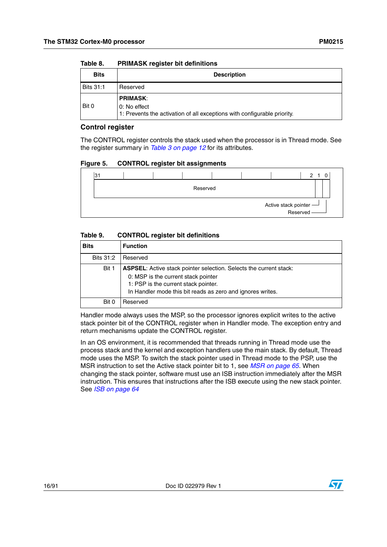| <b>Bits</b>      | <b>Description</b>                                                                                          |
|------------------|-------------------------------------------------------------------------------------------------------------|
| <b>Bits 31:1</b> | Reserved                                                                                                    |
| Bit 0            | <b>PRIMASK:</b><br>0: No effect<br>1: Prevents the activation of all exceptions with configurable priority. |

#### <span id="page-15-0"></span>Table 8. **PRIMASK register bit definitions**

#### <span id="page-15-3"></span>**Control register**

The CONTROL register controls the stack used when the processor is in Thread mode. See the register summary in *[Table 3 on page 12](#page-11-1)* for its attributes.

<span id="page-15-2"></span>

| Figure 5. |  | <b>CONTROL register bit assignments</b> |
|-----------|--|-----------------------------------------|
|           |  |                                         |

| 31 |  |          |  |                                      | $\overline{0}$<br>$\mathcal{P}$ |
|----|--|----------|--|--------------------------------------|---------------------------------|
|    |  | Reserved |  |                                      |                                 |
|    |  |          |  |                                      |                                 |
|    |  |          |  | Active stack pointer —<br>Reserved — |                                 |

#### <span id="page-15-1"></span>Table 9. **Table 9. CONTROL register bit definitions**

| <b>Bits</b> | <b>Function</b>                                                                                                                                                                                                        |
|-------------|------------------------------------------------------------------------------------------------------------------------------------------------------------------------------------------------------------------------|
| Bits 31:2   | Reserved                                                                                                                                                                                                               |
| Bit 1       | <b>ASPSEL:</b> Active stack pointer selection. Selects the current stack:<br>0: MSP is the current stack pointer<br>1: PSP is the current stack pointer.<br>In Handler mode this bit reads as zero and ignores writes. |
| Bit 0       | Reserved                                                                                                                                                                                                               |

Handler mode always uses the MSP, so the processor ignores explicit writes to the active stack pointer bit of the CONTROL register when in Handler mode. The exception entry and return mechanisms update the CONTROL register.

In an OS environment, it is recommended that threads running in Thread mode use the process stack and the kernel and exception handlers use the main stack. By default, Thread mode uses the MSP. To switch the stack pointer used in Thread mode to the PSP, use the MSR instruction to set the Active stack pointer bit to 1, see *[MSR on page 65](#page-64-0)*. When changing the stack pointer, software must use an ISB instruction immediately after the MSR instruction. This ensures that instructions after the ISB execute using the new stack pointer. See *[ISB on page 64](#page-63-0)*

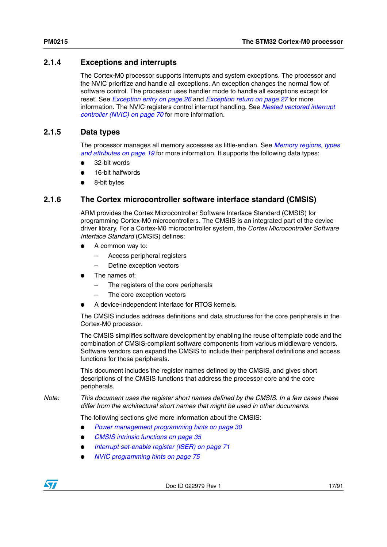# <span id="page-16-0"></span>**2.1.4 Exceptions and interrupts**

The Cortex-M0 processor supports interrupts and system exceptions. The processor and the NVIC prioritize and handle all exceptions. An exception changes the normal flow of software control. The processor uses handler mode to handle all exceptions except for reset. See *[Exception entry on page 26](#page-25-1)* and *[Exception return on page 27](#page-26-1)* for more information. The NVIC registers control interrupt handling. See *[Nested vectored interrupt](#page-69-0)  [controller \(NVIC\) on page 70](#page-69-0)* for more information.

# <span id="page-16-1"></span>**2.1.5 Data types**

The processor manages all memory accesses as little-endian. See *[Memory regions, types](#page-18-0)  [and attributes on page 19](#page-18-0)* for more information. It supports the following data types:

- 32-bit words
- 16-bit halfwords
- 8-bit bytes

# <span id="page-16-2"></span>**2.1.6 The Cortex microcontroller software interface standard (CMSIS)**

ARM provides the Cortex Microcontroller Software Interface Standard (CMSIS) for programming Cortex-M0 microcontrollers. The CMSIS is an integrated part of the device driver library. For a Cortex-M0 microcontroller system, the *Cortex Microcontroller Software Interface Standard* (CMSIS) defines:

- A common way to:
	- Access peripheral registers
	- Define exception vectors
- The names of:
	- The registers of the core peripherals
	- The core exception vectors
- A device-independent interface for RTOS kernels.

The CMSIS includes address definitions and data structures for the core peripherals in the Cortex-M0 processor.

The CMSIS simplifies software development by enabling the reuse of template code and the combination of CMSIS-compliant software components from various middleware vendors. Software vendors can expand the CMSIS to include their peripheral definitions and access functions for those peripherals.

This document includes the register names defined by the CMSIS, and gives short descriptions of the CMSIS functions that address the processor core and the core peripherals.

*Note: This document uses the register short names defined by the CMSIS. In a few cases these differ from the architectural short names that might be used in other documents.*

The following sections give more information about the CMSIS:

- **[Power management programming hints on page 30](#page-29-1)**
- *[CMSIS intrinsic functions on page 35](#page-34-0)*
- *[Interrupt set-enable register \(ISER\) on page 71](#page-70-0)*
- *[NVIC programming hints on page 75](#page-74-2)*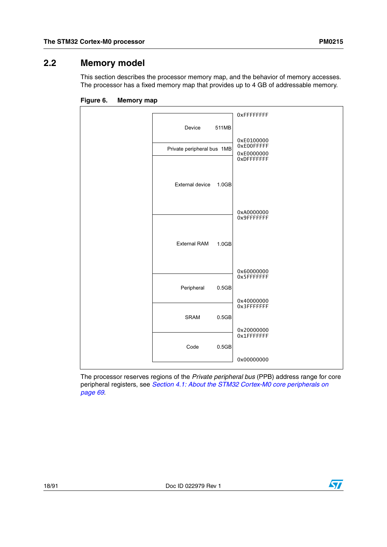# <span id="page-17-0"></span>**2.2 Memory model**

This section describes the processor memory map, and the behavior of memory accesses. The processor has a fixed memory map that provides up to 4 GB of addressable memory.



<span id="page-17-1"></span>**Figure 6. Memory map**

The processor reserves regions of the *Private peripheral bus* (PPB) address range for core peripheral registers, see *[Section 4.1: About the STM32 Cortex-M0 core peripherals on](#page-68-1)  [page 69](#page-68-1)*.

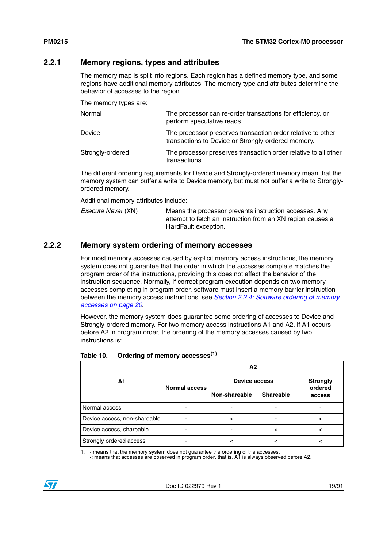# <span id="page-18-0"></span>**2.2.1 Memory regions, types and attributes**

The memory map is split into regions. Each region has a defined memory type, and some regions have additional memory attributes. The memory type and attributes determine the behavior of accesses to the region.

The memory types are:

| Normal           | The processor can re-order transactions for efficiency, or<br>perform speculative reads.                          |
|------------------|-------------------------------------------------------------------------------------------------------------------|
| Device           | The processor preserves transaction order relative to other<br>transactions to Device or Strongly-ordered memory. |
| Strongly-ordered | The processor preserves transaction order relative to all other<br>transactions.                                  |

The different ordering requirements for Device and Strongly-ordered memory mean that the memory system can buffer a write to Device memory, but must not buffer a write to Stronglyordered memory.

Additional memory attributes include:

| <i>Execute Never</i> (XN) | Means the processor prevents instruction accesses. Any     |
|---------------------------|------------------------------------------------------------|
|                           | attempt to fetch an instruction from an XN region causes a |
|                           | HardFault exception.                                       |

# <span id="page-18-1"></span>**2.2.2 Memory system ordering of memory accesses**

For most memory accesses caused by explicit memory access instructions, the memory system does not guarantee that the order in which the accesses complete matches the program order of the instructions, providing this does not affect the behavior of the instruction sequence. Normally, if correct program execution depends on two memory accesses completing in program order, software must insert a memory barrier instruction between the memory access instructions, see *[Section 2.2.4: Software ordering of memory](#page-19-1)  [accesses on page 20](#page-19-1)*.

However, the memory system does guarantee some ordering of accesses to Device and Strongly-ordered memory. For two memory access instructions A1 and A2, if A1 occurs before A2 in program order, the ordering of the memory accesses caused by two instructions is:

|                              | А2                   |                      |                  |                   |  |  |
|------------------------------|----------------------|----------------------|------------------|-------------------|--|--|
| Α1                           | <b>Normal access</b> | <b>Device access</b> | <b>Strongly</b>  |                   |  |  |
|                              |                      | Non-shareable        | <b>Shareable</b> | ordered<br>access |  |  |
| Normal access                |                      |                      |                  |                   |  |  |
| Device access, non-shareable |                      |                      |                  |                   |  |  |
| Device access, shareable     |                      |                      | ╯                |                   |  |  |
| Strongly ordered access      |                      |                      |                  |                   |  |  |

<span id="page-18-2"></span>

| Table 10. | Ordering of memory accesses <sup>(1)</sup> |  |
|-----------|--------------------------------------------|--|
|           |                                            |  |

1. - means that the memory system does not guarantee the ordering of the accesses. < means that accesses are observed in program order, that is, A1 is always observed before A2.

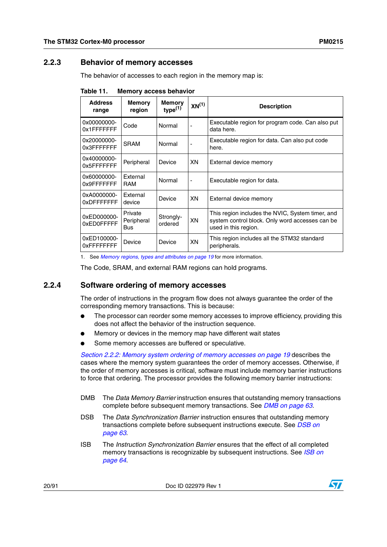# <span id="page-19-0"></span>**2.2.3 Behavior of memory accesses**

The behavior of accesses to each region in the memory map is:

| <b>Address</b><br>range    | <b>Memory</b><br>region      | <b>Memory</b><br>type <sup>(1)</sup> | $XN^{(1)}$ | <b>Description</b>                                                                                                          |
|----------------------------|------------------------------|--------------------------------------|------------|-----------------------------------------------------------------------------------------------------------------------------|
| 0x00000000-<br>0x1FFFFFFFF | Code                         | Normal                               |            | Executable region for program code. Can also put<br>data here.                                                              |
| 0x20000000-<br>0x3FFFFFFFF | <b>SRAM</b>                  | Normal                               | ٠          | Executable region for data. Can also put code<br>here.                                                                      |
| 0x40000000-<br>0x5FFFFFFF  | Peripheral                   | Device                               | XN         | External device memory                                                                                                      |
| 0x60000000-<br>0x9FFFFFFFF | External<br>RAM              | Normal                               | -          | Executable region for data.                                                                                                 |
| 0xA0000000-<br>0xDFFFFFFF  | External<br>device           | Device                               | XN         | External device memory                                                                                                      |
| 0xED000000-<br>0xED0FFFFF  | Private<br>Peripheral<br>Bus | Strongly-<br>ordered                 | XN         | This region includes the NVIC, System timer, and<br>system control block. Only word accesses can be<br>used in this region. |
| 0xED100000-<br>0xFFFFFFFFF | Device                       | Device                               | XN         | This region includes all the STM32 standard<br>peripherals.                                                                 |

<span id="page-19-2"></span>Table 11. **Memory access behavior** 

<span id="page-19-3"></span>1. See *[Memory regions, types and attributes on page 19](#page-18-0)* for more information.

The Code, SRAM, and external RAM regions can hold programs.

## <span id="page-19-1"></span>**2.2.4 Software ordering of memory accesses**

The order of instructions in the program flow does not always guarantee the order of the corresponding memory transactions. This is because:

- The processor can reorder some memory accesses to improve efficiency, providing this does not affect the behavior of the instruction sequence.
- Memory or devices in the memory map have different wait states
- Some memory accesses are buffered or speculative.

*[Section 2.2.2: Memory system ordering of memory accesses on page 19](#page-18-1)* describes the cases where the memory system guarantees the order of memory accesses. Otherwise, if the order of memory accesses is critical, software must include memory barrier instructions to force that ordering. The processor provides the following memory barrier instructions:

- DMB The *Data Memory Barrier* instruction ensures that outstanding memory transactions complete before subsequent memory transactions. See *[DMB on page 63](#page-62-0)*.
- DSB The *Data Synchronization Barrier* instruction ensures that outstanding memory transactions complete before subsequent instructions execute. See *[DSB on](#page-62-1)  [page 63](#page-62-1)*.
- ISB The *Instruction Synchronization Barrier* ensures that the effect of all completed memory transactions is recognizable by subsequent instructions. See *[ISB on](#page-63-0)  [page 64](#page-63-0)*.

20/91 Doc ID 022979 Rev 1

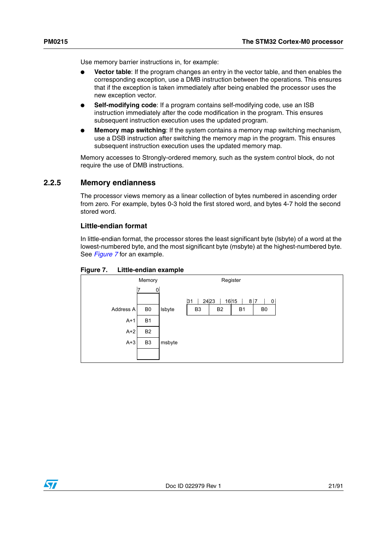Use memory barrier instructions in, for example:

- Vector table: If the program changes an entry in the vector table, and then enables the corresponding exception, use a DMB instruction between the operations. This ensures that if the exception is taken immediately after being enabled the processor uses the new exception vector.
- **Self-modifying code:** If a program contains self-modifying code, use an ISB instruction immediately after the code modification in the program. This ensures subsequent instruction execution uses the updated program.
- **Memory map switching**: If the system contains a memory map switching mechanism, use a DSB instruction after switching the memory map in the program. This ensures subsequent instruction execution uses the updated memory map.

Memory accesses to Strongly-ordered memory, such as the system control block, do not require the use of DMB instructions.

# <span id="page-20-0"></span>**2.2.5 Memory endianness**

The processor views memory as a linear collection of bytes numbered in ascending order from zero. For example, bytes 0-3 hold the first stored word, and bytes 4-7 hold the second stored word.

#### **Little-endian format**

In little-endian format, the processor stores the least significant byte (lsbyte) of a word at the lowest-numbered byte, and the most significant byte (msbyte) at the highest-numbered byte. See *[Figure 7](#page-20-1)* for an example.

#### <span id="page-20-1"></span>**Figure 7. Little-endian example**



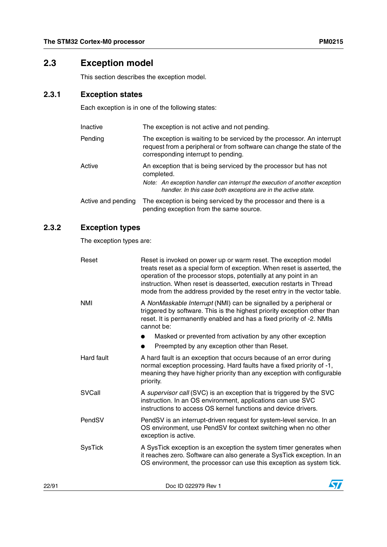# <span id="page-21-0"></span>**2.3 Exception model**

This section describes the exception model.

# <span id="page-21-1"></span>**2.3.1 Exception states**

Each exception is in one of the following states:

| Inactive           | The exception is not active and not pending.                                                                                                                                            |  |  |
|--------------------|-----------------------------------------------------------------------------------------------------------------------------------------------------------------------------------------|--|--|
| Pending            | The exception is waiting to be serviced by the processor. An interrupt<br>request from a peripheral or from software can change the state of the<br>corresponding interrupt to pending. |  |  |
| Active             | An exception that is being serviced by the processor but has not<br>completed.                                                                                                          |  |  |
|                    | Note: An exception handler can interrupt the execution of another exception<br>handler. In this case both exceptions are in the active state.                                           |  |  |
| Active and pending | The exception is being serviced by the processor and there is a<br>pending exception from the same source.                                                                              |  |  |

# <span id="page-21-2"></span>**2.3.2 Exception types**

The exception types are:

|       | Reset          | Reset is invoked on power up or warm reset. The exception model<br>treats reset as a special form of exception. When reset is asserted, the<br>operation of the processor stops, potentially at any point in an<br>instruction. When reset is deasserted, execution restarts in Thread<br>mode from the address provided by the reset entry in the vector table. |
|-------|----------------|------------------------------------------------------------------------------------------------------------------------------------------------------------------------------------------------------------------------------------------------------------------------------------------------------------------------------------------------------------------|
|       | <b>NMI</b>     | A NonMaskable Interrupt (NMI) can be signalled by a peripheral or<br>triggered by software. This is the highest priority exception other than<br>reset. It is permanently enabled and has a fixed priority of -2. NMIs<br>cannot be:                                                                                                                             |
|       |                | Masked or prevented from activation by any other exception                                                                                                                                                                                                                                                                                                       |
|       |                | Preempted by any exception other than Reset.                                                                                                                                                                                                                                                                                                                     |
|       | Hard fault     | A hard fault is an exception that occurs because of an error during<br>normal exception processing. Hard faults have a fixed priority of -1,<br>meaning they have higher priority than any exception with configurable<br>priority.                                                                                                                              |
|       | SVCall         | A supervisor call (SVC) is an exception that is triggered by the SVC<br>instruction. In an OS environment, applications can use SVC<br>instructions to access OS kernel functions and device drivers.                                                                                                                                                            |
|       | PendSV         | PendSV is an interrupt-driven request for system-level service. In an<br>OS environment, use PendSV for context switching when no other<br>exception is active.                                                                                                                                                                                                  |
|       | <b>SysTick</b> | A SysTick exception is an exception the system timer generates when<br>it reaches zero. Software can also generate a SysTick exception. In an<br>OS environment, the processor can use this exception as system tick.                                                                                                                                            |
| 22/91 |                | Doc ID 022979 Rev 1                                                                                                                                                                                                                                                                                                                                              |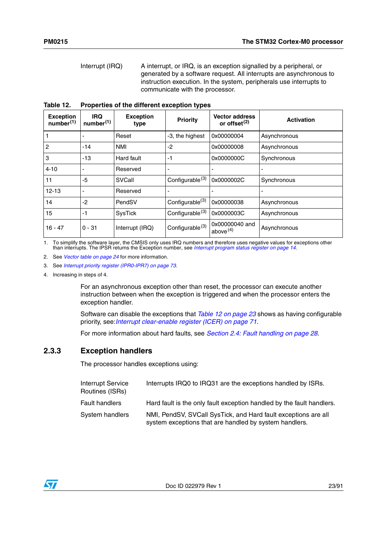Interrupt (IRQ) A interrupt, or IRQ, is an exception signalled by a peripheral, or generated by a software request. All interrupts are asynchronous to instruction execution. In the system, peripherals use interrupts to communicate with the processor.

<span id="page-22-1"></span>**Table 12. Properties of the different exception types**

| <b>Exception</b><br>number <sup>(1)</sup> | <b>IRQ</b><br>number <sup>(1)</sup> | <b>Exception</b><br>type | <b>Priority</b>             | <b>Vector address</b><br>or offset <sup>(2)</sup> | <b>Activation</b> |
|-------------------------------------------|-------------------------------------|--------------------------|-----------------------------|---------------------------------------------------|-------------------|
| $\mathbf{1}$                              |                                     | Reset                    | -3, the highest             | 0x00000004                                        | Asynchronous      |
| $\overline{2}$                            | $-14$                               | <b>NMI</b>               | -2                          | 0x00000008                                        | Asynchronous      |
| $\mathbf{3}$                              | $-13$                               | Hard fault               | -1                          | 0x0000000C                                        | Synchronous       |
| $4 - 10$                                  |                                     | Reserved                 |                             |                                                   |                   |
| 11                                        | -5                                  | SVCall                   | Configurable <sup>(3)</sup> | 0x0000002C                                        | Synchronous       |
| $12 - 13$                                 |                                     | Reserved                 |                             |                                                   |                   |
| 14                                        | -2                                  | PendSV                   | Configurable <sup>(3)</sup> | 0x00000038                                        | Asynchronous      |
| 15                                        | $-1$                                | <b>SysTick</b>           | Configurable <sup>(3)</sup> | 0x0000003C                                        | Asynchronous      |
| $16 - 47$                                 | $0 - 31$                            | Interrupt (IRQ)          | Configurable <sup>(3)</sup> | 0x00000040 and<br>above $(4)$                     | Asynchronous      |

<span id="page-22-2"></span>1. To simplify the software layer, the CMSIS only uses IRQ numbers and therefore uses negative values for exceptions other than interrupts. The IPSR returns the Exception number, see *[Interrupt program status register on page 14](#page-13-3)*.

2. See *[Vector table on page 24](#page-23-0)* for more information.

<span id="page-22-3"></span>3. See *[Interrupt priority register \(IPR0-IPR7\) on page 73](#page-72-0)*.

4. Increasing in steps of 4.

For an asynchronous exception other than reset, the processor can execute another instruction between when the exception is triggered and when the processor enters the exception handler.

Software can disable the exceptions that *[Table 12 on page 23](#page-22-1)* shows as having configurable priority, see:*[Interrupt clear-enable register \(ICER\) on page 71](#page-70-1)*.

For more information about hard faults, see *[Section 2.4: Fault handling on page 28](#page-27-0)*.

# <span id="page-22-0"></span>**2.3.3 Exception handlers**

The processor handles exceptions using:

| Interrupt Service<br>Routines (ISRs) | Interrupts IRQ0 to IRQ31 are the exceptions handled by ISRs.                                                             |
|--------------------------------------|--------------------------------------------------------------------------------------------------------------------------|
| <b>Fault handlers</b>                | Hard fault is the only fault exception handled by the fault handlers.                                                    |
| System handlers                      | NMI, PendSV, SVCall SysTick, and Hard fault exceptions are all<br>system exceptions that are handled by system handlers. |

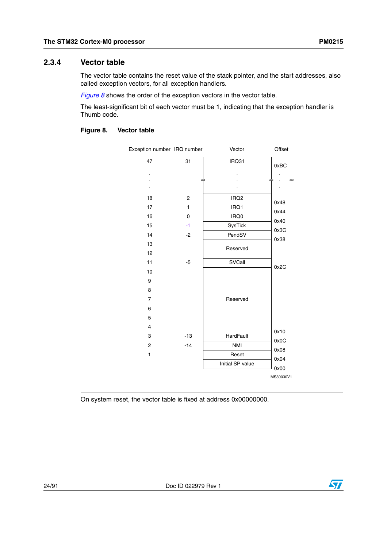# <span id="page-23-0"></span>**2.3.4 Vector table**

The vector table contains the reset value of the stack pointer, and the start addresses, also called exception vectors, for all exception handlers.

*[Figure 8](#page-23-1)* shows the order of the exception vectors in the vector table.

The least-significant bit of each vector must be 1, indicating that the exception handler is Thumb code.



<span id="page-23-1"></span>**Figure 8. Vector table**

On system reset, the vector table is fixed at address 0x00000000.

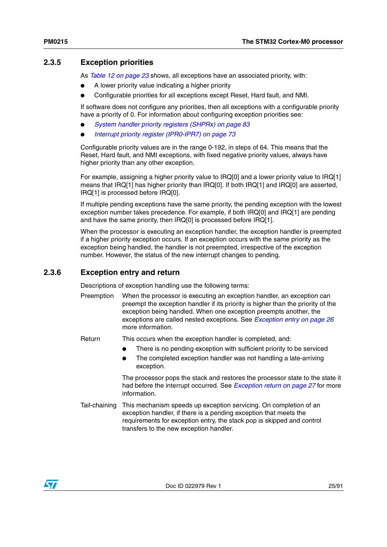# <span id="page-24-0"></span>**2.3.5 Exception priorities**

As *[Table 12 on page 23](#page-22-1)* shows, all exceptions have an associated priority, with:

- A lower priority value indicating a higher priority
- Configurable priorities for all exceptions except Reset, Hard fault, and NMI.

If software does not configure any priorities, then all exceptions with a configurable priority have a priority of 0. For information about configuring exception priorities see:

- *[System handler priority registers \(SHPRx\) on page 83](#page-82-0)*
- *[Interrupt priority register \(IPR0-IPR7\) on page 73](#page-72-0)*

Configurable priority values are in the range 0-192, in steps of 64. This means that the Reset, Hard fault, and NMI exceptions, with fixed negative priority values, always have higher priority than any other exception.

For example, assigning a higher priority value to IRQ[0] and a lower priority value to IRQ[1] means that IRQ[1] has higher priority than IRQ[0]. If both IRQ[1] and IRQ[0] are asserted, IRQ[1] is processed before IRQ[0].

If multiple pending exceptions have the same priority, the pending exception with the lowest exception number takes precedence. For example, if both IRQ[0] and IRQ[1] are pending and have the same priority, then IRQ[0] is processed before IRQ[1].

When the processor is executing an exception handler, the exception handler is preempted if a higher priority exception occurs. If an exception occurs with the same priority as the exception being handled, the handler is not preempted, irrespective of the exception number. However, the status of the new interrupt changes to pending.

# <span id="page-24-1"></span>**2.3.6 Exception entry and return**

Descriptions of exception handling use the following terms:

Preemption When the processor is executing an exception handler, an exception can preempt the exception handler if its priority is higher than the priority of the exception being handled. When one exception preempts another, the exceptions are called nested exceptions. See *[Exception entry on page 26](#page-25-1)* more information.

Return This occurs when the exception handler is completed, and:

- There is no pending exception with sufficient priority to be serviced
- The completed exception handler was not handling a late-arriving exception.

The processor pops the stack and restores the processor state to the state it had before the interrupt occurred. See *[Exception return on page 27](#page-26-1)* for more information.

Tail-chaining This mechanism speeds up exception servicing. On completion of an exception handler, if there is a pending exception that meets the requirements for exception entry, the stack pop is skipped and control transfers to the new exception handler.

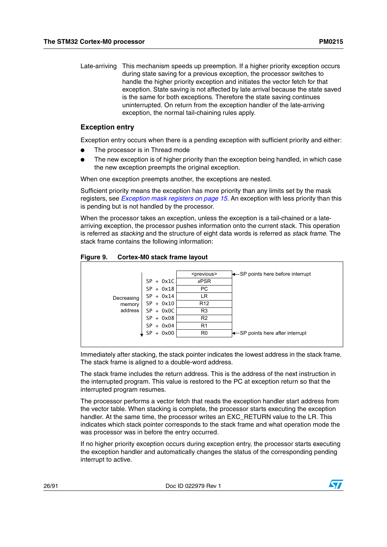### <span id="page-25-1"></span>**Exception entry**

Exception entry occurs when there is a pending exception with sufficient priority and either:

- The processor is in Thread mode
- The new exception is of higher priority than the exception being handled, in which case the new exception preempts the original exception.

When one exception preempts another, the exceptions are nested.

exception, the normal tail-chaining rules apply.

Sufficient priority means the exception has more priority than any limits set by the mask registers, see *[Exception mask registers on page 15](#page-14-4)*. An exception with less priority than this is pending but is not handled by the processor.

When the processor takes an exception, unless the exception is a tail-chained or a latearriving exception, the processor pushes information onto the current stack. This operation is referred as *stacking* and the structure of eight data words is referred as *stack frame*. The stack frame contains the following information:

<span id="page-25-0"></span>



Immediately after stacking, the stack pointer indicates the lowest address in the stack frame. The stack frame is aligned to a double-word address.

The stack frame includes the return address. This is the address of the next instruction in the interrupted program. This value is restored to the PC at exception return so that the interrupted program resumes.

The processor performs a vector fetch that reads the exception handler start address from the vector table. When stacking is complete, the processor starts executing the exception handler. At the same time, the processor writes an EXC\_RETURN value to the LR. This indicates which stack pointer corresponds to the stack frame and what operation mode the was processor was in before the entry occurred.

If no higher priority exception occurs during exception entry, the processor starts executing the exception handler and automatically changes the status of the corresponding pending interrupt to active.

26/91 Doc ID 022979 Rev 1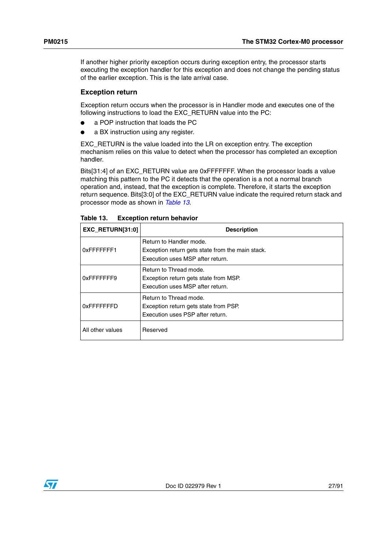If another higher priority exception occurs during exception entry, the processor starts executing the exception handler for this exception and does not change the pending status of the earlier exception. This is the late arrival case.

#### <span id="page-26-1"></span>**Exception return**

Exception return occurs when the processor is in Handler mode and executes one of the following instructions to load the EXC\_RETURN value into the PC:

- a POP instruction that loads the PC
- a BX instruction using any register.

EXC\_RETURN is the value loaded into the LR on exception entry. The exception mechanism relies on this value to detect when the processor has completed an exception handler.

Bits[31:4] of an EXC\_RETURN value are 0xFFFFFFF. When the processor loads a value matching this pattern to the PC it detects that the operation is a not a normal branch operation and, instead, that the exception is complete. Therefore, it starts the exception return sequence. Bits[3:0] of the EXC\_RETURN value indicate the required return stack and processor mode as shown in *[Table 13](#page-26-0)*.

| EXC RETURN[31:0] | <b>Description</b>                                                                                              |
|------------------|-----------------------------------------------------------------------------------------------------------------|
| 0xFFFFFFF1       | Return to Handler mode.<br>Exception return gets state from the main stack.<br>Execution uses MSP after return. |
| 0xFFFFFFFF9      | Return to Thread mode.<br>Exception return gets state from MSP.<br>Execution uses MSP after return.             |
| 0xFFFFFFFFD      | Return to Thread mode.<br>Exception return gets state from PSP.<br>Execution uses PSP after return.             |
| All other values | Reserved                                                                                                        |

<span id="page-26-0"></span>Table 13. **Exception return behavior** 

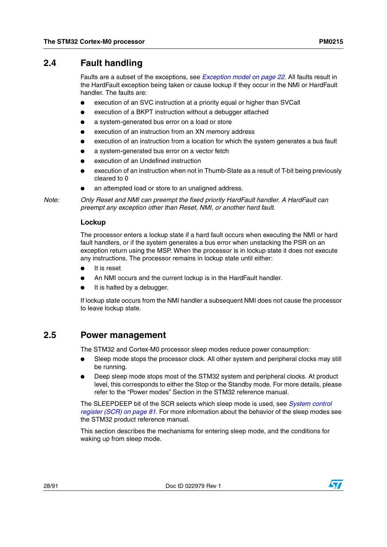# <span id="page-27-0"></span>**2.4 Fault handling**

Faults are a subset of the exceptions, see *[Exception model on page 22](#page-21-0)*. All faults result in the HardFault exception being taken or cause lockup if they occur in the NMI or HardFault handler. The faults are:

- execution of an SVC instruction at a priority equal or higher than SVCall
- execution of a BKPT instruction without a debugger attached
- a system-generated bus error on a load or store
- execution of an instruction from an XN memory address
- execution of an instruction from a location for which the system generates a bus fault
- a system-generated bus error on a vector fetch
- execution of an Undefined instruction
- execution of an instruction when not in Thumb-State as a result of T-bit being previously cleared to 0
- an attempted load or store to an unaligned address.

*Note: Only Reset and NMI can preempt the fixed priority HardFault handler. A HardFault can preempt any exception other than Reset, NMI, or another hard fault.*

## <span id="page-27-2"></span>**Lockup**

The processor enters a lockup state if a hard fault occurs when executing the NMI or hard fault handlers, or if the system generates a bus error when unstacking the PSR on an exception return using the MSP. When the processor is in lockup state it does not execute any instructions. The processor remains in lockup state until either:

- It is reset
- An NMI occurs and the current lockup is in the HardFault handler.
- It is halted by a debugger.

If lockup state occurs from the NMI handler a subsequent NMI does not cause the processor to leave lockup state.

# <span id="page-27-1"></span>**2.5 Power management**

The STM32 and Cortex-M0 processor sleep modes reduce power consumption:

- Sleep mode stops the processor clock. All other system and peripheral clocks may still be running.
- Deep sleep mode stops most of the STM32 system and peripheral clocks. At product level, this corresponds to either the Stop or the Standby mode. For more details, please refer to the "Power modes" Section in the STM32 reference manual.

The SLEEPDEEP bit of the SCR selects which sleep mode is used, see *[System control](#page-80-0)  [register \(SCR\) on page 81](#page-80-0)*. For more information about the behavior of the sleep modes see the STM32 product reference manual.

This section describes the mechanisms for entering sleep mode, and the conditions for waking up from sleep mode.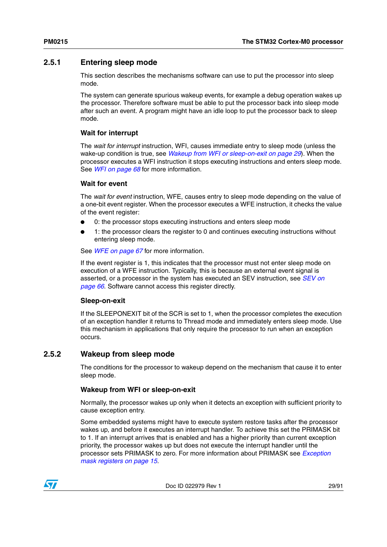# <span id="page-28-0"></span>**2.5.1 Entering sleep mode**

This section describes the mechanisms software can use to put the processor into sleep mode.

The system can generate spurious wakeup events, for example a debug operation wakes up the processor. Therefore software must be able to put the processor back into sleep mode after such an event. A program might have an idle loop to put the processor back to sleep mode.

# **Wait for interrupt**

The *wait for interrupt* instruction, WFI, causes immediate entry to sleep mode (unless the wake-up condition is true, see *[Wakeup from WFI or sleep-on-exit on page 29](#page-28-2)*). When the processor executes a WFI instruction it stops executing instructions and enters sleep mode. See *[WFI on page 68](#page-67-0)* for more information.

#### <span id="page-28-3"></span>**Wait for event**

The *wait for event* instruction, WFE, causes entry to sleep mode depending on the value of a one-bit event register. When the processor executes a WFE instruction, it checks the value of the event register:

- 0: the processor stops executing instructions and enters sleep mode
- 1: the processor clears the register to 0 and continues executing instructions without entering sleep mode.

See *[WFE on page 67](#page-66-1)* for more information.

If the event register is 1, this indicates that the processor must not enter sleep mode on execution of a WFE instruction. Typically, this is because an external event signal is asserted, or a processor in the system has executed an SEV instruction, see *[SEV on](#page-65-1)  [page 66](#page-65-1)*. Software cannot access this register directly.

#### **Sleep-on-exit**

If the SLEEPONEXIT bit of the SCR is set to 1, when the processor completes the execution of an exception handler it returns to Thread mode and immediately enters sleep mode. Use this mechanism in applications that only require the processor to run when an exception occurs.

## <span id="page-28-1"></span>**2.5.2 Wakeup from sleep mode**

The conditions for the processor to wakeup depend on the mechanism that cause it to enter sleep mode.

#### <span id="page-28-2"></span>**Wakeup from WFI or sleep-on-exit**

Normally, the processor wakes up only when it detects an exception with sufficient priority to cause exception entry.

Some embedded systems might have to execute system restore tasks after the processor wakes up, and before it executes an interrupt handler. To achieve this set the PRIMASK bit to 1. If an interrupt arrives that is enabled and has a higher priority than current exception priority, the processor wakes up but does not execute the interrupt handler until the processor sets PRIMASK to zero. For more information about PRIMASK see *[Exception](#page-14-4)  [mask registers on page 15](#page-14-4)*.



Doc ID 022979 Rev 1 29/91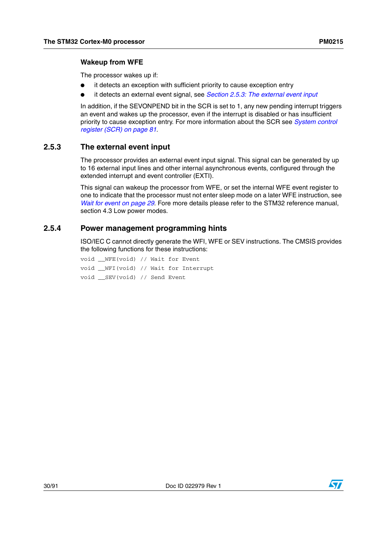#### **Wakeup from WFE**

The processor wakes up if:

- it detects an exception with sufficient priority to cause exception entry
- it detects an external event signal, see *[Section 2.5.3: The external event input](#page-29-0)*

In addition, if the SEVONPEND bit in the SCR is set to 1, any new pending interrupt triggers an event and wakes up the processor, even if the interrupt is disabled or has insufficient priority to cause exception entry. For more information about the SCR see *[System control](#page-80-0)  [register \(SCR\) on page 81](#page-80-0)*.

# <span id="page-29-0"></span>**2.5.3 The external event input**

The processor provides an external event input signal. This signal can be generated by up to 16 external input lines and other internal asynchronous events, configured through the extended interrupt and event controller (EXTI).

This signal can wakeup the processor from WFE, or set the internal WFE event register to one to indicate that the processor must not enter sleep mode on a later WFE instruction, see *[Wait for event on page 29](#page-28-3)*. Fore more details please refer to the STM32 reference manual, section 4.3 Low power modes.

# <span id="page-29-1"></span>**2.5.4 Power management programming hints**

ISO/IEC C cannot directly generate the WFI, WFE or SEV instructions. The CMSIS provides the following functions for these instructions:

void \_\_WFE(void) // Wait for Event void \_\_WFI(void) // Wait for Interrupt void \_\_SEV(void) // Send Event

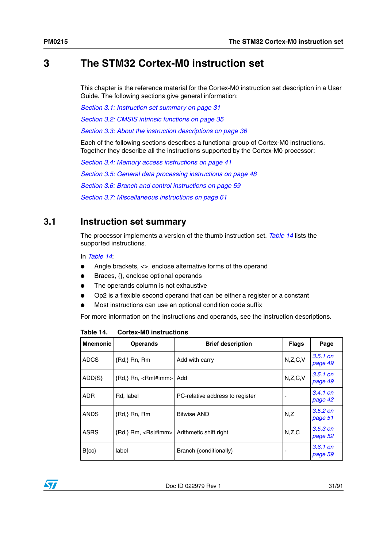# <span id="page-30-0"></span>**3 The STM32 Cortex-M0 instruction set**

This chapter is the reference material for the Cortex-M0 instruction set description in a User Guide. The following sections give general information:

*[Section 3.1: Instruction set summary on page 31](#page-30-1)*

*[Section 3.2: CMSIS intrinsic functions on page 35](#page-34-0)*

*[Section 3.3: About the instruction descriptions on page 36](#page-35-0)*

Each of the following sections describes a functional group of Cortex-M0 instructions. Together they describe all the instructions supported by the Cortex-M0 processor:

*[Section 3.4: Memory access instructions on page 41](#page-40-0) [Section 3.5: General data processing instructions on page 48](#page-47-0) [Section 3.6: Branch and control instructions on page 59](#page-58-0) [Section 3.7: Miscellaneous instructions on page 61](#page-60-0)*

# <span id="page-30-1"></span>**3.1 Instruction set summary**

The processor implements a version of the thumb instruction set. *[Table 14](#page-30-2)* lists the supported instructions.

In *[Table 14](#page-30-2)*:

- Angle brackets, <>, enclose alternative forms of the operand
- Braces, {}, enclose optional operands
- The operands column is not exhaustive
- Op2 is a flexible second operand that can be either a register or a constant
- Most instructions can use an optional condition code suffix

For more information on the instructions and operands, see the instruction descriptions.

| <b>Mnemonic</b> | <b>Operands</b>                    | <b>Brief description</b>        | <b>Flags</b> | Page                  |
|-----------------|------------------------------------|---------------------------------|--------------|-----------------------|
| <b>ADCS</b>     | ${Rd}$ , Rn, Rm                    | Add with carry                  | N,Z,C,V      | $3.5.1$ on<br>page 49 |
| $ADD\{S\}$      | $\{Rd, \}$ Rn, $\langle Rm $ #imm> | l Add                           | N,Z,C,V      | $3.5.1$ on<br>page 49 |
| <b>ADR</b>      | Rd. label                          | PC-relative address to register |              | $3.4.1$ on<br>page 42 |
| <b>ANDS</b>     | ${Rd}$ , Rn, Rm                    | <b>Bitwise AND</b>              | N,Z          | $3.5.2$ on<br>page 51 |
| <b>ASRS</b>     | ${Rd}$ , Rm, $<$ Rs $\#$ imm $>$   | Arithmetic shift right          | N,Z,C        | $3.5.3$ on<br>page 52 |
| $B{cc}$         | label                              | Branch {conditionally}          |              | $3.6.1$ on<br>page 59 |

<span id="page-30-2"></span>**Table 14. Cortex-M0 instructions**

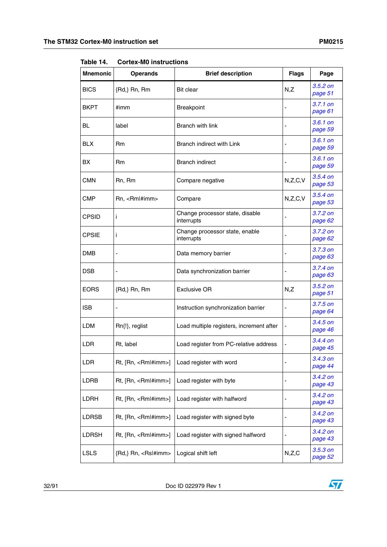| או טועסו.       | UUI LUA-IVIU IIIƏLI UULIUIIƏ                |                                               |                              |                       |
|-----------------|---------------------------------------------|-----------------------------------------------|------------------------------|-----------------------|
| <b>Mnemonic</b> | <b>Operands</b>                             | <b>Brief description</b>                      | <b>Flags</b>                 | Page                  |
| <b>BICS</b>     | {Rd,} Rn, Rm                                | <b>Bit clear</b>                              | N,Z                          | $3.5.2$ on<br>page 51 |
| <b>BKPT</b>     | #imm                                        | Breakpoint                                    |                              | $3.7.1$ on<br>page 61 |
| BL              | label                                       | <b>Branch with link</b>                       |                              | $3.6.1$ on<br>page 59 |
| <b>BLX</b>      | Rm                                          | Branch indirect with Link                     |                              | $3.6.1$ on<br>page 59 |
| BХ              | Rm                                          | <b>Branch indirect</b>                        |                              | $3.6.1$ on<br>page 59 |
| <b>CMN</b>      | Rn, Rm                                      | Compare negative                              | N,Z,C,V                      | $3.5.4$ on<br>page 53 |
| <b>CMP</b>      | Rn, <rml#imm></rml#imm>                     | Compare                                       | N,Z,C,V                      | $3.5.4$ on<br>page 53 |
| <b>CPSID</b>    | i                                           | Change processor state, disable<br>interrupts | $\overline{\phantom{a}}$     | $3.7.2$ on<br>page 62 |
| <b>CPSIE</b>    | i                                           | Change processor state, enable<br>interrupts  |                              | $3.7.2$ on<br>page 62 |
| DMB             |                                             | Data memory barrier                           |                              | 3.7.3 on<br>page 63   |
| <b>DSB</b>      |                                             | Data synchronization barrier                  | $\qquad \qquad \blacksquare$ | 3.7.4 on<br>page 63   |
| <b>EORS</b>     | ${Rd}$ , Rn, Rm                             | <b>Exclusive OR</b>                           | N,Z                          | 3.5.2 on<br>page 51   |
| <b>ISB</b>      |                                             | Instruction synchronization barrier           |                              | $3.7.5$ on<br>page 64 |
| <b>LDM</b>      | Rn{!}, reglist                              | Load multiple registers, increment after      | $\qquad \qquad \blacksquare$ | $3.4.5$ on<br>page 46 |
| <b>LDR</b>      | Rt, label                                   | Load register from PC-relative address        |                              | $3.4.4$ on<br>page 45 |
| LDR             | Rt, [Rn, <rml#imm>]</rml#imm>               | Load register with word                       |                              | 3.4.3 on<br>page 44   |
| LDRB            | Rt, [Rn, <rml#imm>]</rml#imm>               | Load register with byte                       | $\overline{\phantom{a}}$     | 3.4.2 on<br>page 43   |
| LDRH            | Rt, [Rn, <rml#imm>]</rml#imm>               | Load register with halfword                   | ٠                            | $3.4.2$ on<br>page 43 |
| LDRSB           | $Rt$ , $[Rn, \leq Rm \mid \# \text{imm} >]$ | Load register with signed byte                |                              | $3.4.2$ on<br>page 43 |
| LDRSH           | Rt, [Rn, <rml#imm>]</rml#imm>               | Load register with signed halfword            | $\overline{\phantom{0}}$     | 3.4.2 on<br>page 43   |
| <b>LSLS</b>     | {Rd,} Rn, <rsl#imm></rsl#imm>               | Logical shift left                            | N,Z,C                        | $3.5.3$ on<br>page 52 |

**Table 14. Cortex-M0 instructions**

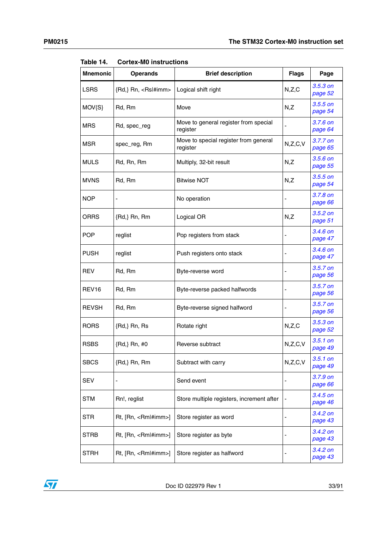| <b>Mnemonic</b>   | <b>Operands</b>               | <b>Brief description</b>                          | <b>Flags</b> | Page                  |
|-------------------|-------------------------------|---------------------------------------------------|--------------|-----------------------|
| <b>LSRS</b>       | {Rd,} Rn, <rsl#imm></rsl#imm> | Logical shift right                               | N,Z,C        | $3.5.3$ on<br>page 52 |
| $MOV{S}$          | Rd, Rm                        | Move                                              | N,Z          | $3.5.5$ on<br>page 54 |
| <b>MRS</b>        | Rd, spec_reg                  | Move to general register from special<br>register |              | $3.7.6$ on<br>page 64 |
| MSR               | spec_reg, Rm                  | Move to special register from general<br>register | N, Z, C, V   | 3.7.7 on<br>page 65   |
| <b>MULS</b>       | Rd, Rn, Rm                    | Multiply, 32-bit result                           | N,Z          | $3.5.6$ on<br>page 55 |
| <b>MVNS</b>       | Rd, Rm                        | <b>Bitwise NOT</b>                                | N,Z          | $3.5.5$ on<br>page 54 |
| NOP               |                               | No operation                                      |              | $3.7.8$ on<br>page 66 |
| ORRS              | ${Rd}$ , Rn, Rm               | Logical OR                                        | N,Z          | $3.5.2$ on<br>page 51 |
| <b>POP</b>        | reglist                       | Pop registers from stack                          |              | $3.4.6$ on<br>page 47 |
| PUSH              | reglist                       | Push registers onto stack                         |              | 3.4.6 on<br>page 47   |
| REV               | Rd, Rm                        | Byte-reverse word                                 |              | $3.5.7$ on<br>page 56 |
| REV <sub>16</sub> | Rd, Rm                        | Byte-reverse packed halfwords                     |              | 3.5.7 on<br>page 56   |
| <b>REVSH</b>      | Rd, Rm                        | Byte-reverse signed halfword                      |              | $3.5.7$ on<br>page 56 |
| <b>RORS</b>       | ${Rd}$ , Rn, Rs               | Rotate right                                      | N,Z,C        | $3.5.3$ on<br>page 52 |
| <b>RSBS</b>       | {Rd,} Rn, #0                  | Reverse subtract                                  | N,Z,C,V      | $3.5.1$ on<br>page 49 |
| <b>SBCS</b>       | ${Rd}$ , Rn, Rm               | Subtract with carry                               | N,Z,C,V      | $3.5.1$ on<br>page 49 |
| SEV               |                               | Send event                                        |              | 3.7.9 on<br>page 66   |
| STM               | Rn!, reglist                  | Store multiple registers, increment after         |              | $3.4.5$ on<br>page 46 |
| STR               | Rt, [Rn, <rml#imm>]</rml#imm> | Store register as word                            |              | $3.4.2$ on<br>page 43 |
| STRB              | Rt, [Rn, <rml#imm>]</rml#imm> | Store register as byte                            |              | 3.4.2 on<br>page 43   |
| STRH              | Rt, [Rn, <rml#imm>]</rml#imm> | Store register as halfword                        |              | 3.4.2 on<br>page 43   |

**Table 14. Cortex-M0 instructions**

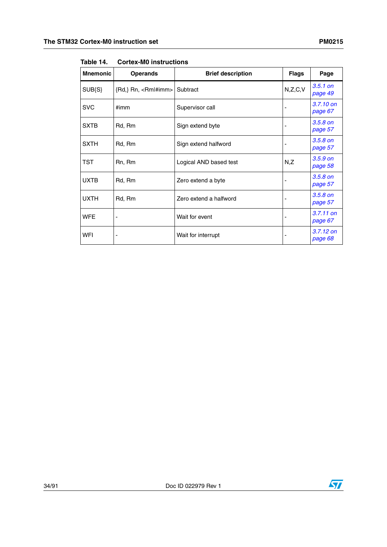| <b>Mnemonic</b> | <b>Operands</b>                        | <b>Brief description</b> | <b>Flags</b> | Page                   |
|-----------------|----------------------------------------|--------------------------|--------------|------------------------|
| SUB{S}          | {Rd,} Rn, <rm #imm> Subtract</rm #imm> |                          | N, Z, C, V   | $3.5.1$ on<br>page 49  |
| <b>SVC</b>      | #imm                                   | Supervisor call          |              | 3.7.10 on<br>page 67   |
| <b>SXTB</b>     | Rd, Rm                                 | Sign extend byte         |              | $3.5.8$ on<br>page 57  |
| <b>SXTH</b>     | Rd, Rm                                 | Sign extend halfword     |              | $3.5.8$ on<br>page 57  |
| TST             | Rn, Rm                                 | Logical AND based test   | N,Z          | $3.5.9$ on<br>page 58  |
| <b>UXTB</b>     | Rd, Rm                                 | Zero extend a byte       |              | $3.5.8$ on<br>page 57  |
| <b>UXTH</b>     | Rd, Rm                                 | Zero extend a halfword   |              | $3.5.8$ on<br>page 57  |
| <b>WFE</b>      |                                        | Wait for event           |              | $3.7.11$ on<br>page 67 |
| WFI             | ٠                                      | Wait for interrupt       |              | $3.7.12$ on<br>page 68 |

**Table 14. Cortex-M0 instructions**



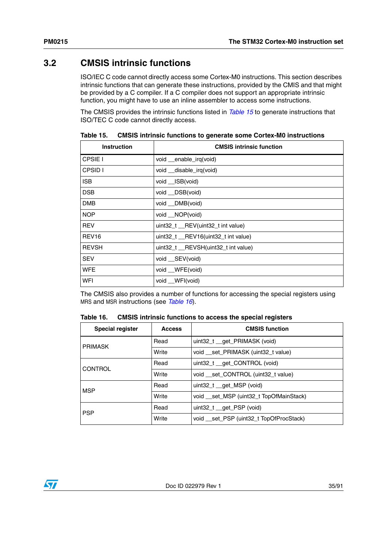# <span id="page-34-0"></span>**3.2 CMSIS intrinsic functions**

ISO/IEC C code cannot directly access some Cortex-M0 instructions. This section describes intrinsic functions that can generate these instructions, provided by the CMIS and that might be provided by a C compiler. If a C compiler does not support an appropriate intrinsic function, you might have to use an inline assembler to access some instructions.

The CMSIS provides the intrinsic functions listed in *[Table 15](#page-34-1)* to generate instructions that ISO/TEC C code cannot directly access.

| <b>Instruction</b> | <b>CMSIS intrinsic function</b>      |  |  |
|--------------------|--------------------------------------|--|--|
| CPSIE I            | void __enable_irq(void)              |  |  |
| CPSID I            | void __disable_irq(void)             |  |  |
| <b>ISB</b>         | void __ISB(void)                     |  |  |
| <b>DSB</b>         | void __DSB(void)                     |  |  |
| <b>DMB</b>         | void DMB(void)                       |  |  |
| <b>NOP</b>         | void __NOP(void)                     |  |  |
| <b>REV</b>         | uint32_t __REV(uint32_t int value)   |  |  |
| REV <sub>16</sub>  | uint32_t __REV16(uint32_t int value) |  |  |
| <b>REVSH</b>       | uint32_t __REVSH(uint32_t int value) |  |  |
| <b>SEV</b>         | void __SEV(void)                     |  |  |
| <b>WFE</b>         | void __WFE(void)                     |  |  |
| WFI                | void __WFI(void)                     |  |  |

<span id="page-34-1"></span>Table 15. **CMSIS intrinsic functions to generate some Cortex-M0 instructions** 

The CMSIS also provides a number of functions for accessing the special registers using MRS and MSR instructions (see *[Table 16](#page-34-2)*).

<span id="page-34-2"></span>

| Table 16. | <b>CMSIS intrinsic functions to access the special registers</b> |
|-----------|------------------------------------------------------------------|
|-----------|------------------------------------------------------------------|

| <b>Special register</b> | <b>Access</b> | <b>CMSIS function</b>                    |
|-------------------------|---------------|------------------------------------------|
| <b>PRIMASK</b>          | Read          | uint32_t __get_PRIMASK (void)            |
|                         | Write         | void __set_PRIMASK (uint32_t value)      |
| <b>CONTROL</b>          | Read          | uint32_t __get_CONTROL (void)            |
|                         | Write         | void set CONTROL (uint32 t value)        |
| <b>MSP</b>              | Read          | uint32 t get MSP (void)                  |
|                         | Write         | void __set_MSP (uint32_t TopOfMainStack) |
| <b>PSP</b>              | Read          | uint32_t _get_PSP (void)                 |
|                         | Write         | void __set_PSP (uint32_t TopOfProcStack) |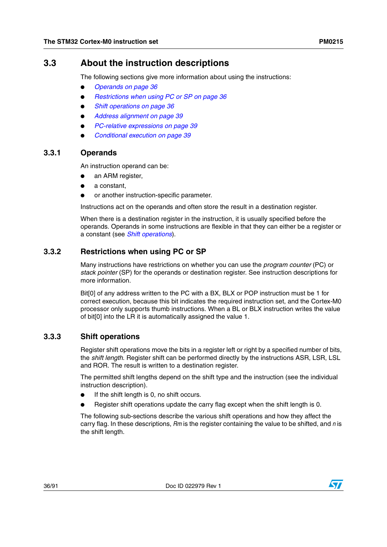# <span id="page-35-0"></span>**3.3 About the instruction descriptions**

The following sections give more information about using the instructions:

- **[Operands on page 36](#page-35-1)**
- *[Restrictions when using PC or SP on page 36](#page-35-2)*
- **[Shift operations on page 36](#page-35-3)**
- *[Address alignment on page 39](#page-38-0)*
- *[PC-relative expressions on page 39](#page-38-1)*
- *[Conditional execution on page 39](#page-38-2)*

## <span id="page-35-1"></span>**3.3.1 Operands**

An instruction operand can be:

- an ARM register,
- a constant,
- or another instruction-specific parameter.

Instructions act on the operands and often store the result in a destination register.

When there is a destination register in the instruction, it is usually specified before the operands. Operands in some instructions are flexible in that they can either be a register or a constant (see *[Shift operations](#page-35-3)*).

# <span id="page-35-2"></span>**3.3.2 Restrictions when using PC or SP**

Many instructions have restrictions on whether you can use the *program counter* (PC) or *stack pointer* (SP) for the operands or destination register. See instruction descriptions for more information.

Bit[0] of any address written to the PC with a BX, BLX or POP instruction must be 1 for correct execution, because this bit indicates the required instruction set, and the Cortex-M0 processor only supports thumb instructions. When a BL or BLX instruction writes the value of bit[0] into the LR it is automatically assigned the value 1.

# <span id="page-35-3"></span>**3.3.3 Shift operations**

Register shift operations move the bits in a register left or right by a specified number of bits, the *shift length*. Register shift can be performed directly by the instructions ASR, LSR, LSL and ROR. The result is written to a destination register.

The permitted shift lengths depend on the shift type and the instruction (see the individual instruction description).

- If the shift length is 0, no shift occurs.
- Register shift operations update the carry flag except when the shift length is 0.

The following sub-sections describe the various shift operations and how they affect the carry flag. In these descriptions, *Rm* is the register containing the value to be shifted, and *n* is the shift length.

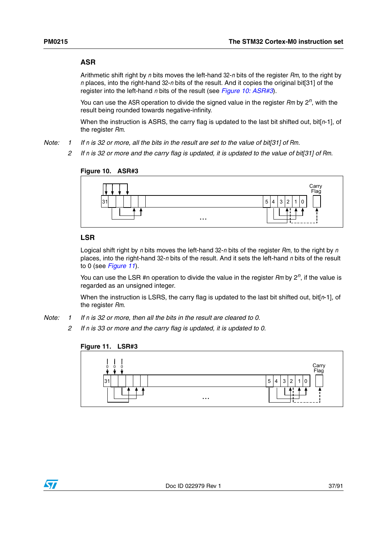## **ASR**

Arithmetic shift right by *n* bits moves the left-hand 32-*n* bits of the register *Rm*, to the right by *n* places, into the right-hand 32-*n* bits of the result. And it copies the original bit[31] of the register into the left-hand *n* bits of the result (see *[Figure 10: ASR#3](#page-36-0)*).

You can use the ASR operation to divide the signed value in the register *Rm* by 2*n*, with the result being rounded towards negative-infinity.

When the instruction is ASRS, the carry flag is updated to the last bit shifted out, bit[*n*-1], of the register *Rm*.

- *Note: 1 If n is 32 or more, all the bits in the result are set to the value of bit[31] of Rm.*
	- *2 If n is 32 or more and the carry flag is updated, it is updated to the value of bit[31] of Rm.*

<span id="page-36-0"></span>

#### **LSR**

Logical shift right by *n* bits moves the left-hand 32-*n* bits of the register *Rm*, to the right by *n* places, into the right-hand 32-*n* bits of the result. And it sets the left-hand *n* bits of the result to 0 (see *[Figure 11](#page-36-1)*).

You can use the LSR #n operation to divide the value in the register *Rm* by 2*n*, if the value is regarded as an unsigned integer.

When the instruction is LSRS, the carry flag is updated to the last bit shifted out, bit[*n*-1], of the register *Rm*.

- *Note: 1 If n is 32 or more, then all the bits in the result are cleared to 0.* 
	- *2 If n is 33 or more and the carry flag is updated, it is updated to 0.*



#### <span id="page-36-1"></span>**Figure 11. LSR#3**

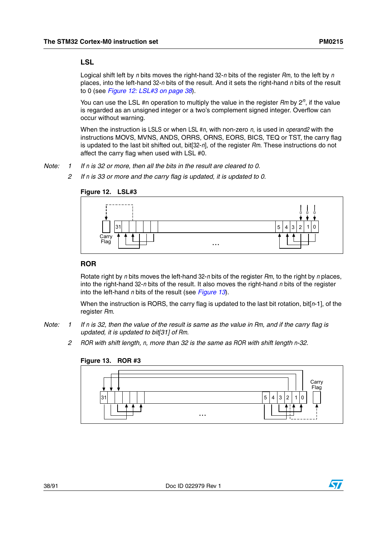#### **LSL**

Logical shift left by *n* bits moves the right-hand 32-*n* bits of the register *Rm*, to the left by *n* places, into the left-hand 32-*n* bits of the result. And it sets the right-hand *n* bits of the result to 0 (see *[Figure 12: LSL#3 on page 38](#page-37-0)*).

You can use the LSL #n operation to multiply the value in the register  $Rm$  by  $2<sup>n</sup>$ , if the value is regarded as an unsigned integer or a two's complement signed integer. Overflow can occur without warning.

When the instruction is LSLS or when LSL #*n*, with non-zero *n*, is used in *operand2* with the instructions MOVS, MVNS, ANDS, ORRS, ORNS, EORS, BICS, TEQ or TST, the carry flag is updated to the last bit shifted out, bit[32-*n*], of the register *Rm*. These instructions do not affect the carry flag when used with LSL #0.

- *Note: 1 If n is 32 or more, then all the bits in the result are cleared to 0.*
	- *2 If n is 33 or more and the carry flag is updated, it is updated to 0.*



## <span id="page-37-0"></span>**Figure 12. LSL#3**

#### **ROR**

Rotate right by *n* bits moves the left-hand 32-*n* bits of the register *Rm*, to the right by *n* places, into the right-hand 32-*n* bits of the result. It also moves the right-hand *n* bits of the register into the left-hand *n* bits of the result (see *[Figure 13](#page-37-1)*).

When the instruction is RORS, the carry flag is updated to the last bit rotation, bit[*n*-1], of the register *Rm*.

- *Note: 1 If n is 32, then the value of the result is same as the value in Rm, and if the carry flag is updated, it is updated to bit[31] of Rm.* 
	- *2 ROR with shift length, n, more than 32 is the same as ROR with shift length n-32.*



#### <span id="page-37-1"></span>**Figure 13. ROR #3**

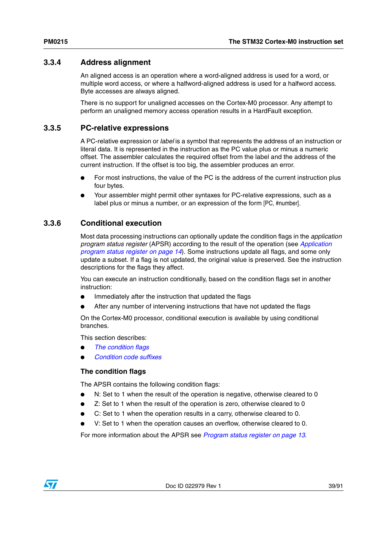# <span id="page-38-2"></span>**3.3.4 Address alignment**

An aligned access is an operation where a word-aligned address is used for a word, or multiple word access, or where a halfword-aligned address is used for a halfword access. Byte accesses are always aligned.

There is no support for unaligned accesses on the Cortex-M0 processor. Any attempt to perform an unaligned memory access operation results in a HardFault exception.

# <span id="page-38-1"></span>**3.3.5 PC-relative expressions**

A PC-relative expression or *label* is a symbol that represents the address of an instruction or literal data. It is represented in the instruction as the PC value plus or minus a numeric offset. The assembler calculates the required offset from the label and the address of the current instruction. If the offset is too big, the assembler produces an error.

- For most instructions, the value of the PC is the address of the current instruction plus four bytes.
- Your assembler might permit other syntaxes for PC-relative expressions, such as a label plus or minus a number, or an expression of the form [PC, #number].

# <span id="page-38-3"></span>**3.3.6 Conditional execution**

Most data processing instructions can optionally update the condition flags in the *application program status register* (APSR) according to the result of the operation (see *[Application](#page-13-0)  [program status register on page 14](#page-13-0)*). Some instructions update all flags, and some only update a subset. If a flag is not updated, the original value is preserved. See the instruction descriptions for the flags they affect.

You can execute an instruction conditionally, based on the condition flags set in another instruction:

- Immediately after the instruction that updated the flags
- After any number of intervening instructions that have not updated the flags

On the Cortex-M0 processor, conditional execution is available by using conditional branches.

This section describes:

- *[The condition flags](#page-38-0)*
- *[Condition code suffixes](#page-39-0)*

#### <span id="page-38-0"></span>**The condition flags**

The APSR contains the following condition flags:

- N: Set to 1 when the result of the operation is negative, otherwise cleared to 0
- Z: Set to 1 when the result of the operation is zero, otherwise cleared to 0
- C: Set to 1 when the operation results in a carry, otherwise cleared to 0.
- V: Set to 1 when the operation causes an overflow, otherwise cleared to 0.

For more information about the APSR see *[Program status register on page 13](#page-12-0)*.

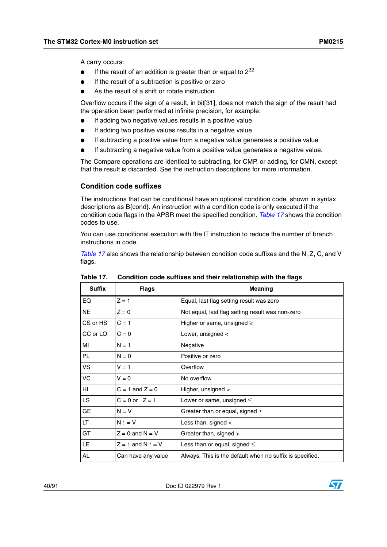A carry occurs:

- If the result of an addition is greater than or equal to  $2^{32}$
- If the result of a subtraction is positive or zero
- As the result of a shift or rotate instruction

Overflow occurs if the sign of a result, in bit[31], does not match the sign of the result had the operation been performed at infinite precision, for example:

- If adding two negative values results in a positive value
- If adding two positive values results in a negative value
- If subtracting a positive value from a negative value generates a positive value
- If subtracting a negative value from a positive value generates a negative value.

The Compare operations are identical to subtracting, for CMP, or adding, for CMN, except that the result is discarded. See the instruction descriptions for more information.

#### <span id="page-39-0"></span>**Condition code suffixes**

The instructions that can be conditional have an optional condition code, shown in syntax descriptions as B{cond}. An instruction with a condition code is only executed if the condition code flags in the APSR meet the specified condition. *[Table 17](#page-39-1)* shows the condition codes to use.

You can use conditional execution with the IT instruction to reduce the number of branch instructions in code.

*[Table 17](#page-39-1)* also shows the relationship between condition code suffixes and the N, Z, C, and V flags.

| <b>Suffix</b> | <b>Flags</b>        | <b>Meaning</b>                                           |
|---------------|---------------------|----------------------------------------------------------|
| EQ            | $Z = 1$             | Equal, last flag setting result was zero                 |
| <b>NE</b>     | $Z = 0$             | Not equal, last flag setting result was non-zero         |
| CS or HS      | $C = 1$             | Higher or same, unsigned $\geq$                          |
| CC or LO      | $C = 0$             | Lower, unsigned <                                        |
| MI            | $N = 1$             | Negative                                                 |
| <b>PL</b>     | $N = 0$             | Positive or zero                                         |
| <b>VS</b>     | $V = 1$             | Overflow                                                 |
| VC            | $V = 0$             | No overflow                                              |
| HI            | $C = 1$ and $Z = 0$ | Higher, unsigned >                                       |
| <b>LS</b>     | $C = 0$ or $Z = 1$  | Lower or same, unsigned $\leq$                           |
| <b>GE</b>     | $N = V$             | Greater than or equal, signed $\geq$                     |
| LT            | $N! = V$            | Less than, signed $\lt$                                  |
| GT            | $Z = 0$ and $N = V$ | Greater than, signed >                                   |
| LE.           | $Z = 1$ and N ! = V | Less than or equal, signed $\leq$                        |
| AL            | Can have any value  | Always. This is the default when no suffix is specified. |

<span id="page-39-1"></span>Table 17. **Table 17. Condition code suffixes and their relationship with the flags**

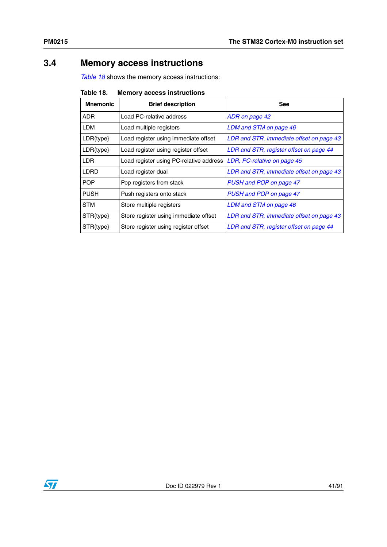# **3.4 Memory access instructions**

*[Table 18](#page-40-0)* shows the memory access instructions:

<span id="page-40-0"></span>

| <b>Memory access instructions</b><br>Table 18. |
|------------------------------------------------|
|------------------------------------------------|

| <b>Mnemonic</b> | <b>Brief description</b>                | <b>See</b>                               |
|-----------------|-----------------------------------------|------------------------------------------|
| ADR.            | Load PC-relative address                | ADR on page 42                           |
| <b>LDM</b>      | Load multiple registers                 | LDM and STM on page 46                   |
| LDR{type}       | Load register using immediate offset    | LDR and STR, immediate offset on page 43 |
| LDR{type}       | Load register using register offset     | LDR and STR, register offset on page 44  |
| LDR.            | Load register using PC-relative address | LDR, PC-relative on page 45              |
| LDRD            | Load register dual                      | LDR and STR, immediate offset on page 43 |
| <b>POP</b>      | Pop registers from stack                | PUSH and POP on page 47                  |
| <b>PUSH</b>     | Push registers onto stack               | PUSH and POP on page 47                  |
| <b>STM</b>      | Store multiple registers                | LDM and STM on page 46                   |
| STR{type}       | Store register using immediate offset   | LDR and STR, immediate offset on page 43 |
| STR{type}       | Store register using register offset    | LDR and STR, register offset on page 44  |

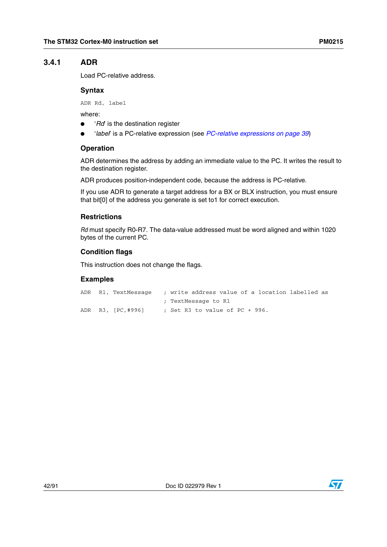# <span id="page-41-0"></span>**3.4.1 ADR**

Load PC-relative address.

## **Syntax**

ADR Rd, label

where:

- 'Rd' is the destination register
- '*label*' is a PC-relative expression (see *[PC-relative expressions on page 39](#page-38-1)*)

## **Operation**

ADR determines the address by adding an immediate value to the PC. It writes the result to the destination register.

ADR produces position-independent code, because the address is PC-relative.

If you use ADR to generate a target address for a BX or BLX instruction, you must ensure that bit[0] of the address you generate is set to1 for correct execution.

## **Restrictions**

*Rd* must specify R0-R7. The data-value addressed must be word aligned and within 1020 bytes of the current PC.

## **Condition flags**

This instruction does not change the flags.

```
ADR R1, TextMessage ; write address value of a location labelled as
                      ; TextMessage to R1
ADR R3, [PC,#996] ; Set R3 to value of PC + 996.
```
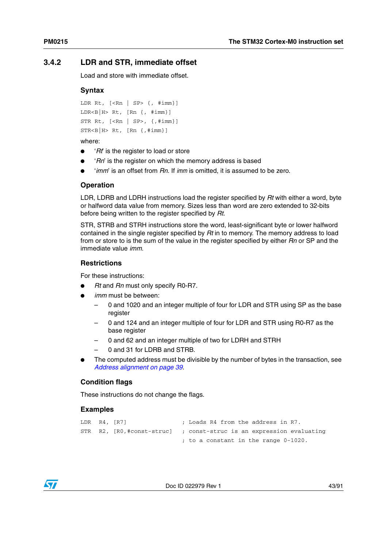# <span id="page-42-0"></span>**3.4.2 LDR and STR, immediate offset**

Load and store with immediate offset.

## **Syntax**

```
LDR Rt, [<\mathsf{Rn} | S P> \{, \# \text{imm}\}]LDR < B | H > Rt, [Rn {, +imm} ]STR Rt, [<>Rn | SP>, {,#imm}]
STR < B | H Rt, [ Rn \{ , #imm \}]
```
#### where:

- '*Rt*' is the register to load or store
- '*Rn*' is the register on which the memory address is based
- '*imm*' is an offset from *Rn*. If *imm* is omitted, it is assumed to be zero.

#### **Operation**

LDR, LDRB and LDRH instructions load the register specified by *Rt* with either a word, byte or halfword data value from memory. Sizes less than word are zero extended to 32-bits before being written to the register specified by *Rt*.

STR, STRB and STRH instructions store the word, least-significant byte or lower halfword contained in the single register specified by *Rt* in to memory. The memory address to load from or store to is the sum of the value in the register specified by either *Rn* or SP and the immediate value *imm*.

## **Restrictions**

For these instructions:

- *Rt* and *Rn* must only specify R0-R7.
- *imm* must be between:
	- 0 and 1020 and an integer multiple of four for LDR and STR using SP as the base register
	- 0 and 124 and an integer multiple of four for LDR and STR using R0-R7 as the base register
	- 0 and 62 and an integer multiple of two for LDRH and STRH
	- 0 and 31 for LDRB and STRB.
- The computed address must be divisible by the number of bytes in the transaction, see *[Address alignment on page 39](#page-38-2)*.

#### **Condition flags**

These instructions do not change the flags.

```
LDR R4, [R7] ; Loads R4 from the address in R7.
STR R2, [R0,#const-struc] ; const-struc is an expression evaluating
                          ; to a constant in the range 0-1020.
```
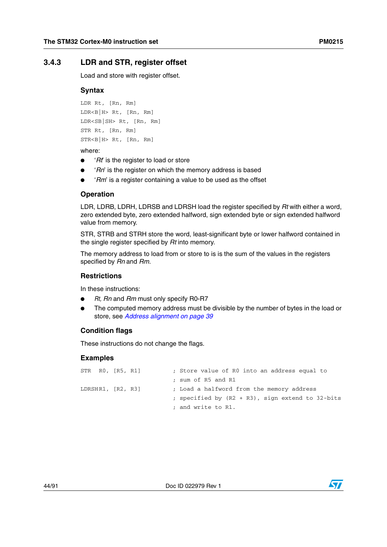# <span id="page-43-0"></span>**3.4.3 LDR and STR, register offset**

Load and store with register offset.

#### **Syntax**

```
LDR Rt, [Rn, Rm]
LDR < B | H > Rt, [Rn, Rm]LDR<SB|SH> Rt, [Rn, Rm]
STR Rt, [Rn, Rm]
STR < B | H Rt, [Rn, Rm]
```
#### where:

- '*Rt*' is the register to load or store
- '*Rn*' is the register on which the memory address is based
- '*Rm*' is a register containing a value to be used as the offset

#### **Operation**

LDR, LDRB, LDRH, LDRSB and LDRSH load the register specified by *Rt* with either a word, zero extended byte, zero extended halfword, sign extended byte or sign extended halfword value from memory.

STR, STRB and STRH store the word, least-significant byte or lower halfword contained in the single register specified by *Rt* into memory.

The memory address to load from or store to is is the sum of the values in the registers specified by *Rn* and *Rm*.

#### **Restrictions**

In these instructions:

- *Rt, Rn* and *Rm* must only specify R0-R7
- The computed memory address must be divisible by the number of bytes in the load or store, see *[Address alignment on page 39](#page-38-2)*

#### **Condition flags**

These instructions do not change the flags.

| $STR$ $R0$ , $[R5$ , $R1]$ |  |  | ; Store value of R0 into an address equal to     |
|----------------------------|--|--|--------------------------------------------------|
|                            |  |  | ; sum of R5 and R1                               |
| LDRSHR1, [R2, R3]          |  |  | ; Load a halfword from the memory address        |
|                            |  |  | ; specified by (R2 + R3), sign extend to 32-bits |
|                            |  |  | ; and write to R1.                               |

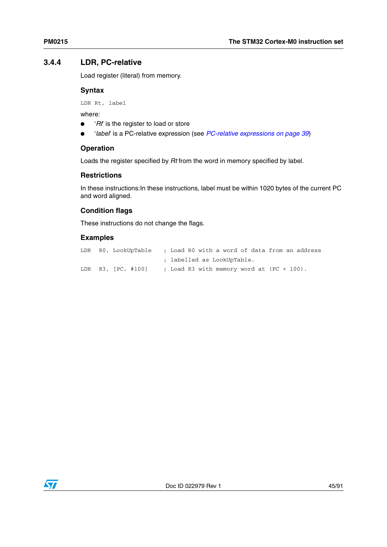# <span id="page-44-0"></span>**3.4.4 LDR, PC-relative**

Load register (literal) from memory.

## **Syntax**

LDR Rt, label

where:

- '*Rt*' is the register to load or store
- '*label*' is a PC-relative expression (see *[PC-relative expressions on page 39](#page-38-1)*)

## **Operation**

Loads the register specified by *Rt* from the word in memory specified by label.

## **Restrictions**

In these instructions: In these instructions, label must be within 1020 bytes of the current PC and word aligned.

# **Condition flags**

These instructions do not change the flags.

|  | LDR R0, LookUpTable ; Load R0 with a word of data from an address |                                              |  |  |  |  |  |
|--|-------------------------------------------------------------------|----------------------------------------------|--|--|--|--|--|
|  |                                                                   | ; labelled as LookUpTable.                   |  |  |  |  |  |
|  | LDR R3, [PC, #100]                                                | ; Load R3 with memory word at $(PC + 100)$ . |  |  |  |  |  |

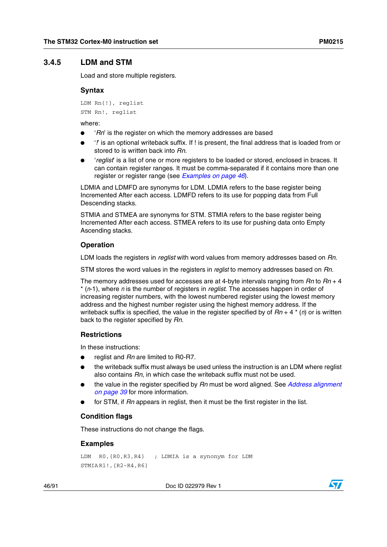## <span id="page-45-0"></span>**3.4.5 LDM and STM**

Load and store multiple registers.

#### **Syntax**

LDM Rn{!}, reglist STM Rn!, reglist

where:

- '*Rn*' is the register on which the memory addresses are based
- '*!*' is an optional writeback suffix. If ! is present, the final address that is loaded from or stored to is written back into *Rn*.
- 'reglist' is a list of one or more registers to be loaded or stored, enclosed in braces. It can contain register ranges. It must be comma-separated if it contains more than one register or register range (see *[Examples on page 46](#page-45-1)*).

LDMIA and LDMFD are synonyms for LDM. LDMIA refers to the base register being Incremented After each access. LDMFD refers to its use for popping data from Full Descending stacks.

STMIA and STMEA are synonyms for STM. STMIA refers to the base register being Incremented After each access. STMEA refers to its use for pushing data onto Empty Ascending stacks.

#### **Operation**

LDM loads the registers in *reglist* with word values from memory addresses based on *Rn*.

STM stores the word values in the registers in *reglist* to memory addresses based on *Rn*.

The memory addresses used for accesses are at 4-byte intervals ranging from *Rn* to *Rn* + 4 \* (*n*-1), where *n* is the number of registers in *reglist*. The accesses happen in order of increasing register numbers, with the lowest numbered register using the lowest memory address and the highest number register using the highest memory address. If the writeback suffix is specified, the value in the register specified by of *Rn* + 4 \* (*n*) or is written back to the register specified by *Rn*.

#### **Restrictions**

In these instructions:

- reglist and *Rn* are limited to R0-R7.
- the writeback suffix must always be used unless the instruction is an LDM where reglist also contains *Rn*, in which case the writeback suffix must not be used.
- the value in the register specified by *Rn* must be word aligned. See *[Address alignment](#page-38-2)  [on page 39](#page-38-2)* for more information.
- for STM, if *Rn* appears in reglist, then it must be the first register in the list.

#### **Condition flags**

These instructions do not change the flags.

#### <span id="page-45-1"></span>**Examples**

```
LDM R0,{R0,R3,R4} ; LDMIA is a synonym for LDM
STMIA R1!,{R2-R4,R6}
```
46/91 Doc ID 022979 Rev 1

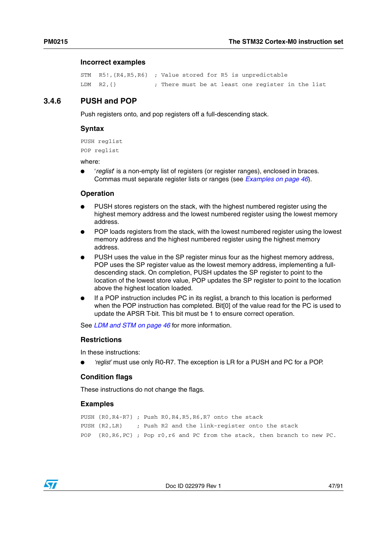#### **Incorrect examples**

```
STM R5!,{R4,R5,R6} ; Value stored for R5 is unpredictable 
LDM R2, {} \qquad \qquad ; There must be at least one register in the list
```
## <span id="page-46-0"></span>**3.4.6 PUSH and POP**

Push registers onto, and pop registers off a full-descending stack.

#### **Syntax**

```
PUSH reglist
POP reglist
```
where:

● '*reglist*' is a non-empty list of registers (or register ranges), enclosed in braces. Commas must separate register lists or ranges (see *[Examples on page 46](#page-45-1)*).

#### **Operation**

- PUSH stores registers on the stack, with the highest numbered register using the highest memory address and the lowest numbered register using the lowest memory address.
- POP loads registers from the stack, with the lowest numbered register using the lowest memory address and the highest numbered register using the highest memory address.
- PUSH uses the value in the SP register minus four as the highest memory address, POP uses the SP register value as the lowest memory address, implementing a fulldescending stack. On completion, PUSH updates the SP register to point to the location of the lowest store value, POP updates the SP register to point to the location above the highest location loaded.
- If a POP instruction includes PC in its reglist, a branch to this location is performed when the POP instruction has completed. Bit[0] of the value read for the PC is used to update the APSR T-bit. This bit must be 1 to ensure correct operation.

See *[LDM and STM on page 46](#page-45-0)* for more information.

### **Restrictions**

In these instructions:

*'reglist'* must use only R0-R7. The exception is LR for a PUSH and PC for a POP.

#### **Condition flags**

These instructions do not change the flags.

```
PUSH {R0,R4-R7} ; Push R0,R4,R5,R6,R7 onto the stack
PUSH {R2,LR} ; Push R2 and the link-register onto the stack
POP {R0,R6,PC} ; Pop r0,r6 and PC from the stack, then branch to new PC.
```
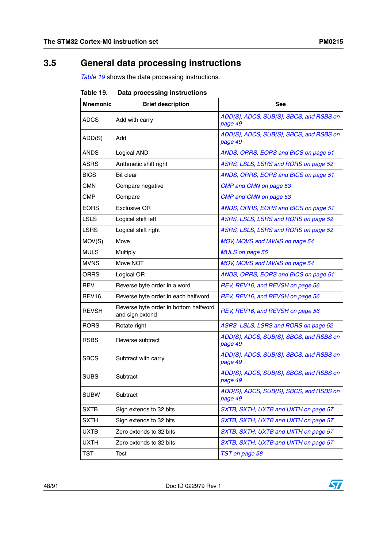# **3.5 General data processing instructions**

*[Table 19](#page-47-0)* shows the data processing instructions.

| iauic 19.         | Dala processing instructions                             |                                                    |
|-------------------|----------------------------------------------------------|----------------------------------------------------|
| <b>Mnemonic</b>   | <b>Brief description</b>                                 | See                                                |
| <b>ADCS</b>       | Add with carry                                           | ADD{S}, ADCS, SUB{S}, SBCS, and RSBS on<br>page 49 |
| ADD(S)            | Add                                                      | ADD{S}, ADCS, SUB{S}, SBCS, and RSBS on<br>page 49 |
| ANDS              | Logical AND                                              | ANDS, ORRS, EORS and BICS on page 51               |
| <b>ASRS</b>       | Arithmetic shift right                                   | ASRS, LSLS, LSRS and RORS on page 52               |
| <b>BICS</b>       | <b>Bit clear</b>                                         | ANDS, ORRS, EORS and BICS on page 51               |
| <b>CMN</b>        | Compare negative                                         | CMP and CMN on page 53                             |
| <b>CMP</b>        | Compare                                                  | CMP and CMN on page 53                             |
| <b>EORS</b>       | Exclusive OR                                             | ANDS, ORRS, EORS and BICS on page 51               |
| <b>LSLS</b>       | Logical shift left                                       | ASRS, LSLS, LSRS and RORS on page 52               |
| <b>LSRS</b>       | Logical shift right                                      | ASRS, LSLS, LSRS and RORS on page 52               |
| MOV(S)            | Move                                                     | MOV, MOVS and MVNS on page 54                      |
| <b>MULS</b>       | Multiply                                                 | <b>MULS</b> on page 55                             |
| <b>MVNS</b>       | Move NOT                                                 | MOV, MOVS and MVNS on page 54                      |
| <b>ORRS</b>       | Logical OR                                               | ANDS, ORRS, EORS and BICS on page 51               |
| <b>REV</b>        | Reverse byte order in a word                             | REV, REV16, and REVSH on page 56                   |
| REV <sub>16</sub> | Reverse byte order in each halfword                      | REV, REV16, and REVSH on page 56                   |
| <b>REVSH</b>      | Reverse byte order in bottom halfword<br>and sign extend | REV, REV16, and REVSH on page 56                   |
| <b>RORS</b>       | Rotate right                                             | ASRS, LSLS, LSRS and RORS on page 52               |
| <b>RSBS</b>       | Reverse subtract                                         | ADD{S}, ADCS, SUB{S}, SBCS, and RSBS on<br>page 49 |
| <b>SBCS</b>       | Subtract with carry                                      | ADD{S}, ADCS, SUB{S}, SBCS, and RSBS on<br>page 49 |
| <b>SUBS</b>       | Subtract                                                 | ADD{S}, ADCS, SUB{S}, SBCS, and RSBS on<br>page 49 |
| <b>SUBW</b>       | Subtract                                                 | ADD{S}, ADCS, SUB{S}, SBCS, and RSBS on<br>page 49 |
| <b>SXTB</b>       | Sign extends to 32 bits                                  | SXTB, SXTH, UXTB and UXTH on page 57               |
| SXTH              | Sign extends to 32 bits                                  | SXTB, SXTH, UXTB and UXTH on page 57               |
| <b>UXTB</b>       | Zero extends to 32 bits                                  | SXTB, SXTH, UXTB and UXTH on page 57               |
| <b>UXTH</b>       | Zero extends to 32 bits                                  | SXTB, SXTH, UXTB and UXTH on page 57               |
| <b>TST</b>        | Test                                                     | TST on page 58                                     |

<span id="page-47-0"></span>Table 10 **Table 19. Data processing instructions**



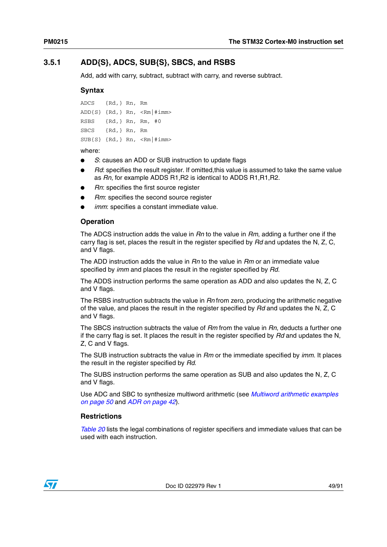# <span id="page-48-0"></span>**3.5.1 ADD{S}, ADCS, SUB{S}, SBCS, and RSBS**

Add, add with carry, subtract, subtract with carry, and reverse subtract.

#### **Syntax**

```
ADCS {Rd,} Rn, Rm
ADD{S} {Rd,} Rn, <Rm|#imm>
RSBS {Rd,} Rn, Rm, #0
SBCS {Rd,} Rn, Rm
SUB{S} {Rd, } Rn, <Rm|#imm>
```
#### where:

- S: causes an ADD or SUB instruction to update flags
- *Rd*: specifies the result register. If omitted, this value is assumed to take the same value as *Rn*, for example ADDS R1,R2 is identical to ADDS R1,R1,R2.
- **Rn: specifies the first source register**
- **Rm:** specifies the second source register
- *imm*: specifies a constant immediate value.

#### **Operation**

The ADCS instruction adds the value in *Rn* to the value in *Rm*, adding a further one if the carry flag is set, places the result in the register specified by *Rd* and updates the N, Z, C, and V flags.

The ADD instruction adds the value in *Rn* to the value in *Rm* or an immediate value specified by *imm* and places the result in the register specified by *Rd*.

The ADDS instruction performs the same operation as ADD and also updates the N, Z, C and V flags.

The RSBS instruction subtracts the value in *Rn* from zero, producing the arithmetic negative of the value, and places the result in the register specified by *Rd* and updates the N, Z, C and V flags.

The SBCS instruction subtracts the value of *Rm* from the value in *Rn*, deducts a further one if the carry flag is set. It places the result in the register specified by *Rd* and updates the N, Z, C and V flags.

The SUB instruction subtracts the value in *Rm* or the immediate specified by *imm*. It places the result in the register specified by *Rd*.

The SUBS instruction performs the same operation as SUB and also updates the N, Z, C and V flags.

Use ADC and SBC to synthesize multiword arithmetic (see *[Multiword arithmetic examples](#page-49-1)  [on page 50](#page-49-1)* and *[ADR on page 42](#page-41-0)*).

#### **Restrictions**

*[Table 20](#page-49-0)* lists the legal combinations of register specifiers and immediate values that can be used with each instruction.

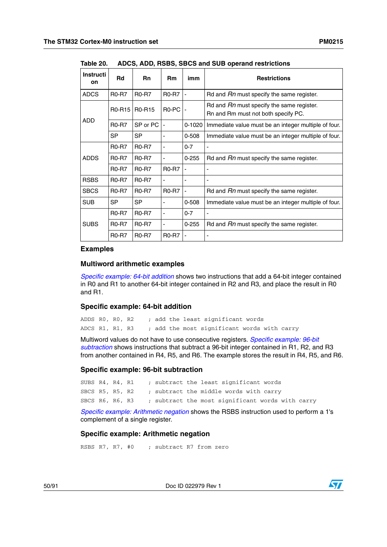| <b>Instructi</b><br>on. | <b>Rd</b>     | <b>Rn</b>     | <b>Rm</b>    | imm        | <b>Restrictions</b>                                                              |
|-------------------------|---------------|---------------|--------------|------------|----------------------------------------------------------------------------------|
| <b>ADCS</b>             | <b>R0-R7</b>  | <b>R0-R7</b>  | <b>R0-R7</b> |            | Rd and Rn must specify the same register.                                        |
|                         | <b>R0-R15</b> | <b>R0-R15</b> | R0-PC        |            | Rd and Rn must specify the same register.<br>Rn and Rm must not both specify PC. |
| ADD                     | <b>R0-R7</b>  | SP or PC      |              | $0 - 1020$ | Immediate value must be an integer multiple of four.                             |
|                         | <b>SP</b>     | <b>SP</b>     |              | 0-508      | Immediate value must be an integer multiple of four.                             |
|                         | <b>R0-R7</b>  | <b>R0-R7</b>  |              | $0 - 7$    |                                                                                  |
| <b>ADDS</b>             | <b>R0-R7</b>  | <b>R0-R7</b>  |              | $0 - 255$  | Rd and <i>Rn</i> must specify the same register.                                 |
|                         | <b>R0-R7</b>  | <b>R0-R7</b>  | <b>R0-R7</b> | ٠          |                                                                                  |
| <b>RSBS</b>             | <b>R0-R7</b>  | <b>R0-R7</b>  |              |            |                                                                                  |
| <b>SBCS</b>             | <b>R0-R7</b>  | <b>R0-R7</b>  | <b>R0-R7</b> |            | Rd and Rn must specify the same register.                                        |
| <b>SUB</b>              | <b>SP</b>     | <b>SP</b>     |              | $0 - 508$  | Immediate value must be an integer multiple of four.                             |
|                         | <b>R0-R7</b>  | <b>R0-R7</b>  | -            | $0 - 7$    | -                                                                                |
| <b>SUBS</b>             | <b>R0-R7</b>  | <b>R0-R7</b>  |              | $0 - 255$  | Rd and Rn must specify the same register.                                        |
|                         | <b>R0-R7</b>  | <b>R0-R7</b>  | <b>R0-R7</b> |            |                                                                                  |

<span id="page-49-0"></span>Table 20. **Table 20. ADCS, ADD, RSBS, SBCS and SUB operand restrictions**

#### **Examples**

#### <span id="page-49-1"></span>**Multiword arithmetic examples**

*[Specific example: 64-bit addition](#page-49-3)* shows two instructions that add a 64-bit integer contained in R0 and R1 to another 64-bit integer contained in R2 and R3, and place the result in R0 and R1.

#### <span id="page-49-3"></span>**Specific example: 64-bit addition**

ADDS R0, R0, R2 ; add the least significant words ADCS R1, R1, R3 ; add the most significant words with carry

Multiword values do not have to use consecutive registers. *[Specific example: 96-bit](#page-49-4)  [subtraction](#page-49-4)* shows instructions that subtract a 96-bit integer contained in R1, R2, and R3 from another contained in R4, R5, and R6. The example stores the result in R4, R5, and R6.

#### <span id="page-49-4"></span>**Specific example: 96-bit subtraction**

SUBS R4, R4, R1 ; subtract the least significant words SBCS R5, R5, R2 ; subtract the middle words with carry SBCS R6, R6, R3 ; subtract the most significant words with carry

*[Specific example: Arithmetic negation](#page-49-2)* shows the RSBS instruction used to perform a 1's complement of a single register.

#### <span id="page-49-2"></span>**Specific example: Arithmetic negation**

RSBS R7, R7, #0 ; subtract R7 from zero

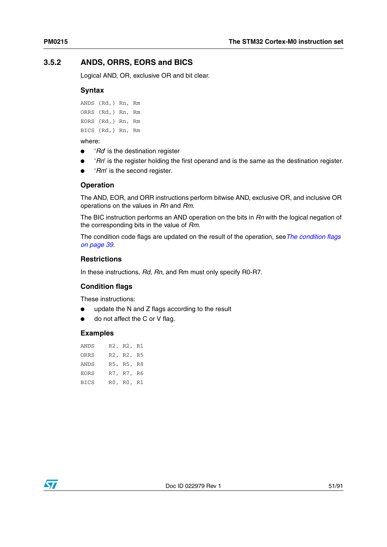# <span id="page-50-0"></span>**3.5.2 ANDS, ORRS, EORS and BICS**

Logical AND, OR, exclusive OR and bit clear.

#### **Syntax**

ANDS {Rd,} Rn, Rm ORRS {Rd,} Rn, Rm EORS {Rd,} Rn, Rm BICS {Rd,} Rn, Rm

#### where:

- '*Rd*' is the destination register
- '*Rn*' is the register holding the first operand and is the same as the destination register.
- '*Rm*' is the second register.

#### **Operation**

The AND, EOR, and ORR instructions perform bitwise AND, exclusive OR, and inclusive OR operations on the values in *Rn* and *Rm*.

The BIC instruction performs an AND operation on the bits in *Rn* with the logical negation of the corresponding bits in the value of *Rm*.

The condition code flags are updated on the result of the operation, see*[The condition flags](#page-38-0)  [on page 39](#page-38-0)*.

#### **Restrictions**

In these instructions, *Rd*, *Rn*, and Rm must only specify R0-R7.

#### **Condition flags**

These instructions:

- update the N and Z flags according to the result
- do not affect the C or V flag.

| ANDS        | R2, R2, R1 |  |
|-------------|------------|--|
| ORRS        | R2, R2, R5 |  |
| <b>ANDS</b> | R5, R5, R8 |  |
| <b>EORS</b> | R7, R7, R6 |  |
| <b>BICS</b> | R0, R0, R1 |  |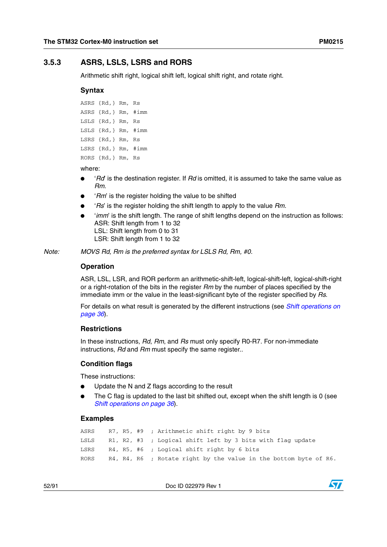## <span id="page-51-0"></span>**3.5.3 ASRS, LSLS, LSRS and RORS**

Arithmetic shift right, logical shift left, logical shift right, and rotate right.

#### **Syntax**

```
ASRS {Rd,} Rm, Rs
ASRS {Rd,} Rm, #imm
LSLS {Rd,} Rm, Rs
LSLS {Rd,} Rm, #imm
LSRS {Rd,} Rm, Rs
LSRS {Rd,} Rm, #imm
RORS {Rd,} Rm, Rs
```
where:

- '*Rd*' is the destination register. If *Rd* is omitted, it is assumed to take the same value as *Rm*.
- '*Rm*' is the register holding the value to be shifted
- '*Rs*' is the register holding the shift length to apply to the value *Rm*.
- *'imm'* is the shift length. The range of shift lengths depend on the instruction as follows: ASR: Shift length from 1 to 32 LSL: Shift length from 0 to 31 LSR: Shift length from 1 to 32

*Note: MOVS Rd, Rm is the preferred syntax for LSLS Rd, Rm, #0.*

#### **Operation**

ASR, LSL, LSR, and ROR perform an arithmetic-shift-left, logical-shift-left, logical-shift-right or a right-rotation of the bits in the register *Rm* by the number of places specified by the immediate imm or the value in the least-significant byte of the register specified by *Rs*.

For details on what result is generated by the different instructions (see *[Shift operations on](#page-35-0)  [page 36](#page-35-0)*).

#### **Restrictions**

In these instructions, *Rd*, *Rm*, and *Rs* must only specify R0-R7. For non-immediate instructions, *Rd* and *Rm* must specify the same register..

#### **Condition flags**

These instructions:

- Update the N and  $Z$  flags according to the result
- The C flag is updated to the last bit shifted out, except when the shift length is 0 (see *[Shift operations on page 36](#page-35-0)*).

#### **Examples**

```
ASRS R7, R5, #9 ; Arithmetic shift right by 9 bits
LSLS R1, R2, #3 ; Logical shift left by 3 bits with flag update
LSRS R4, R5, #6 ; Logical shift right by 6 bits
RORS R4, R4, R6 ; Rotate right by the value in the bottom byte of R6.
```
52/91 Doc ID 022979 Rev 1

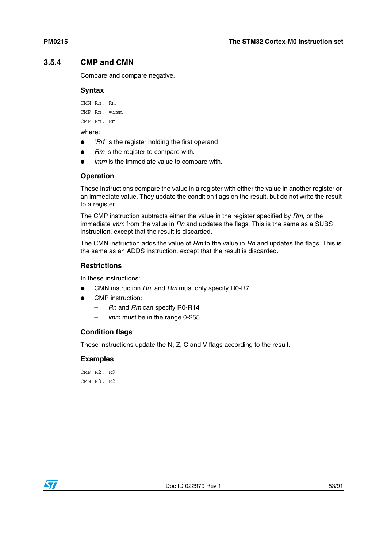# <span id="page-52-0"></span>**3.5.4 CMP and CMN**

Compare and compare negative.

#### **Syntax**

CMN Rn, Rm CMP Rn, #imm

CMP Rn, Rm

where:

- *'Rn'* is the register holding the first operand
- *Rm* is the register to compare with.
- *imm* is the immediate value to compare with.

## **Operation**

These instructions compare the value in a register with either the value in another register or an immediate value. They update the condition flags on the result, but do not write the result to a register.

The CMP instruction subtracts either the value in the register specified by *Rm*, or the immediate *imm* from the value in *Rn* and updates the flags. This is the same as a SUBS instruction, except that the result is discarded.

The CMN instruction adds the value of *Rm* to the value in *Rn* and updates the flags. This is the same as an ADDS instruction, except that the result is discarded.

## **Restrictions**

In these instructions:

- CMN instruction *Rn*, and *Rm* must only specify R0-R7.
- CMP instruction:
	- *Rn* and *Rm* can specify R0-R14
	- *imm* must be in the range 0-255.

## **Condition flags**

These instructions update the N, Z, C and V flags according to the result.

## **Examples**

CMP R2, R9 CMN R0, R2

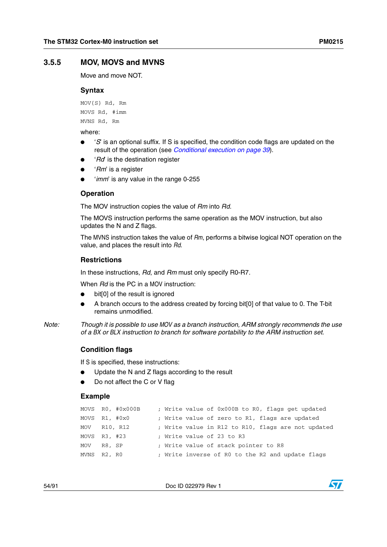## <span id="page-53-0"></span>**3.5.5 MOV, MOVS and MVNS**

Move and move NOT.

#### **Syntax**

MOV{S} Rd, Rm MOVS Rd, #imm MVNS Rd, Rm

where:

- '*S*' is an optional suffix. If S is specified, the condition code flags are updated on the result of the operation (see *[Conditional execution on page 39](#page-38-3)*).
- '*Rd*' is the destination register
- '*Rm*' is a register
- '*imm*' is any value in the range 0-255

#### **Operation**

The MOV instruction copies the value of *Rm* into *Rd*.

The MOVS instruction performs the same operation as the MOV instruction, but also updates the N and Z flags.

The MVNS instruction takes the value of *Rm*, performs a bitwise logical NOT operation on the value, and places the result into *Rd*.

#### **Restrictions**

In these instructions, *Rd*, and *Rm* must only specify R0-R7.

When *Rd* is the PC in a MOV instruction:

- bit[0] of the result is ignored
- A branch occurs to the address created by forcing bit[0] of that value to 0. The T-bit remains unmodified.
- *Note: Though it is possible to use MOV as a branch instruction, ARM strongly recommends the use of a BX or BLX instruction to branch for software portability to the ARM instruction set.*

#### **Condition flags**

If S is specified, these instructions:

- Update the N and Z flags according to the result
- Do not affect the C or V flag

#### **Example**

|                   | MOVS $R0, #0x000B$ | ; Write value of 0x000B to R0, flags get updated   |
|-------------------|--------------------|----------------------------------------------------|
| $MOVS$ R1, $#0x0$ |                    | ; Write value of zero to R1, flags are updated     |
| MOV R10, R12      |                    | ; Write value in R12 to R10, flags are not updated |
| $MOVS$ R3, #23    |                    | ; Write value of 23 to R3                          |
| MOV R8, SP        |                    | ; Write value of stack pointer to R8               |
| MVNS R2, R0       |                    | ; Write inverse of RO to the R2 and update flags   |

54/91 Doc ID 022979 Rev 1

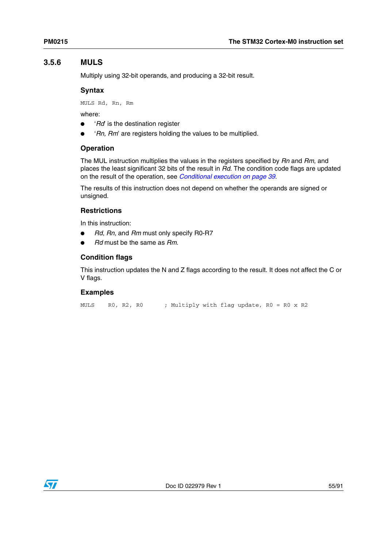# <span id="page-54-0"></span>**3.5.6 MULS**

Multiply using 32-bit operands, and producing a 32-bit result.

## **Syntax**

MULS Rd, Rn, Rm

where:

- *'Rd*' is the destination register
- '*Rn, Rm*' are registers holding the values to be multiplied.

## **Operation**

The MUL instruction multiplies the values in the registers specified by *Rn* and *Rm*, and places the least significant 32 bits of the result in *Rd*. The condition code flags are updated on the result of the operation, see *[Conditional execution on page 39](#page-38-3)*.

The results of this instruction does not depend on whether the operands are signed or unsigned.

## **Restrictions**

In this instruction:

- *Rd*, *Rn*, and *Rm* must only specify R0-R7
- *Rd* must be the same as *Rm*.

# **Condition flags**

This instruction updates the N and Z flags according to the result. It does not affect the C or V flags.

# **Examples**

MULS R0, R2, R0 ; Multiply with flag update, R0 = R0 x R2

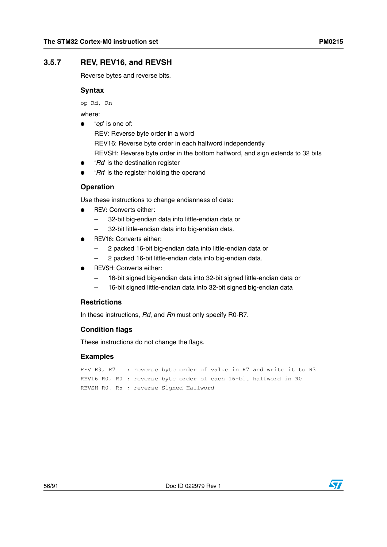# <span id="page-55-0"></span>**3.5.7 REV, REV16, and REVSH**

Reverse bytes and reverse bits.

#### **Syntax**

op Rd, Rn

where:

'op' is one of:

REV: Reverse byte order in a word REV16: Reverse byte order in each halfword independently REVSH: Reverse byte order in the bottom halfword, and sign extends to 32 bits

- '*Rd*' is the destination register
- 'Rn' is the register holding the operand

## **Operation**

Use these instructions to change endianness of data:

- REV**:** Converts either:
	- 32-bit big-endian data into little-endian data or
	- 32-bit little-endian data into big-endian data.
- REV16**:** Converts either:
	- 2 packed 16-bit big-endian data into little-endian data or
	- 2 packed 16-bit little-endian data into big-endian data.
- REVSH: Converts either:
	- 16-bit signed big-endian data into 32-bit signed little-endian data or
	- 16-bit signed little-endian data into 32-bit signed big-endian data

#### **Restrictions**

In these instructions, *Rd*, and *Rn* must only specify R0-R7.

#### **Condition flags**

These instructions do not change the flags.

```
REV R3, R7 ; reverse byte order of value in R7 and write it to R3
REV16 R0, R0 ; reverse byte order of each 16-bit halfword in R0
REVSH R0, R5 ; reverse Signed Halfword
```


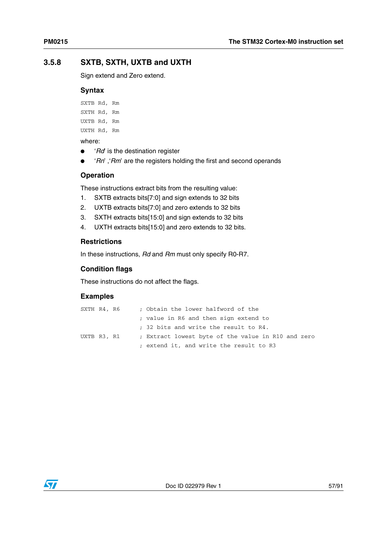# <span id="page-56-0"></span>**3.5.8 SXTB, SXTH, UXTB and UXTH**

Sign extend and Zero extend.

### **Syntax**

SXTB Rd, Rm

SXTH Rd, Rm

UXTB Rd, Rm

UXTH Rd, Rm

where:

- *'Rd*' is the destination register
- '*Rn*', '*Rm*' are the registers holding the first and second operands

# **Operation**

These instructions extract bits from the resulting value:

- 1. SXTB extracts bits[7:0] and sign extends to 32 bits
- 2. UXTB extracts bits[7:0] and zero extends to 32 bits
- 3. SXTH extracts bits[15:0] and sign extends to 32 bits
- 4. UXTH extracts bits[15:0] and zero extends to 32 bits.

## **Restrictions**

In these instructions, *Rd* and *Rm* must only specify R0-R7.

# **Condition flags**

These instructions do not affect the flags.

| SXTH R4, R6 |  | ; Obtain the lower halfword of the                 |
|-------------|--|----------------------------------------------------|
|             |  | ; value in R6 and then sign extend to              |
|             |  | : 32 bits and write the result to R4.              |
| UXTB R3, R1 |  | ; Extract lowest byte of the value in R10 and zero |
|             |  | ; extend it, and write the result to R3            |

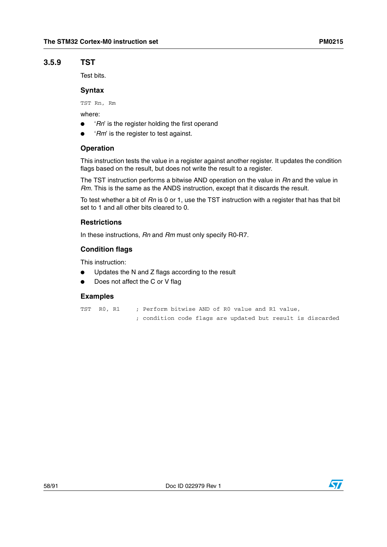## <span id="page-57-0"></span>**3.5.9 TST**

Test bits.

## **Syntax**

TST Rn, Rm

where:

- 'Rn' is the register holding the first operand
- '*Rm*' is the register to test against.

#### **Operation**

This instruction tests the value in a register against another register. It updates the condition flags based on the result, but does not write the result to a register.

The TST instruction performs a bitwise AND operation on the value in *Rn* and the value in *Rm*. This is the same as the ANDS instruction, except that it discards the result.

To test whether a bit of *Rn* is 0 or 1, use the TST instruction with a register that has that bit set to 1 and all other bits cleared to 0.

#### **Restrictions**

In these instructions, *Rn* and *Rm* must only specify R0-R7.

#### **Condition flags**

This instruction:

- Updates the N and Z flags according to the result
- Does not affect the C or V flag

#### **Examples**

```
TST R0, R1 ; Perform bitwise AND of R0 value and R1 value,
```
; condition code flags are updated but result is discarded

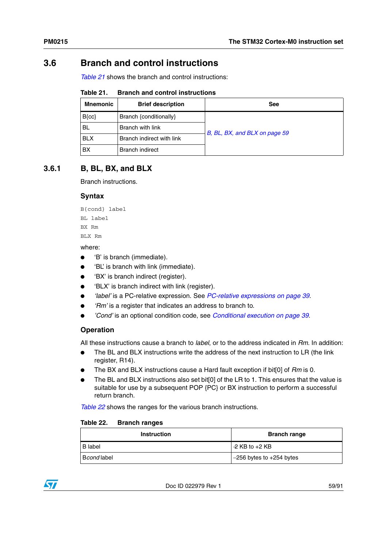# **3.6 Branch and control instructions**

*[Table 21](#page-58-1)* shows the branch and control instructions:

<span id="page-58-1"></span>

| <b>Branch and control instructions</b><br>Table 21. |  |  |  |  |  |
|-----------------------------------------------------|--|--|--|--|--|
|-----------------------------------------------------|--|--|--|--|--|

| <b>Mnemonic</b> | <b>Brief description</b>  | <b>See</b>                    |
|-----------------|---------------------------|-------------------------------|
| $B{cc}$         | Branch {conditionally}    |                               |
| BL              | Branch with link          | B, BL, BX, and BLX on page 59 |
| <b>BLX</b>      | Branch indirect with link |                               |
| BX              | <b>Branch indirect</b>    |                               |

# <span id="page-58-2"></span>**3.6.1 B, BL, BX, and BLX**

Branch instructions.

## **Syntax**

B{cond} label BL label BX Rm BLX Rm

#### where:

- 'B' is branch (immediate).
- 'BL' is branch with link (immediate).
- 'BX' is branch indirect (register).
- 'BLX' is branch indirect with link (register).
- *'label'* is a PC-relative expression. See *[PC-relative expressions on page 39](#page-38-1)*.
- 'Rm' is a register that indicates an address to branch to.
- *'Cond'* is an optional condition code, see *[Conditional execution on page 39](#page-38-3)*.

## **Operation**

All these instructions cause a branch to *label*, or to the address indicated in *Rm*. In addition:

- The BL and BLX instructions write the address of the next instruction to LR (the link register, R14).
- The BX and BLX instructions cause a Hard fault exception if bit<sup>[0]</sup> of *Rm* is 0.
- The BL and BLX instructions also set bit[0] of the LR to 1. This ensures that the value is suitable for use by a subsequent POP {PC} or BX instruction to perform a successful return branch.

*[Table 22](#page-58-0)* shows the ranges for the various branch instructions.

#### <span id="page-58-0"></span>Table 22. **Branch ranges**

| <b>Instruction</b> | <b>Branch range</b>          |
|--------------------|------------------------------|
| B label            | $\sqrt{2}$ KB to $+2$ KB     |
| Bcond label        | $-256$ bytes to $+254$ bytes |

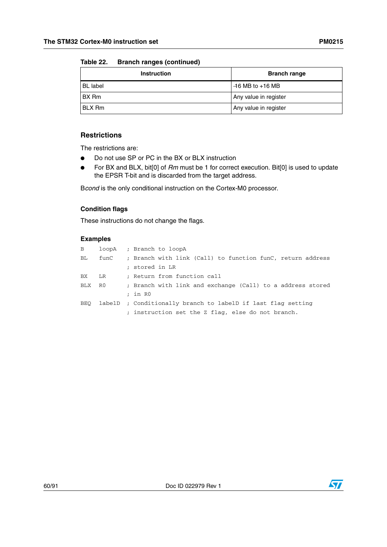#### **Table 22. Branch ranges (continued)**

| <b>Instruction</b> | <b>Branch range</b>   |
|--------------------|-----------------------|
| <b>BL</b> label    | $-16$ MB to $+16$ MB  |
| <b>BX</b> Rm       | Any value in register |
| <b>BLX Rm</b>      | Any value in register |

# **Restrictions**

The restrictions are:

- Do not use SP or PC in the BX or BLX instruction
- For BX and BLX, bit[0] of *Rm* must be 1 for correct execution. Bit[0] is used to update the EPSR T-bit and is discarded from the target address.

B*cond* is the only conditional instruction on the Cortex-M0 processor.

### **Condition flags**

These instructions do not change the flags.

| B   |      | loopA ; Branch to loopA                                      |
|-----|------|--------------------------------------------------------------|
| BL. | funC | ; Branch with link (Call) to function funC, return address   |
|     |      | : stored in LR                                               |
| BX. | LR   | ; Return from function call                                  |
| BLX | R0   | ; Branch with link and exchange (Call) to a address stored   |
|     |      | $:$ in $R0$                                                  |
| BEO |      | labelD ; Conditionally branch to labelD if last flag setting |
|     |      | ; instruction set the Z flag, else do not branch.            |



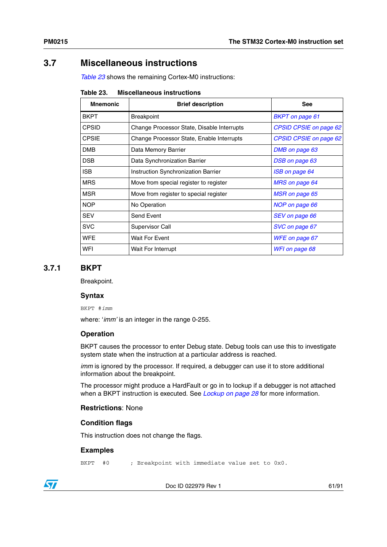# **3.7 Miscellaneous instructions**

*[Table 23](#page-60-0)* shows the remaining Cortex-M0 instructions:

<span id="page-60-0"></span>

| Table 23. | <b>Miscellaneous instructions</b> |  |
|-----------|-----------------------------------|--|
|-----------|-----------------------------------|--|

| <b>Mnemonic</b> | <b>Brief description</b>                   | <b>See</b>                    |
|-----------------|--------------------------------------------|-------------------------------|
| <b>BKPT</b>     | <b>Breakpoint</b>                          | <b>BKPT</b> on page 61        |
| <b>CPSID</b>    | Change Processor State, Disable Interrupts | <b>CPSID CPSIE on page 62</b> |
| <b>CPSIE</b>    | Change Processor State, Enable Interrupts  | <b>CPSID CPSIE on page 62</b> |
| <b>DMB</b>      | Data Memory Barrier                        | DMB on page 63                |
| <b>DSB</b>      | Data Synchronization Barrier               | DSB on page 63                |
| <b>ISB</b>      | Instruction Synchronization Barrier        | ISB on page 64                |
| <b>MRS</b>      | Move from special register to register     | MRS on page 64                |
| <b>MSR</b>      | Move from register to special register     | MSR on page 65                |
| <b>NOP</b>      | No Operation                               | NOP on page 66                |
| <b>SEV</b>      | Send Event                                 | SEV on page 66                |
| <b>SVC</b>      | Supervisor Call                            | SVC on page 67                |
| <b>WFE</b>      | <b>Wait For Event</b>                      | WFE on page 67                |
| WFI             | <b>Wait For Interrupt</b>                  | WFI on page 68                |

## <span id="page-60-1"></span>**3.7.1 BKPT**

Breakpoint.

#### **Syntax**

BKPT #*imm*

where: '*imm'* is an integer in the range 0-255.

#### **Operation**

BKPT causes the processor to enter Debug state. Debug tools can use this to investigate system state when the instruction at a particular address is reached.

*imm* is ignored by the processor. If required, a debugger can use it to store additional information about the breakpoint.

The processor might produce a HardFault or go in to lockup if a debugger is not attached when a BKPT instruction is executed. See *[Lockup on page 28](#page-27-0)* for more information.

#### **Restrictions**: None

#### **Condition flags**

This instruction does not change the flags.

#### **Examples**

BKPT #0 ; Breakpoint with immediate value set to 0x0.

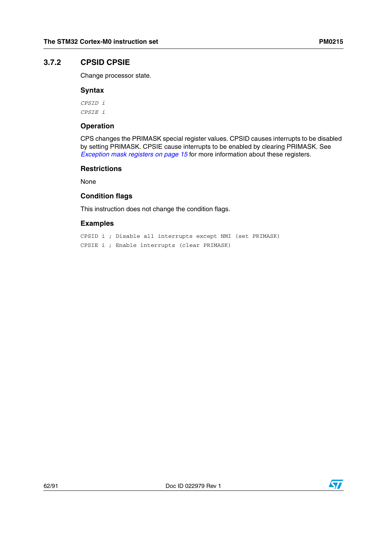## <span id="page-61-0"></span>**3.7.2 CPSID CPSIE**

Change processor state.

### **Syntax**

*CPSID i CPSIE i*

### **Operation**

CPS changes the PRIMASK special register values. CPSID causes interrupts to be disabled by setting PRIMASK. CPSIE cause interrupts to be enabled by clearing PRIMASK. See *[Exception mask registers on page 15](#page-14-0)* for more information about these registers.

## **Restrictions**

None

## **Condition flags**

This instruction does not change the condition flags.

## **Examples**

CPSID i ; Disable all interrupts except NMI (set PRIMASK) CPSIE i ; Enable interrupts (clear PRIMASK)

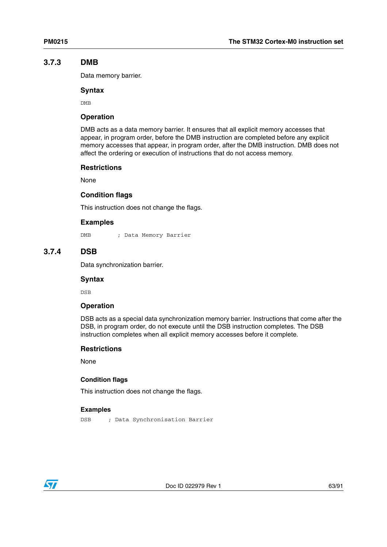#### <span id="page-62-0"></span>**3.7.3 DMB**

Data memory barrier.

#### **Syntax**

DMB

### **Operation**

DMB acts as a data memory barrier. It ensures that all explicit memory accesses that appear, in program order, before the DMB instruction are completed before any explicit memory accesses that appear, in program order, after the DMB instruction. DMB does not affect the ordering or execution of instructions that do not access memory.

#### **Restrictions**

None

#### **Condition flags**

This instruction does not change the flags.

#### **Examples**

DMB ; Data Memory Barrier

## <span id="page-62-1"></span>**3.7.4 DSB**

Data synchronization barrier.

#### **Syntax**

DSB

#### **Operation**

DSB acts as a special data synchronization memory barrier. Instructions that come after the DSB, in program order, do not execute until the DSB instruction completes. The DSB instruction completes when all explicit memory accesses before it complete.

#### **Restrictions**

None

#### **Condition flags**

This instruction does not change the flags.

```
DSB ; Data Synchronisation Barrier
```
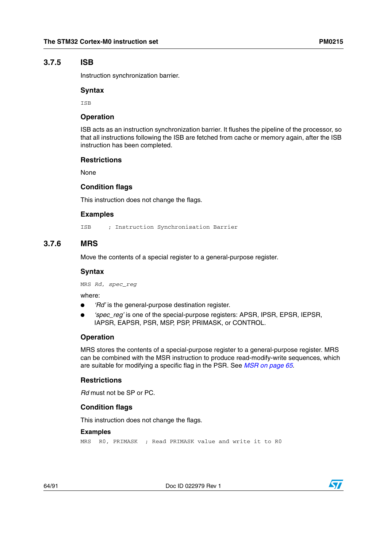## <span id="page-63-0"></span>**3.7.5 ISB**

Instruction synchronization barrier.

#### **Syntax**

**TSB** 

#### **Operation**

ISB acts as an instruction synchronization barrier. It flushes the pipeline of the processor, so that all instructions following the ISB are fetched from cache or memory again, after the ISB instruction has been completed.

#### **Restrictions**

None

#### **Condition flags**

This instruction does not change the flags.

#### **Examples**

ISB ; Instruction Synchronisation Barrier

## <span id="page-63-1"></span>**3.7.6 MRS**

Move the contents of a special register to a general-purpose register.

#### **Syntax**

MRS *Rd*, *spec\_reg*

where:

- 'Rd' is the general-purpose destination register.
- *'spec\_reg'* is one of the special-purpose registers: APSR, IPSR, EPSR, IEPSR, IAPSR, EAPSR, PSR, MSP, PSP, PRIMASK, or CONTROL.

#### **Operation**

MRS stores the contents of a special-purpose register to a general-purpose register. MRS can be combined with the MSR instruction to produce read-modify-write sequences, which are suitable for modifying a specific flag in the PSR. See *[MSR on page 65](#page-64-0)*.

#### **Restrictions**

*Rd* must not be SP or PC.

#### **Condition flags**

This instruction does not change the flags.

#### **Examples**

MRS R0, PRIMASK ; Read PRIMASK value and write it to R0

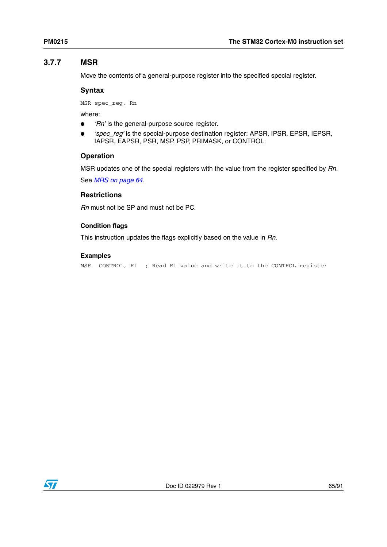# <span id="page-64-0"></span>**3.7.7 MSR**

Move the contents of a general-purpose register into the specified special register.

### **Syntax**

MSR spec\_reg, Rn

where:

- 'Rn' is the general-purpose source register.
- *'spec\_reg'* is the special-purpose destination register: APSR, IPSR, EPSR, IEPSR, IAPSR, EAPSR, PSR, MSP, PSP, PRIMASK, or CONTROL.

## **Operation**

MSR updates one of the special registers with the value from the register specified by *Rn*.

See *[MRS on page 64](#page-63-1)*.

## **Restrictions**

*Rn* must not be SP and must not be PC.

# **Condition flags**

This instruction updates the flags explicitly based on the value in *Rn*.

## **Examples**

MSR CONTROL, R1 ; Read R1 value and write it to the CONTROL register

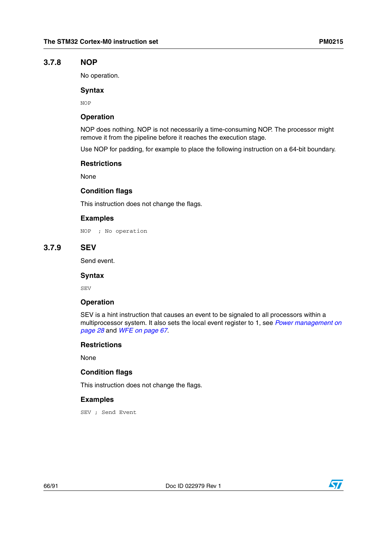#### <span id="page-65-0"></span>**3.7.8 NOP**

No operation.

#### **Syntax**

NOP

#### **Operation**

NOP does nothing. NOP is not necessarily a time-consuming NOP. The processor might remove it from the pipeline before it reaches the execution stage.

Use NOP for padding, for example to place the following instruction on a 64-bit boundary.

#### **Restrictions**

None

#### **Condition flags**

This instruction does not change the flags.

## **Examples**

NOP ; No operation

# <span id="page-65-1"></span>**3.7.9 SEV**

Send event.

#### **Syntax**

SEV

#### **Operation**

SEV is a hint instruction that causes an event to be signaled to all processors within a multiprocessor system. It also sets the local event register to 1, see *[Power management on](#page-27-1)  [page 28](#page-27-1)* and *[WFE on page 67](#page-66-1)*.

#### **Restrictions**

None

#### **Condition flags**

This instruction does not change the flags.

#### **Examples**

SEV ; Send Event



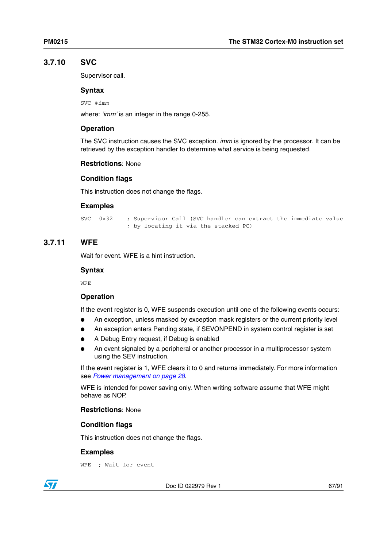# <span id="page-66-0"></span>**3.7.10 SVC**

Supervisor call.

### **Syntax**

SVC #*imm*

where: *'imm'* is an integer in the range 0-255.

## **Operation**

The SVC instruction causes the SVC exception. *imm* is ignored by the processor. It can be retrieved by the exception handler to determine what service is being requested.

## **Restrictions**: None

## **Condition flags**

This instruction does not change the flags.

## **Examples**

SVC 0x32 ; Supervisor Call (SVC handler can extract the immediate value ; by locating it via the stacked PC)

# <span id="page-66-1"></span>**3.7.11 WFE**

Wait for event. WFE is a hint instruction.

### **Syntax**

WFE

## **Operation**

If the event register is 0, WFE suspends execution until one of the following events occurs:

- An exception, unless masked by exception mask registers or the current priority level
- An exception enters Pending state, if SEVONPEND in system control register is set
- A Debug Entry request, if Debug is enabled
- An event signaled by a peripheral or another processor in a multiprocessor system using the SEV instruction.

If the event register is 1, WFE clears it to 0 and returns immediately. For more information see *[Power management on page 28](#page-27-1)*.

WFE is intended for power saving only. When writing software assume that WFE might behave as NOP.

#### **Restrictions**: None

## **Condition flags**

This instruction does not change the flags.

#### **Examples**

 $\overline{\mathbf{S}}$ 

WFE ; Wait for event

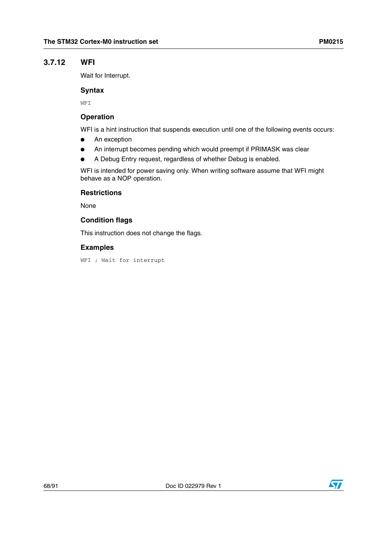# <span id="page-67-0"></span>**3.7.12 WFI**

Wait for Interrupt.

### **Syntax**

WFI

## **Operation**

WFI is a hint instruction that suspends execution until one of the following events occurs:

- An exception
- An interrupt becomes pending which would preempt if PRIMASK was clear
- A Debug Entry request, regardless of whether Debug is enabled.

WFI is intended for power saving only. When writing software assume that WFI might behave as a NOP operation.

## **Restrictions**

None

## **Condition flags**

This instruction does not change the flags.

## **Examples**

WFI ; Wait for interrupt

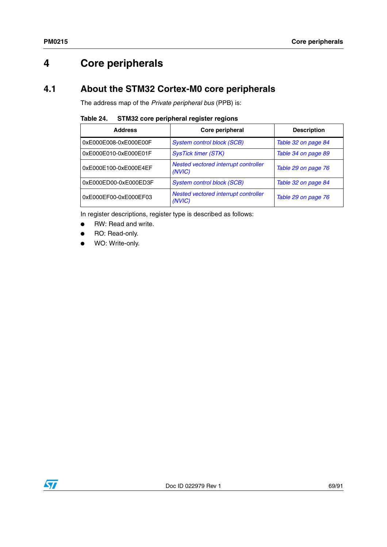# **4 Core peripherals**

# **4.1 About the STM32 Cortex-M0 core peripherals**

The address map of the *Private peripheral bus* (PPB) is:

| Table 24. | <b>STM32 core peripheral register regions</b> |  |  |
|-----------|-----------------------------------------------|--|--|
|           |                                               |  |  |

| <b>Address</b>        | Core peripheral                                | <b>Description</b>  |  |  |
|-----------------------|------------------------------------------------|---------------------|--|--|
| 0xE000E008-0xE000E00F | <b>System control block (SCB)</b>              | Table 32 on page 84 |  |  |
| 0xE000E010-0xE000E01F | <b>SysTick timer (STK)</b>                     | Table 34 on page 89 |  |  |
| 0xE000E100-0xE000E4EF | Nested vectored interrupt controller<br>(NVIC) | Table 29 on page 76 |  |  |
| 0xE000ED00-0xE000ED3F | <b>System control block (SCB)</b>              | Table 32 on page 84 |  |  |
| 0xE000EF00-0xE000EF03 | Nested vectored interrupt controller<br>(NVIC) | Table 29 on page 76 |  |  |

In register descriptions, register type is described as follows:

- RW: Read and write.
- RO: Read-only.
- WO: Write-only.

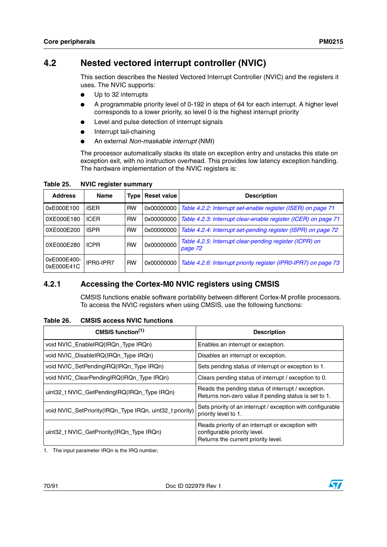# <span id="page-69-0"></span>**4.2 Nested vectored interrupt controller (NVIC)**

This section describes the Nested Vectored Interrupt Controller (NVIC) and the registers it uses. The NVIC supports:

- Up to 32 interrupts
- A programmable priority level of 0-192 in steps of 64 for each interrupt. A higher level corresponds to a lower priority, so level 0 is the highest interrupt priority
- Level and pulse detection of interrupt signals
- Interrupt tail-chaining
- An external *Non-maskable interrupt* (NMI)

The processor automatically stacks its state on exception entry and unstacks this state on exception exit, with no instruction overhead. This provides low latency exception handling. The hardware implementation of the NVIC registers is:

| <b>Address</b>            | <b>Name</b> | <b>Type</b> | <b>Reset value</b> | <b>Description</b>                                                 |
|---------------------------|-------------|-------------|--------------------|--------------------------------------------------------------------|
| 0xE000E100                | <b>ISER</b> | <b>RW</b>   | 0x00000000         | Table 4.2.2: Interrupt set-enable register (ISER) on page 71       |
| 0XE000E180                | <b>ICER</b> | <b>RW</b>   | 0x00000000         | Table 4.2.3: Interrupt clear-enable register (ICER) on page 71     |
| 0XE000E200                | <b>ISPR</b> | <b>RW</b>   | 0x00000000         | Table 4.2.4: Interrupt set-pending register (ISPR) on page 72      |
| 0XE000E280                | <b>ICPR</b> | <b>RW</b>   | 0x00000000         | Table 4.2.5: Interrupt clear-pending register (ICPR) on<br>page 72 |
| 0xE000E400-<br>0xE000E41C | IPRO-IPR7   | <b>RW</b>   | 0x00000000         | Table 4.2.6: Interrupt priority register (IPR0-IPR7) on page 73    |

**Table 25. NVIC register summary**

# **4.2.1 Accessing the Cortex-M0 NVIC registers using CMSIS**

CMSIS functions enable software portability between different Cortex-M profile processors. To access the NVIC registers when using CMSIS, use the following functions:

#### **Table 26. CMSIS access NVIC functions**

| CMSIS function $(1)$                                     | <b>Description</b>                                                                                                      |
|----------------------------------------------------------|-------------------------------------------------------------------------------------------------------------------------|
| void NVIC_EnableIRQ(IRQn_Type IRQn)                      | Enables an interrupt or exception.                                                                                      |
| void NVIC_DisableIRQ(IRQn_Type IRQn)                     | Disables an interrupt or exception.                                                                                     |
| void NVIC_SetPendingIRQ(IRQn_Type IRQn)                  | Sets pending status of interrupt or exception to 1.                                                                     |
| void NVIC_ClearPendingIRQ(IRQn_Type IRQn)                | Clears pending status of interrupt / exception to 0.                                                                    |
| uint32_t NVIC_GetPendingIRQ(IRQn_Type IRQn)              | Reads the pending status of interrupt / exception.<br>Returns non-zero value if pending status is set to 1.             |
| void NVIC_SetPriority(IRQn_Type IRQn, uint32_t priority) | Sets priority of an interrupt / exception with configurable<br>priority level to 1.                                     |
| uint32_t NVIC_GetPriority(IRQn_Type IRQn)                | Reads priority of an interrupt or exception with<br>configurable priority level.<br>Returns the current priority level. |

1. The input parameter IRQn is the IRQ number,

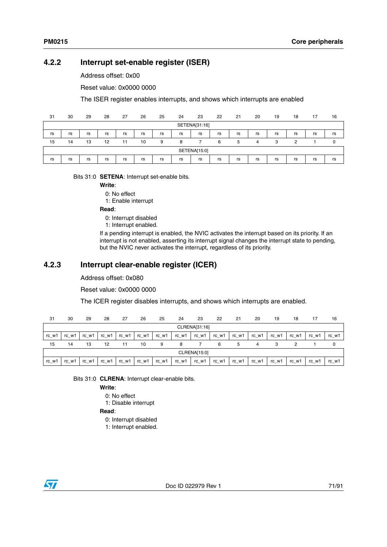# <span id="page-70-0"></span>**4.2.2 Interrupt set-enable register (ISER)**

Address offset: 0x00

Reset value: 0x0000 0000

The ISER register enables interrupts, and shows which interrupts are enabled

| 31            | 30           | 29 | 28 | 27 | 26 | 25 | 24 | 23 | 22 | 21 | 20 | 19 | 18 | 17 | 16 |
|---------------|--------------|----|----|----|----|----|----|----|----|----|----|----|----|----|----|
| SETENA[31:16] |              |    |    |    |    |    |    |    |    |    |    |    |    |    |    |
| rs            | rs           | rs | rs | rs | rs | rs | rs | rs | rs | rs | rs | rs | rs | rs | rs |
| 15            | 14           | 13 | 12 | 11 | 10 | 9  | 8  |    | 6  | 5  |    | 3  | っ  |    |    |
|               | SETENA[15:0] |    |    |    |    |    |    |    |    |    |    |    |    |    |    |
| rs            | rs           | rs | rs | rs | rs | rs | rs | rs | rs | rs | rs | rs | rs | rs | rs |

Bits 31:0 **SETENA**: Interrupt set-enable bits.

**Write**:

0: No effect

1: Enable interrupt

#### **Read**:

0: Interrupt disabled

1: Interrupt enabled.

If a pending interrupt is enabled, the NVIC activates the interrupt based on its priority. If an interrupt is not enabled, asserting its interrupt signal changes the interrupt state to pending, but the NVIC never activates the interrupt, regardless of its priority.

# <span id="page-70-1"></span>**4.2.3 Interrupt clear-enable register (ICER)**

Address offset: 0x080

Reset value: 0x0000 0000

The ICER register disables interrupts, and shows which interrupts are enabled.

| 31    | 30            | 29    | 28    | 27    | 26    | 25    | 24    | 23    | 22    | 21    | 20    | 19    | 18    | 17    | 16    |
|-------|---------------|-------|-------|-------|-------|-------|-------|-------|-------|-------|-------|-------|-------|-------|-------|
|       | CLRENA[31:16] |       |       |       |       |       |       |       |       |       |       |       |       |       |       |
| rc w1 | rc w1         | rc_w1 | rc_w1 | rc_w1 | rc_w1 | rc_w1 | rc w1 | rc_w1 | rc_w1 | rc_w1 | rc_w1 | rc_w1 | rc_w1 | rc_w1 | rc_w1 |
| 15    | 14            | 13    | 12    | 11    | 10    | 9     | 8     |       | 6     | 5     | 4     |       |       |       | 0     |
|       | CLRENA[15:0]  |       |       |       |       |       |       |       |       |       |       |       |       |       |       |
| rc w1 | rc w1         | rc w1 | rc_w1 | rc w1 | rc_w1 | rc w1 | rc w1 | rc_w1 | rc_w1 | rc w1 | rc w1 | rc_w1 | rc w1 | rc w1 | rc_w1 |

Bits 31:0 **CLRENA**: Interrupt clear-enable bits.

**Write**:

0: No effect

1: Disable interrupt

#### **Read**:

- 0: Interrupt disabled
- 1: Interrupt enabled.

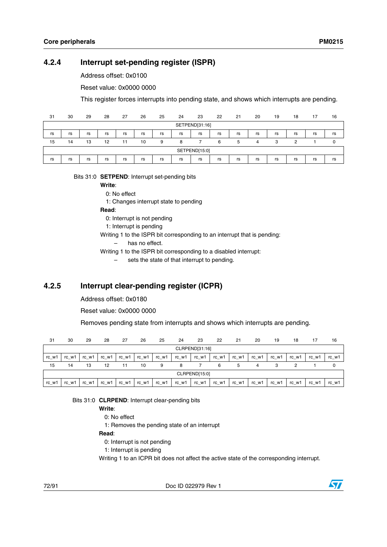# <span id="page-71-0"></span>**4.2.4 Interrupt set-pending register (ISPR)**

Address offset: 0x0100

Reset value: 0x0000 0000

This register forces interrupts into pending state, and shows which interrupts are pending.

| 31             | 30            | 29 | 28 | 27 | 26 | 25 | 24 | 23 | 22 | 21 | 20 | 19 | 18 | 17 | 16 |
|----------------|---------------|----|----|----|----|----|----|----|----|----|----|----|----|----|----|
| SETPEND[31:16] |               |    |    |    |    |    |    |    |    |    |    |    |    |    |    |
| rs             | rs            | rs | rs | rs | rs | rs | rs | rs | rs | rs | rs | rs | rs | rs | rs |
| 15             | 14            | 13 | 12 | 11 | 10 | 9  | 8  |    | 6  | 5  | 4  | 3  | ົ  |    | 0  |
|                | SETPEND[15:0] |    |    |    |    |    |    |    |    |    |    |    |    |    |    |
| rs             | rs            | rs | rs | rs | rs | rs | rs | rs | rs | rs | rs | rs | rs | rs | rs |

#### Bits 31:0 **SETPEND**: Interrupt set-pending bits

**Write**:

0: No effect

1: Changes interrupt state to pending

**Read**:

0: Interrupt is not pending

- 1: Interrupt is pending
- Writing 1 to the ISPR bit corresponding to an interrupt that is pending:
	- has no effect.
- Writing 1 to the ISPR bit corresponding to a disabled interrupt:
	- sets the state of that interrupt to pending.

## <span id="page-71-1"></span>**4.2.5 Interrupt clear-pending register (ICPR)**

Address offset: 0x0180

Reset value: 0x0000 0000

Removes pending state from interrupts and shows which interrupts are pending.

| 31    | 30             | 29    | 28    | 27      | 26    | 25    | 24    | 23    | 22    | 21    | 20    | 19    | 18    | 17    | 16    |
|-------|----------------|-------|-------|---------|-------|-------|-------|-------|-------|-------|-------|-------|-------|-------|-------|
|       | CLRPEND[31:16] |       |       |         |       |       |       |       |       |       |       |       |       |       |       |
| rc w1 | rc w1          | rc w1 | rc_w1 | rc w1   | rc_w1 | rc w1 | rc w1 | rc_w1 | rc w1 | rc w1 | rc w1 | rc_w1 | rc w1 | rc w1 | rc_w1 |
| 15    | 14             | 13    | 12    | 11      | 10    | 9     | 8     |       | 6     | 5     | 4     |       |       |       |       |
|       | CLRPEND[15:0]  |       |       |         |       |       |       |       |       |       |       |       |       |       |       |
| rc_w1 | rc_w1          | rc_w1 | rc_w1 | $rc_w1$ | rc_w1 | rc_w1 | rc_w1 | rc_w1 | rc_w1 | rc_w1 | rc_w1 | rc_w1 | rc_w1 | rc_w1 | rc_w1 |

Bits 31:0 **CLRPEND**: Interrupt clear-pending bits

**Write**:

- 0: No effect
- 1: Removes the pending state of an interrupt

#### **Read**:

- 0: Interrupt is not pending
- 1: Interrupt is pending

Writing 1 to an ICPR bit does not affect the active state of the corresponding interrupt.

72/91 Doc ID 022979 Rev 1

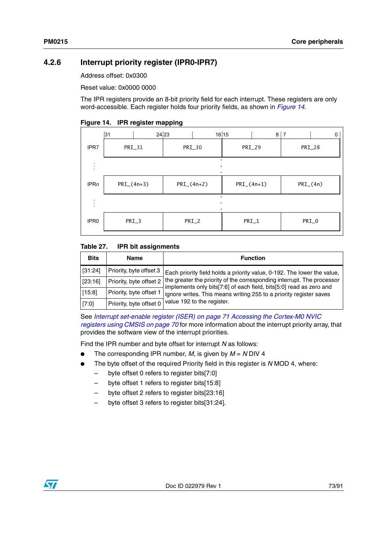### **4.2.6 Interrupt priority register (IPR0-IPR7)**

Address offset: 0x0300

Reset value: 0x0000 0000

The IPR registers provide an 8-bit priority field for each interrupt. These registers are only word-accessible. Each register holds four priority fields, as shown in *[Figure 14](#page-72-0)*.

<span id="page-72-0"></span>

|  | Figure 14. IPR register mapping |  |
|--|---------------------------------|--|
|--|---------------------------------|--|

|                  | 31             | 24 23         | 16 15<br>$8 \mid 7$ | $\mathbf{0}$  |  |  |
|------------------|----------------|---------------|---------------------|---------------|--|--|
| IPR7             | PRI_31         | PRI_30        | PRI_29              | PRI_28        |  |  |
|                  |                | ٠             |                     |               |  |  |
| IPRn             | $PRI_{(4n+3)}$ | $PRI_-(4n+2)$ | $PRI_{-}(4n+1)$     | $PRI_{-}(4n)$ |  |  |
|                  |                | ٠<br>٠        |                     |               |  |  |
| IPR <sub>0</sub> | PRI_3          | PRI_2         | $PRI_1$             | PRI_0         |  |  |

#### Table 27. **IPR bit assignments**

| <b>Bits</b> | Name                    | <b>Function</b>                                                                                                                               |
|-------------|-------------------------|-----------------------------------------------------------------------------------------------------------------------------------------------|
| [31:24]     | Priority, byte offset 3 | Each priority field holds a priority value, 0-192. The lower the value,                                                                       |
| [23:16]     | Priority, byte offset 2 | the greater the priority of the corresponding interrupt. The processor<br>implements only bits[7:6] of each field, bits[5:0] read as zero and |
| [15:8]      | Priority, byte offset 1 | ignore writes. This means writing 255 to a priority register saves                                                                            |
| [7:0]       | Priority, byte offset 0 | value 192 to the register.                                                                                                                    |

See *[Interrupt set-enable register \(ISER\) on page 71](#page-70-0) [Accessing the Cortex-M0 NVIC](#page-69-0)  [registers using CMSIS on page 70](#page-69-0)* for more information about the interrupt priority array, that provides the software view of the interrupt priorities.

Find the IPR number and byte offset for interrupt *N* as follows:

- The corresponding IPR number, *M*, is given by  $M = N$  DIV 4
- The byte offset of the required Priority field in this register is *N* MOD 4, where:
	- byte offset 0 refers to register bits[7:0]
	- byte offset 1 refers to register bits[15:8]
	- byte offset 2 refers to register bits[23:16]
	- byte offset 3 refers to register bits[31:24].

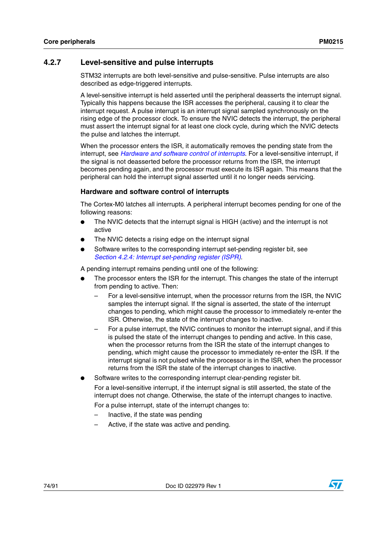### **4.2.7 Level-sensitive and pulse interrupts**

STM32 interrupts are both level-sensitive and pulse-sensitive. Pulse interrupts are also described as edge-triggered interrupts.

A level-sensitive interrupt is held asserted until the peripheral deasserts the interrupt signal. Typically this happens because the ISR accesses the peripheral, causing it to clear the interrupt request. A pulse interrupt is an interrupt signal sampled synchronously on the rising edge of the processor clock. To ensure the NVIC detects the interrupt, the peripheral must assert the interrupt signal for at least one clock cycle, during which the NVIC detects the pulse and latches the interrupt.

When the processor enters the ISR, it automatically removes the pending state from the interrupt, see *[Hardware and software control of interrupts](#page-73-0)*. For a level-sensitive interrupt, if the signal is not deasserted before the processor returns from the ISR, the interrupt becomes pending again, and the processor must execute its ISR again. This means that the peripheral can hold the interrupt signal asserted until it no longer needs servicing.

### <span id="page-73-0"></span>**Hardware and software control of interrupts**

The Cortex-M0 latches all interrupts. A peripheral interrupt becomes pending for one of the following reasons:

- The NVIC detects that the interrupt signal is HIGH (active) and the interrupt is not active
- The NVIC detects a rising edge on the interrupt signal
- Software writes to the corresponding interrupt set-pending register bit, see *[Section 4.2.4: Interrupt set-pending register \(ISPR\)](#page-71-0)*.

A pending interrupt remains pending until one of the following:

- The processor enters the ISR for the interrupt. This changes the state of the interrupt from pending to active. Then:
	- For a level-sensitive interrupt, when the processor returns from the ISR, the NVIC samples the interrupt signal. If the signal is asserted, the state of the interrupt changes to pending, which might cause the processor to immediately re-enter the ISR. Otherwise, the state of the interrupt changes to inactive.
	- For a pulse interrupt, the NVIC continues to monitor the interrupt signal, and if this is pulsed the state of the interrupt changes to pending and active. In this case, when the processor returns from the ISR the state of the interrupt changes to pending, which might cause the processor to immediately re-enter the ISR. If the interrupt signal is not pulsed while the processor is in the ISR, when the processor returns from the ISR the state of the interrupt changes to inactive.
	- Software writes to the corresponding interrupt clear-pending register bit. For a level-sensitive interrupt, if the interrupt signal is still asserted, the state of the interrupt does not change. Otherwise, the state of the interrupt changes to inactive.

For a pulse interrupt, state of the interrupt changes to:

- Inactive, if the state was pending
- Active, if the state was active and pending.

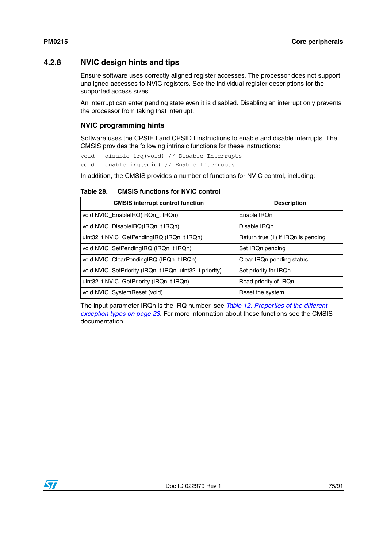### **4.2.8 NVIC design hints and tips**

Ensure software uses correctly aligned register accesses. The processor does not support unaligned accesses to NVIC registers. See the individual register descriptions for the supported access sizes.

An interrupt can enter pending state even it is disabled. Disabling an interrupt only prevents the processor from taking that interrupt.

### **NVIC programming hints**

Software uses the CPSIE I and CPSID I instructions to enable and disable interrupts. The CMSIS provides the following intrinsic functions for these instructions:

```
void __disable_irq(void) // Disable Interrupts
void __enable_irq(void) // Enable Interrupts
```
In addition, the CMSIS provides a number of functions for NVIC control, including:

#### Table 28. **CMSIS functions for NVIC control**

| <b>CMSIS interrupt control function</b>                | <b>Description</b>                 |
|--------------------------------------------------------|------------------------------------|
| void NVIC_EnableIRQ(IRQn_t IRQn)                       | Enable IROn                        |
| void NVIC_DisableIRQ(IRQn_t IRQn)                      | Disable IRQn                       |
| uint32 t NVIC GetPendingIRQ (IRQn t IRQn)              | Return true (1) if IRQn is pending |
| void NVIC SetPendingIRQ (IRQn t IRQn)                  | Set IRQn pending                   |
| void NVIC ClearPendingIRQ (IRQn t IRQn)                | Clear IRQn pending status          |
| void NVIC_SetPriority (IRQn_t IRQn, uint32_t priority) | Set priority for IRQn              |
| uint32_t NVIC_GetPriority (IRQn_t IRQn)                | Read priority of IRQn              |
| void NVIC_SystemReset (void)                           | Reset the system                   |

The input parameter IRQn is the IRQ number, see *[Table 12: Properties of the different](#page-22-0)  [exception types on page 23](#page-22-0)*. For more information about these functions see the CMSIS documentation.

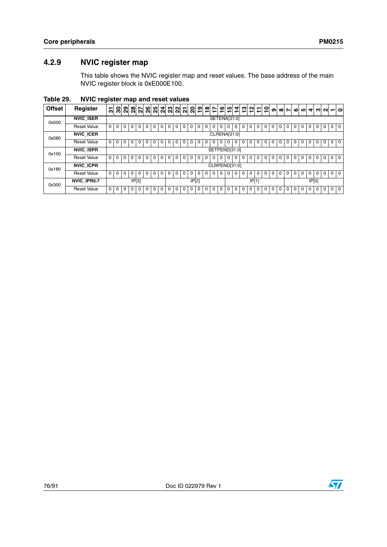## **4.2.9 NVIC register map**

This table shows the NVIC register map and reset values. The base address of the main NVIC register block is 0xE000E100.

**Table 29. NVIC register map and reset values**

| <b>Offset</b> | Register           | 5            | <u>ន ន</u>  |          |          |   |          |          |          |          |          |          |          | 웨이 웨이 외 예 예 의 의 이 히 이 히 히 히 |          |               |     |          |          | 귀위의되     |       |          | $\circ$  | თ | $\infty$ | $\mathbf{r}$ | ശ | <u>ທ</u> |          |          |          | $40M-0$        |
|---------------|--------------------|--------------|-------------|----------|----------|---|----------|----------|----------|----------|----------|----------|----------|-----------------------------|----------|---------------|-----|----------|----------|----------|-------|----------|----------|---|----------|--------------|---|----------|----------|----------|----------|----------------|
| 0x000         | <b>NVIC ISER</b>   |              |             |          |          |   |          |          |          |          |          |          |          |                             |          | SETENA[31:0]  |     |          |          |          |       |          |          |   |          |              |   |          |          |          |          |                |
|               | <b>Reset Value</b> | $\Omega$     | $\Omega$    | $\Omega$ | 0        | 0 |          | 0        | 0        |          | 0        | $\Omega$ | $\Omega$ | $\Omega$                    | 0        | 0             |     | 0        | 0        |          | 0     | 0        | 0        | 0 | 0        |              | 0 | 0        | 0        | $\Omega$ | 0        | 0 <sub>0</sub> |
| 0x080         | <b>NVIC ICER</b>   |              |             |          |          |   |          |          |          |          |          |          |          |                             |          | CLRENA[31:0]  |     |          |          |          |       |          |          |   |          |              |   |          |          |          |          |                |
|               | <b>Reset Value</b> | $^{\circ}$   | $\Omega$    | $\Omega$ | $\Omega$ | 0 | $\Omega$ | 0        | $\Omega$ | $\Omega$ | $\Omega$ | $\Omega$ | $\Omega$ | $\Omega$                    |          | 0             |     | $\Omega$ | 0        |          | 0     | $\Omega$ | $\Omega$ | 0 | $\Omega$ | 0            | 0 | $\Omega$ | $\Omega$ | $\Omega$ | $\Omega$ | 0 <sub>0</sub> |
| 0x100         | <b>NVIC ISPR</b>   |              |             |          |          |   |          |          |          |          |          |          |          |                             |          | SETPEND[31:0] |     |          |          |          |       |          |          |   |          |              |   |          |          |          |          |                |
|               | <b>Reset Value</b> | $\Omega$     | $\Omega$    | $\Omega$ | $\Omega$ | 0 | $\Omega$ | 0        | 0        | $\Omega$ | $\Omega$ | $\Omega$ | $\Omega$ | $\Omega$                    | $\Omega$ | $\Omega$      | l 0 | $\Omega$ | $\Omega$ | $\Omega$ | 0     | $\Omega$ | $\Omega$ | 0 | $\Omega$ | 0            | 0 | $\Omega$ | $\Omega$ | $\Omega$ | $\Omega$ | 0 <sup>1</sup> |
| 0x180         | <b>NVIC ICPR</b>   |              |             |          |          |   |          |          |          |          |          |          |          |                             |          | CLRPEND[31:0] |     |          |          |          |       |          |          |   |          |              |   |          |          |          |          |                |
|               | <b>Reset Value</b> | $\Omega$     |             | $\Omega$ | 0        | 0 |          | 0        | 0        |          | 0        | $\Omega$ |          |                             | O.       |               |     |          | 0        |          | 0     |          |          | 0 | 0        |              |   | $\Omega$ |          |          | 0        | 0 <sub>0</sub> |
| 0x300         | <b>NVIC IPR0-7</b> |              |             |          | IP[3]    |   |          |          |          |          |          |          | IP[2]    |                             |          |               |     |          |          |          | IP[1] |          |          |   |          |              |   |          |          | IP[0]    |          |                |
|               | <b>Reset Value</b> | $\mathbf{0}$ | $\mathbf 0$ | $\Omega$ | $\Omega$ | 0 | $\Omega$ | $\Omega$ | $\Omega$ | $\Omega$ | $\Omega$ | $\Omega$ | $\Omega$ | $\Omega$                    | $\Omega$ | 0             | 0   | $\Omega$ | $\Omega$ | $\Omega$ | 0     | $\Omega$ | 0        | 0 | $\Omega$ | 0            | 0 | $\Omega$ | 0        | $\Omega$ | 0        | 0 <sub>0</sub> |

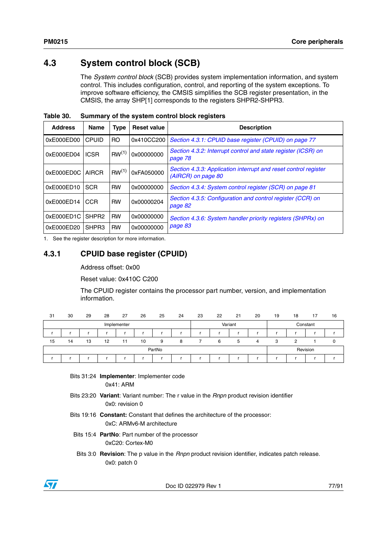# **4.3 System control block (SCB)**

The *System control block* (SCB) provides system implementation information, and system control. This includes configuration, control, and reporting of the system exceptions. To improve software efficiency, the CMSIS simplifies the SCB register presentation, in the CMSIS, the array SHP[1] corresponds to the registers SHPR2-SHPR3.

| <b>Address</b> | <b>Name</b>       | <b>Type</b>       | <b>Reset value</b> | <b>Description</b>                                                                    |
|----------------|-------------------|-------------------|--------------------|---------------------------------------------------------------------------------------|
| 0xE000ED00     | <b>CPUID</b>      | R <sub>O</sub>    | 0x410CC200         | Section 4.3.1: CPUID base register (CPUID) on page 77                                 |
| 0xE000ED04     | <b>ICSR</b>       | RW <sup>(1)</sup> | 0x00000000         | Section 4.3.2: Interrupt control and state register (ICSR) on<br>page 78              |
| 0xE000ED0C     | <b>AIRCR</b>      | RW <sup>(1)</sup> | 0xFA050000         | Section 4.3.3: Application interrupt and reset control register<br>(AIRCR) on page 80 |
| 0xE000ED10     | <b>SCR</b>        | <b>RW</b>         | 0x00000000         | Section 4.3.4: System control register (SCR) on page 81                               |
| 0xE000ED14     | <b>CCR</b>        | <b>RW</b>         | 0x00000204         | Section 4.3.5: Configuration and control register (CCR) on<br>page 82                 |
| 0xE000ED1C     | SHPR <sub>2</sub> | <b>RW</b>         | 0x00000000         | Section 4.3.6: System handler priority registers (SHPRx) on                           |
| 0xE000ED20     | SHPR3             | <b>RW</b>         | 0x00000000         | page 83                                                                               |

**Table 30. Summary of the system control block registers**

1. See the register description for more information.

### <span id="page-76-0"></span>**4.3.1 CPUID base register (CPUID)**

#### Address offset: 0x00

Reset value: 0x410C C200

The CPUID register contains the processor part number, version, and implementation information.

| 31 | 30 | 29 | 28 | 27          | 26 | 25     | 24 | 23 | 22 | 21      | 20 | 19 | 18 | 17       | 16 |
|----|----|----|----|-------------|----|--------|----|----|----|---------|----|----|----|----------|----|
|    |    |    |    | Implementer |    |        |    |    |    | Variant |    |    |    | Constant |    |
|    |    |    |    |             |    |        |    |    |    |         |    |    |    |          |    |
| 15 | 14 | 13 | 12 | 11          | 10 | 9      | 8  |    | 6  | 5       | 4  | 3  | っ  |          |    |
|    |    |    |    |             |    | PartNo |    |    |    |         |    |    |    | Revision |    |
|    |    |    |    |             |    |        |    |    |    |         |    |    |    |          |    |

Bits 31:24 **Implementer**: Implementer code 0x41: ARM

- Bits 23:20 **Variant**: Variant number: The r value in the *Rnpn* product revision identifier 0x0: revision 0
- Bits 19:16 **Constant:** Constant that defines the architecture of the processor: 0xC: ARMv6-M architecture
- Bits 15:4 **PartNo**: Part number of the processor 0xC20: Cortex-M0
- Bits 3:0 **Revision**: The p value in the *Rnpn* product revision identifier, indicates patch release. 0x0: patch 0



Doc ID 022979 Rev 1 77/91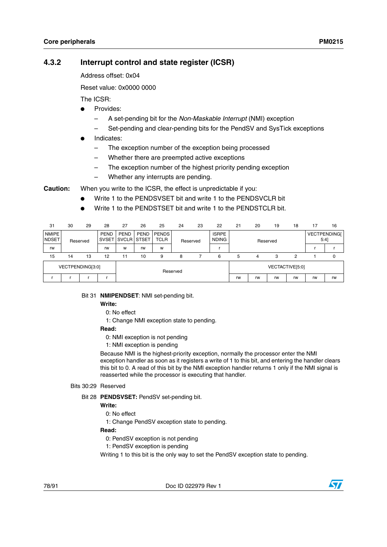### <span id="page-77-0"></span>**4.3.2 Interrupt control and state register (ICSR)**

Address offset: 0x04

Reset value: 0x0000 0000

The ICSR:

- Provides:
	- A set-pending bit for the *Non-Maskable Interrupt* (NMI) exception
	- Set-pending and clear-pending bits for the PendSV and SysTick exceptions
- Indicates:
	- The exception number of the exception being processed
	- Whether there are preempted active exceptions
	- The exception number of the highest priority pending exception
	- Whether any interrupts are pending.

**Caution:** When you write to the ICSR, the effect is unpredictable if you:

- Write 1 to the PENDSVSET bit and write 1 to the PENDSVCLR bit
- Write 1 to the PENDSTSET bit and write 1 to the PENDSTCLR bit.

| 31                           | 30               | 29       | 28                          | 27                                | 26          | 25                          | 24       | 23 | 22                           | 21 | 20       | 19              | 18 | 17                             | 16 |
|------------------------------|------------------|----------|-----------------------------|-----------------------------------|-------------|-----------------------------|----------|----|------------------------------|----|----------|-----------------|----|--------------------------------|----|
| <b>NMIPE</b><br><b>NDSET</b> |                  | Reserved | <b>PEND</b><br><b>SVSET</b> | <b>PEND</b><br><b>SVCLR STSET</b> | <b>PEND</b> | <b>PENDS</b><br><b>TCLR</b> | Reserved |    | <b>ISRPE</b><br><b>NDING</b> |    | Reserved |                 |    | <b>VECTPENDINGI</b><br>$5:4$ ] |    |
| rw                           |                  |          | rw                          | W                                 | rw          | W                           |          |    |                              |    |          |                 |    |                                |    |
| 15                           | $\overline{14}$  | 13       | 12                          | 11                                | 10          | 9                           | 8        |    | 6                            | 5  | 4        | 3               | 2  |                                |    |
|                              | VECTPENDING[3:0] |          |                             |                                   |             | Reserved                    |          |    |                              |    |          | VECTACTIVE[5:0] |    |                                |    |
|                              |                  |          |                             |                                   |             |                             |          |    |                              | rw | rw       | rw              | rw | rw                             | rw |

#### Bit 31 **NMIPENDSET**: NMI set-pending bit.

#### **Write:**

0: No effect

1: Change NMI exception state to pending.

#### **Read:**

- 0: NMI exception is not pending
- 1: NMI exception is pending

Because NMI is the highest-priority exception, normally the processor enter the NMI exception handler as soon as it registers a write of 1 to this bit, and entering the handler clears this bit to 0. A read of this bit by the NMI exception handler returns 1 only if the NMI signal is reasserted while the processor is executing that handler.

#### Bits 30:29 Reserved

Bit 28 **PENDSVSET:** PendSV set-pending bit.

### **Write:**

0: No effect

1: Change PendSV exception state to pending.

#### **Read:**

- 0: PendSV exception is not pending
- 1: PendSV exception is pending

Writing 1 to this bit is the only way to set the PendSV exception state to pending.

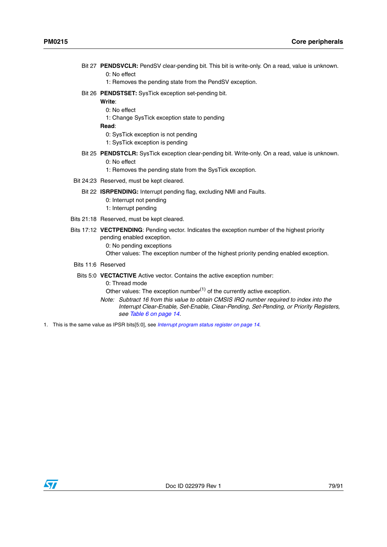Bit 27 **PENDSVCLR:** PendSV clear-pending bit. This bit is write-only. On a read, value is unknown.

0: No effect

- 1: Removes the pending state from the PendSV exception.
- Bit 26 **PENDSTSET:** SysTick exception set-pending bit.

**Write**:

- 0: No effect
- 1: Change SysTick exception state to pending

**Read**:

- 0: SysTick exception is not pending
- 1: SysTick exception is pending
- Bit 25 **PENDSTCLR:** SysTick exception clear-pending bit. Write-only. On a read, value is unknown.
	- 0: No effect
	- 1: Removes the pending state from the SysTick exception.
- Bit 24:23 Reserved, must be kept cleared.
	- Bit 22 **ISRPENDING:** Interrupt pending flag, excluding NMI and Faults.
		- 0: Interrupt not pending
		- 1: Interrupt pending
- Bits 21:18 Reserved, must be kept cleared.
- Bits 17:12 **VECTPENDING**: Pending vector. Indicates the exception number of the highest priority pending enabled exception. 0: No pending exceptions
	- Other values: The exception number of the highest priority pending enabled exception.
- Bits 11:6 Reserved

#### Bits 5:0 **VECTACTIVE** Active vector. Contains the active exception number: 0: Thread mode

Other values: The exception number $<sup>(1)</sup>$  of the currently active exception.</sup>

- *Note: Subtract 16 from this value to obtain CMSIS IRQ number required to index into the Interrupt Clear-Enable, Set-Enable, Clear-Pending, Set-Pending, or Priority Registers, see [Table 6 on page 14.](#page-13-1)*
- 1. This is the same value as IPSR bits[5:0], see *[Interrupt program status register on page 14](#page-13-0)*.

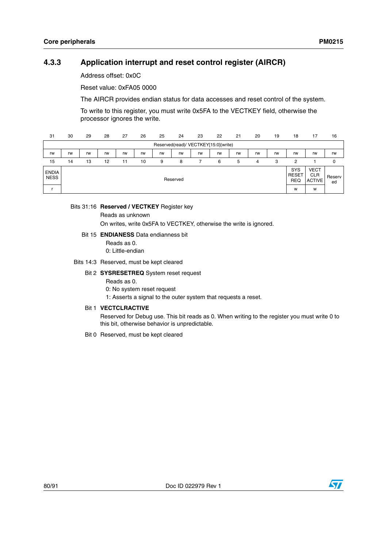### <span id="page-79-0"></span>**4.3.3 Application interrupt and reset control register (AIRCR)**

Address offset: 0x0C

Reset value: 0xFA05 0000

The AIRCR provides endian status for data accesses and reset control of the system.

To write to this register, you must write 0x5FA to the VECTKEY field, otherwise the processor ignores the write.

| 31                          | 30 | 29 | 28 | 27 | 26 | 25 | 24       | 23                                   | 22 | 21 | 20 | 19 | 18                                | 17                                         | 16           |
|-----------------------------|----|----|----|----|----|----|----------|--------------------------------------|----|----|----|----|-----------------------------------|--------------------------------------------|--------------|
|                             |    |    |    |    |    |    |          | Reserved(read)/ VECTKEY[15:0](write) |    |    |    |    |                                   |                                            |              |
| rw                          | rw | rw | rw | rw | rw | rw | rw       | rw                                   | rw | rw | rw | rw | rw                                | rw                                         | rw           |
| 15                          | 14 | 13 | 12 | 11 | 10 | 9  | 8        |                                      | 6  | 5  | 4  | 3  | 2                                 |                                            | 0            |
| <b>ENDIA</b><br><b>NESS</b> |    |    |    |    |    |    | Reserved |                                      |    |    |    |    | SYS<br><b>RESET</b><br><b>REQ</b> | <b>VECT</b><br><b>CLR</b><br><b>ACTIVE</b> | Reserv<br>ed |
|                             |    |    |    |    |    |    |          |                                      |    |    |    |    | W                                 | W                                          |              |

#### Bits 31:16 **Reserved / VECTKEY** Register key

Reads as unknown

On writes, write 0x5FA to VECTKEY, otherwise the write is ignored.

#### Bit 15 **ENDIANESS** Data endianness bit

Reads as 0. 0: Little-endian

#### Bits 14:3 Reserved, must be kept cleared

#### Bit 2 **SYSRESETREQ** System reset request

Reads as 0.

0: No system reset request

1: Asserts a signal to the outer system that requests a reset.

#### Bit 1 **VECTCLRACTIVE**

Reserved for Debug use. This bit reads as 0. When writing to the register you must write 0 to this bit, otherwise behavior is unpredictable.

Bit 0 Reserved, must be kept cleared

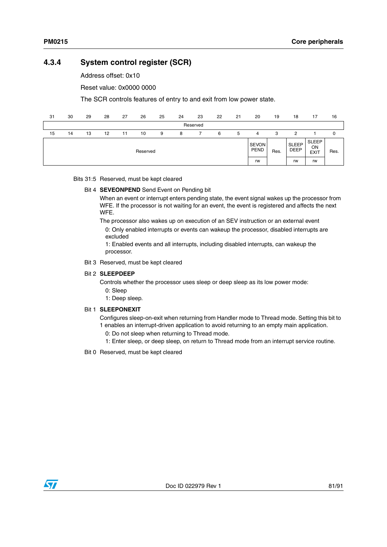### <span id="page-80-0"></span>**4.3.4 System control register (SCR)**

Address offset: 0x10

Reset value: 0x0000 0000

The SCR controls features of entry to and exit from low power state.

| 31 | 30 | 29 | 28 | 27 | 26       | 25 | 24 | 23       | 22 | 21 | 20                          | 19   | 18                          | 17                         | 16   |
|----|----|----|----|----|----------|----|----|----------|----|----|-----------------------------|------|-----------------------------|----------------------------|------|
|    |    |    |    |    |          |    |    | Reserved |    |    |                             |      |                             |                            |      |
| 15 | 14 | 13 | 12 | 11 | 10       | 9  | 8  |          | 6  | 5  | 4                           | 3    | 2                           |                            | 0    |
|    |    |    |    |    | Reserved |    |    |          |    |    | <b>SEVON</b><br><b>PEND</b> | Res. | <b>SLEEP</b><br><b>DEEP</b> | SLEEP<br>ON<br><b>EXIT</b> | Res. |
|    |    |    |    |    |          |    |    |          |    |    | rw                          |      | rw                          | rw                         |      |

#### Bits 31:5 Reserved, must be kept cleared

#### Bit 4 **SEVEONPEND** Send Event on Pending bit

When an event or interrupt enters pending state, the event signal wakes up the processor from WFE. If the processor is not waiting for an event, the event is registered and affects the next WFE.

The processor also wakes up on execution of an SEV instruction or an external event 0: Only enabled interrupts or events can wakeup the processor, disabled interrupts are excluded

1: Enabled events and all interrupts, including disabled interrupts, can wakeup the processor.

Bit 3 Reserved, must be kept cleared

#### Bit 2 **SLEEPDEEP**

Controls whether the processor uses sleep or deep sleep as its low power mode:

- 0: Sleep
- 1: Deep sleep.

### Bit 1 **SLEEPONEXIT**

Configures sleep-on-exit when returning from Handler mode to Thread mode. Setting this bit to 1 enables an interrupt-driven application to avoid returning to an empty main application.

- 0: Do not sleep when returning to Thread mode.
- 1: Enter sleep, or deep sleep, on return to Thread mode from an interrupt service routine.
- Bit 0 Reserved, must be kept cleared

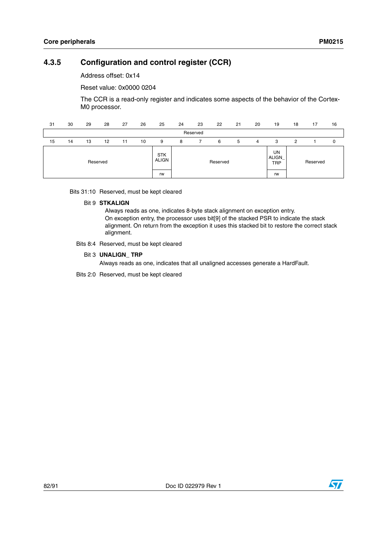### <span id="page-81-0"></span>**4.3.5 Configuration and control register (CCR)**

Address offset: 0x14

Reset value: 0x0000 0204

The CCR is a read-only register and indicates some aspects of the behavior of the Cortex-M0 processor.

| 31 | 30 | 29 | 28       | 27 | 26 | 25                         | 24 | 23       | 22       | 21 | 20 | 19                               | 18 | 17       | 16 |
|----|----|----|----------|----|----|----------------------------|----|----------|----------|----|----|----------------------------------|----|----------|----|
|    |    |    |          |    |    |                            |    | Reserved |          |    |    |                                  |    |          |    |
| 15 | 14 | 13 | 12       | 11 | 10 | 9                          | 8  |          | 6        | 5  | 4  | 3                                | 2  |          | 0  |
|    |    |    | Reserved |    |    | <b>STK</b><br><b>ALIGN</b> |    |          | Reserved |    |    | UN<br><b>ALIGN</b><br><b>TRP</b> |    | Reserved |    |
|    |    |    |          |    |    | rw                         |    |          |          |    |    | rw                               |    |          |    |

Bits 31:10 Reserved, must be kept cleared

#### Bit 9 **STKALIGN**

Always reads as one, indicates 8-byte stack alignment on exception entry. On exception entry, the processor uses bit[9] of the stacked PSR to indicate the stack alignment. On return from the exception it uses this stacked bit to restore the correct stack alignment.

Bits 8:4 Reserved, must be kept cleared

#### Bit 3 **UNALIGN\_ TRP**

Always reads as one, indicates that all unaligned accesses generate a HardFault.

Bits 2:0 Reserved, must be kept cleared

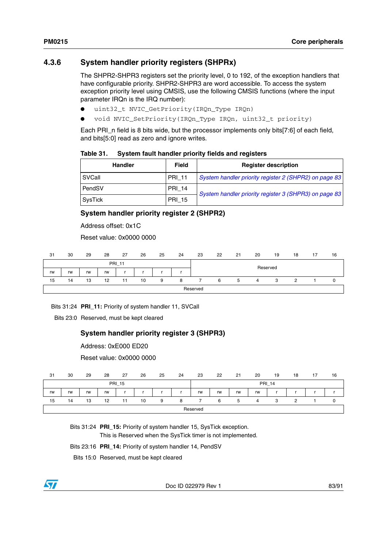### <span id="page-82-0"></span>**4.3.6 System handler priority registers (SHPRx)**

The SHPR2-SHPR3 registers set the priority level, 0 to 192, of the exception handlers that have configurable priority. SHPR2-SHPR3 are word accessible. To access the system exception priority level using CMSIS, use the following CMSIS functions (where the input parameter IRQn is the IRQ number):

- uint32\_t NVIC\_GetPriority(IRQn\_Type IRQn)
- void NVIC\_SetPriority(IRQn\_Type IRQn, uint32\_t priority)

Each PRI\_n field is 8 bits wide, but the processor implements only bits[7:6] of each field, and bits[5:0] read as zero and ignore writes.

| Table 31. | System fault handler priority fields and registers |  |
|-----------|----------------------------------------------------|--|
|-----------|----------------------------------------------------|--|

| <b>Handler</b> | Field         | <b>Register description</b>                           |
|----------------|---------------|-------------------------------------------------------|
| SVCall         | <b>PRI 11</b> | System handler priority register 2 (SHPR2) on page 83 |
| <b>PendSV</b>  | <b>PRI_14</b> | System handler priority register 3 (SHPR3) on page 83 |
| SysTick        | <b>PRI_15</b> |                                                       |

### <span id="page-82-1"></span>**System handler priority register 2 (SHPR2)**

Address offset: 0x1C

Reset value: 0x0000 0000

| 31 | 30 | 29 | 28 | 27            | 26 | 25 | 24 | 23       | 22 | 21 | 20       | 19 | 18 | 17 | 16 |
|----|----|----|----|---------------|----|----|----|----------|----|----|----------|----|----|----|----|
|    |    |    |    | <b>PRI_11</b> |    |    |    |          |    |    | Reserved |    |    |    |    |
| rw | rw | rw | rw |               |    |    |    |          |    |    |          |    |    |    |    |
| 15 | 14 | 13 | 12 | 11            | 10 | 9  | 8  |          | 6  | 5  | $\Delta$ | 3  |    |    | 0  |
|    |    |    |    |               |    |    |    | Reserved |    |    |          |    |    |    |    |

Bits 31:24 **PRI\_11:** Priority of system handler 11, SVCall

Bits 23:0 Reserved, must be kept cleared

### <span id="page-82-2"></span>**System handler priority register 3 (SHPR3)**

Reset value: 0x0000 0000

| 31 | 30 | 29 | 28 | 27            | 26 | 25 | 24 | 23       | 22 | 21 | 20 | 19            | 18 | 17 | 16 |
|----|----|----|----|---------------|----|----|----|----------|----|----|----|---------------|----|----|----|
|    |    |    |    | <b>PRI_15</b> |    |    |    |          |    |    |    | <b>PRI_14</b> |    |    |    |
| rw | rw | rw | rw |               |    |    |    | rw       | rw | rw | rw |               |    |    |    |
| 15 | 14 | 13 | 12 | 11            | 10 | 9  | я  |          | 6  | 5  | Δ  | 3             | c  |    |    |
|    |    |    |    |               |    |    |    | Reserved |    |    |    |               |    |    |    |

Bits 31:24 **PRI\_15:** Priority of system handler 15, SysTick exception.

This is Reserved when the SysTick timer is not implemented.

Bits 23:16 **PRI\_14:** Priority of system handler 14, PendSV

Bits 15:0 Reserved, must be kept cleared



Doc ID 022979 Rev 1 83/91

Address: 0xE000 ED20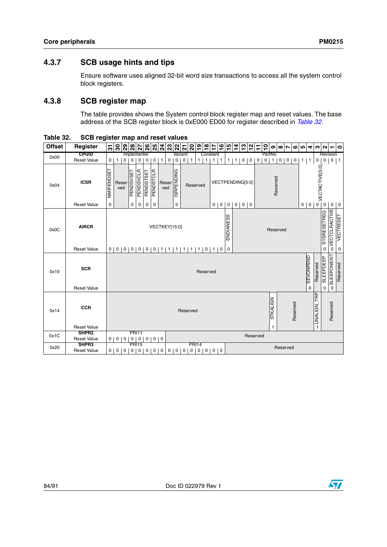### **4.3.7 SCB usage hints and tips**

Ensure software uses aligned 32-bit word size transactions to access all the system control block registers.

### **4.3.8 SCB register map**

The table provides shows the System control block register map and reset values. The base address of the SCB register block is 0xE000 ED00 for register described in *[Table 32](#page-83-0)*.

| <b>Offset</b> | Register                         |                | $\frac{2}{5}$ |                     | $\frac{8}{28}$ |                                |                | $ z $ ន $ z z $ ង |   |               |                   | $ \mathbb{S} \mathbb{S} $ ក |                | ခြုပြီ         | $\frac{8}{18}$ | $\frac{6}{1}$<br>17               | $\frac{5}{3}$  | $\frac{4}{3}$  | $\frac{3}{2}$     |          | $\overline{1}$ | $\overline{1}$ | ၜ             | $\infty$    | $\overline{ }$ | ဖျဖ            | $\blacktriangleleft$            | c)                           | $\sim$             | $\blacksquare$             | $\bullet$        |
|---------------|----------------------------------|----------------|---------------|---------------------|----------------|--------------------------------|----------------|-------------------|---|---------------|-------------------|-----------------------------|----------------|----------------|----------------|-----------------------------------|----------------|----------------|-------------------|----------|----------------|----------------|---------------|-------------|----------------|----------------|---------------------------------|------------------------------|--------------------|----------------------------|------------------|
| 0x00          | <b>CPUID</b>                     |                |               |                     |                | Implementer                    |                |                   |   |               |                   | Variant                     |                |                |                | Constant                          |                |                |                   |          |                | PartNo         |               |             |                |                |                                 |                              |                    | Revision                   |                  |
|               | <b>Reset Value</b>               | $\overline{0}$ | 1             | $\mathsf{O}\xspace$ | 0              | $\mathsf{O}\xspace$            | $\mathsf 0$    | $\pmb{0}$         | 1 | 0             | $\mathbf 0$       | 0 <sup>1</sup>              | $\mathbf{1}$   | 1 <sup>1</sup> | $\mathbf{1}$   | $\mathbf{1}$<br>1                 | 1 <sup>1</sup> | 1 <sup>1</sup> | $0$ 0             |          | $\mathbf 0$    | $\mathbf 0$    |               | $1 \quad 0$ | $\overline{0}$ | $\overline{0}$ | $1$   1                         | $\circ$                      | $\mathsf 0$        |                            | $0$   1          |
| 0x04          | <b>ICSR</b>                      | NMIPENDSET     |               | Reser<br>ved        | PENDSVSET      | PENDSVCLR                      | PENDSTSET      | <b>PENDSTCLR</b>  |   | Reser<br>ved  | <b>ISRPENDING</b> |                             | Reserved       |                |                | VECTPENDING[5:0]                  |                |                |                   |          |                |                |               | Reserved    |                |                |                                 | <sup>2</sup> VECTACTIVE[5:0] |                    |                            |                  |
|               | <b>Reset Value</b>               | 0              |               |                     | 0              | 0                              | 0              | 0                 |   |               | 0                 |                             |                |                |                | 0<br>0                            | $\overline{0}$ |                | $0 \mid 0 \mid 0$ |          |                |                |               |             |                |                | 0 <sub>0</sub>                  |                              | $\mathbf 0$        | $\mathbf 0$                | $\overline{0}$   |
| 0x0C          | <b>AIRCR</b>                     |                |               |                     |                |                                |                |                   |   | VECTKEY[15:0] |                   |                             |                |                |                |                                   | ENDIANESS      |                |                   |          |                |                | Reserved      |             |                |                |                                 |                              | <b>SYSRESETREQ</b> | <b>VECTCLRACTIVE</b>       | <b>VECTRESET</b> |
|               | <b>Reset Value</b>               |                |               |                     |                |                                |                |                   |   |               |                   |                             |                |                |                | 0 0 0 0 0 0 0 1 1 1 1 1 1 1 0 1 0 | $\pmb{0}$      |                |                   |          |                |                |               |             |                |                |                                 |                              | 0                  | 0                          | 0                |
| 0x10          | <b>SCR</b><br><b>Reset Value</b> |                |               |                     |                |                                |                |                   |   |               |                   |                             |                |                | Reserved       |                                   |                |                |                   |          |                |                |               |             |                |                | <b>SEVONPEND</b><br>$\mathbf 0$ | Reserved                     | SLEEPDEEP<br>0     | SLEEPONEXIT<br>$\mathbf 0$ | Reserved         |
| 0x14          | <b>CCR</b><br><b>Reset Value</b> |                |               |                     |                |                                |                |                   |   |               |                   |                             | Reserved       |                |                |                                   |                |                |                   |          |                |                | STKALIGN<br>1 |             |                | Reserved       |                                 | TRP<br>NUNALIGN              |                    | Reserved                   |                  |
| 0x1C          | SHPR <sub>2</sub>                |                |               |                     |                | <b>PRI11</b>                   |                |                   |   |               |                   |                             |                |                |                |                                   |                |                |                   | Reserved |                |                |               |             |                |                |                                 |                              |                    |                            |                  |
| 0x20          | <b>Reset Value</b><br>SHPR3      |                | $0$   0       | $\overline{0}$      | 0 <sub>1</sub> | $\overline{0}$<br><b>PRI15</b> | $\overline{0}$ | 0 <sub>0</sub>    |   |               |                   |                             |                | <b>PRI14</b>   |                |                                   |                |                |                   |          |                |                |               |             | Reserved       |                |                                 |                              |                    |                            |                  |
|               | <b>Reset Value</b>               | $\overline{0}$ | 0             | 0                   | 0              | 0                              | 0              | 0                 | 0 | 0             | $\mathbf 0$       | 0                           | $\overline{0}$ | $\mathbf 0$    |                |                                   |                |                |                   |          |                |                |               |             |                |                |                                 |                              |                    |                            |                  |

<span id="page-83-0"></span>**Table 32. SCB register map and reset values**

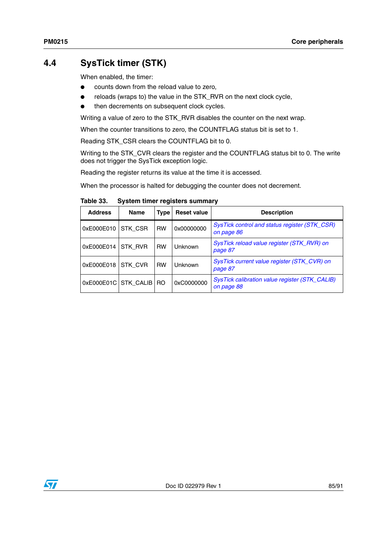# **4.4 SysTick timer (STK)**

When enabled, the timer:

- counts down from the reload value to zero,
- reloads (wraps to) the value in the STK\_RVR on the next clock cycle,
- then decrements on subsequent clock cycles.

Writing a value of zero to the STK\_RVR disables the counter on the next wrap.

When the counter transitions to zero, the COUNTFLAG status bit is set to 1.

Reading STK\_CSR clears the COUNTFLAG bit to 0.

Writing to the STK\_CVR clears the register and the COUNTFLAG status bit to 0. The write does not trigger the SysTick exception logic.

Reading the register returns its value at the time it is accessed.

When the processor is halted for debugging the counter does not decrement.

Table 33. **System timer registers summary** 

| <b>Address</b>            | <b>Name</b> | Type      | <b>Reset value</b> | <b>Description</b>                                           |
|---------------------------|-------------|-----------|--------------------|--------------------------------------------------------------|
| 0xE000E010                | STK CSR     | <b>RW</b> | 0x00000000         | SysTick control and status register (STK_CSR)<br>on page 86  |
| 0xE000E014                | STK RVR     | <b>RW</b> | Unknown            | SysTick reload value register (STK_RVR) on<br>page 87        |
| 0xE000E018                | STK CVR     | <b>RW</b> | Unknown            | SysTick current value register (STK_CVR) on<br>page 87       |
| 0xE000E01C STK_CALIB   RO |             |           | 0xC0000000         | SysTick calibration value register (STK_CALIB)<br>on page 88 |

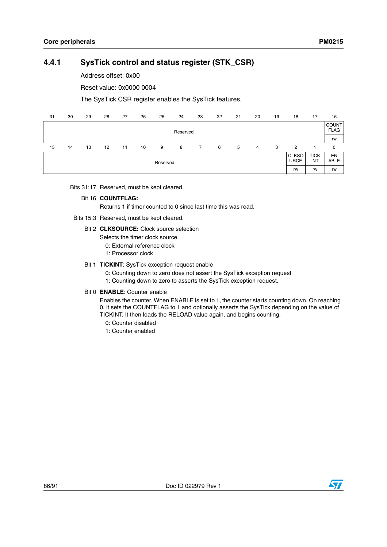### <span id="page-85-0"></span>**4.4.1 SysTick control and status register (STK\_CSR)**

Address offset: 0x00

Reset value: 0x0000 0004

The SysTick CSR register enables the SysTick features.

| 31 | 30 | 29 | 28 | 27 | 26 | 25       | 24       | 23 | 22 | 21 | 20 | 19 | 18                          | 17                        | 16                          |
|----|----|----|----|----|----|----------|----------|----|----|----|----|----|-----------------------------|---------------------------|-----------------------------|
|    |    |    |    |    |    |          | Reserved |    |    |    |    |    |                             |                           | <b>COUNT</b><br><b>FLAG</b> |
|    |    |    |    |    |    |          |          |    |    |    |    |    |                             |                           | rw                          |
| 15 | 14 | 13 | 12 | 11 | 10 | 9        | 8        |    | 6  | 5  | 4  | 3  | 2                           |                           | 0                           |
|    |    |    |    |    |    | Reserved |          |    |    |    |    |    | <b>CLKSO</b><br><b>URCE</b> | <b>TICK</b><br><b>INT</b> | EN<br><b>ABLE</b>           |
|    |    |    |    |    |    |          |          |    |    |    |    |    | rw                          | rw                        | rw                          |

Bits 31:17 Reserved, must be kept cleared.

#### Bit 16 **COUNTFLAG:**

Returns 1 if timer counted to 0 since last time this was read.

- Bits 15:3 Reserved, must be kept cleared.
	- Bit 2 **CLKSOURCE:** Clock source selection
		- Selects the timer clock source.
			- 0: External reference clock
			- 1: Processor clock
	- Bit 1 **TICKINT**: SysTick exception request enable
		- 0: Counting down to zero does not assert the SysTick exception request
		- 1: Counting down to zero to asserts the SysTick exception request.

#### Bit 0 **ENABLE**: Counter enable

Enables the counter. When ENABLE is set to 1, the counter starts counting down. On reaching 0, it sets the COUNTFLAG to 1 and optionally asserts the SysTick depending on the value of TICKINT. It then loads the RELOAD value again, and begins counting.

- 0: Counter disabled
- 1: Counter enabled



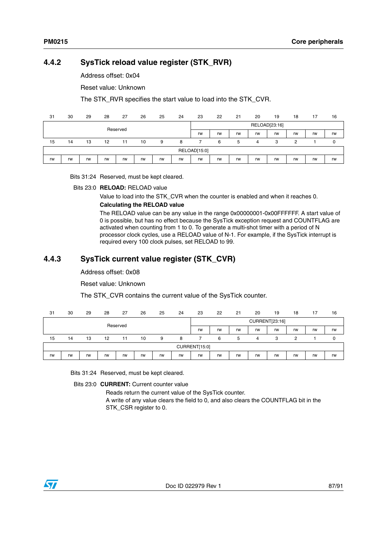### <span id="page-86-0"></span>**4.4.2 SysTick reload value register (STK\_RVR)**

Address offset: 0x04

Reset value: Unknown

The STK\_RVR specifies the start value to load into the STK\_CVR.

| 31 | 30 | 29 | 28 | 27       | 26 | 25 | 24 | 23           | 22 | 21 | 20 | 19            | 18 | 17 | 16 |
|----|----|----|----|----------|----|----|----|--------------|----|----|----|---------------|----|----|----|
|    |    |    |    | Reserved |    |    |    |              |    |    |    | RELOAD[23:16] |    |    |    |
|    |    |    |    |          |    |    |    | rw           | rw | rw | rw | rw            | rw | rw | rw |
| 15 | 14 | 13 | 12 | 11       | 10 | 9  | 8  |              | 6  | 5  | 4  | 3             | っ  |    | 0  |
|    |    |    |    |          |    |    |    | RELOAD[15:0] |    |    |    |               |    |    |    |
| rw | rw | rw | rw | rw       | rw | rw | rw | rw           | rw | rw | rw | rw            | rw | rw | rw |

Bits 31:24 Reserved, must be kept cleared.

Bits 23:0 **RELOAD:** RELOAD value

Value to load into the STK\_CVR when the counter is enabled and when it reaches 0.

#### **Calculating the RELOAD value**

The RELOAD value can be any value in the range 0x00000001-0x00FFFFFF. A start value of 0 is possible, but has no effect because the SysTick exception request and COUNTFLAG are activated when counting from 1 to 0. To generate a multi-shot timer with a period of N processor clock cycles, use a RELOAD value of N-1. For example, if the SysTick interrupt is required every 100 clock pulses, set RELOAD to 99.

### <span id="page-86-1"></span>**4.4.3 SysTick current value register (STK\_CVR)**

### Address offset: 0x08

Reset value: Unknown

The STK CVR contains the current value of the SysTick counter.

| 31 | 30 | 29 | 28 | 27       | 26 | 25 | 24 | 23            | 22 | 21 | 20 | 19             | 18 | 17 | 16 |
|----|----|----|----|----------|----|----|----|---------------|----|----|----|----------------|----|----|----|
|    |    |    |    | Reserved |    |    |    |               |    |    |    | CURRENT[23:16] |    |    |    |
|    |    |    |    |          |    |    |    | rw            | rw | rw | rw | rw             | rw | rw | rw |
| 15 | 14 | 13 | 12 | 11       | 10 | 9  | 8  |               | 6  | 5  | 4  | 3              | 2  |    | 0  |
|    |    |    |    |          |    |    |    | CURRENT[15:0] |    |    |    |                |    |    |    |
| rw | rw | rw | rw | rw       | rw | rw | rw | rw            | rw | rw | rw | rw             | rw | rw | rw |

Bits 31:24 Reserved, must be kept cleared.

Bits 23:0 **CURRENT:** Current counter value

Reads return the current value of the SysTick counter.

A write of any value clears the field to 0, and also clears the COUNTFLAG bit in the STK\_CSR register to 0.

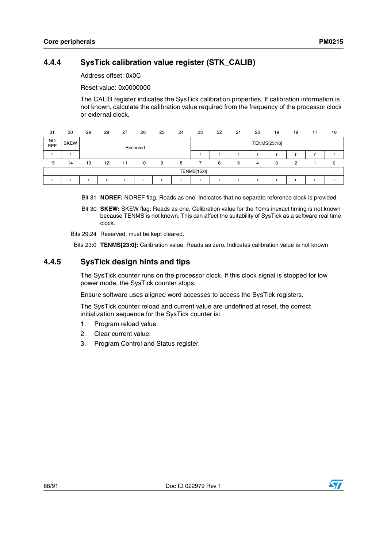### <span id="page-87-0"></span>**4.4.4 SysTick calibration value register (STK\_CALIB)**

Address offset: 0x0C

Reset value: 0x0000000

The CALIB register indicates the SysTick calibration properties. If calibration information is not known, calculate the calibration value required from the frequency of the processor clock or external clock.

| 31        | 30          | 29 | 28                | 27 | 26       | 25 | 24 | 23          | 22 | 21 | 20 | 19           | 18 | 17 | 16 |
|-----------|-------------|----|-------------------|----|----------|----|----|-------------|----|----|----|--------------|----|----|----|
| NO<br>REF | <b>SKEW</b> |    |                   |    | Reserved |    |    |             |    |    |    | TENMS[23:16] |    |    |    |
|           |             |    |                   |    |          |    |    |             |    |    |    |              |    |    |    |
| 15        | 14          | 13 | $12 \overline{ }$ | 11 | 10       | 9  | 8  |             | 6  | 5  | 4  | 3            | っ  |    |    |
|           |             |    |                   |    |          |    |    | TENMS[15:0] |    |    |    |              |    |    |    |
|           |             |    |                   |    |          |    |    |             |    |    |    |              |    |    |    |

Bit 31 **NOREF:** NOREF flag. Reads as one. Indicates that no separate reference clock is provided.

Bit 30 **SKEW:** SKEW flag: Reads as one. Calibration value for the 10ms inexact timing is not known because TENMS is not known. This can affect the suitability of SysTick as a software real time clock.

Bits 29:24 Reserved, must be kept cleared.

Bits 23:0 **TENMS[23:0]:** Calibration value. Reads as zero. Indicates calibration value is not known

### **4.4.5 SysTick design hints and tips**

The SysTick counter runs on the processor clock. If this clock signal is stopped for low power mode, the SysTick counter stops.

Ensure software uses aligned word accesses to access the SysTick registers.

The SysTick counter reload and current value are undefined at reset, the correct initialization sequence for the SysTick counter is:

- 1. Program reload value.
- 2. Clear current value.
- 3. Program Control and Status register.

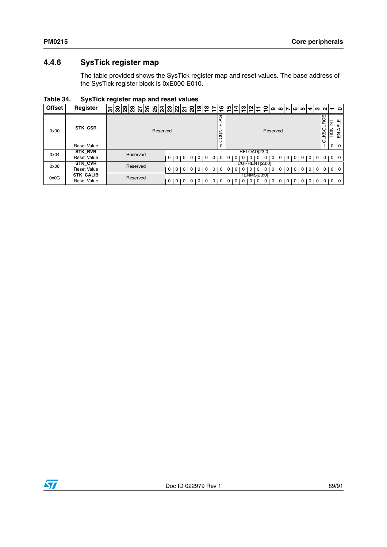## **4.4.6 SysTick register map**

The table provided shows the SysTick register map and reset values. The base address of the SysTick register block is 0xE000 E010.

**Table 34. SysTick register map and reset values**

| <b>Offset</b> | Register           | 閑閑  치  지  지  지  오  오 <br>$ S $ ଅ $ S $ ଧି<br>స్ |                |             |     |             |   |   | <u>ျေပျော</u><br>$\overline{\phantom{0}}$ |                   |                | ↽ | ↽                 | $40N +$     | ↽        | ຸຂ            | თ |                |          |                |              |             |                |                  | $ \omega  \sim  \omega $ |                       |
|---------------|--------------------|-------------------------------------------------|----------------|-------------|-----|-------------|---|---|-------------------------------------------|-------------------|----------------|---|-------------------|-------------|----------|---------------|---|----------------|----------|----------------|--------------|-------------|----------------|------------------|--------------------------|-----------------------|
| 0x00          | STK CSR            | Reserved                                        |                |             |     |             |   |   |                                           | Q<br>4<br>COUNTFL |                |   |                   |             |          | Reserved      |   |                |          |                |              |             |                | <b>CLKSOURCE</b> | ≧<br>⊻<br>⊢              | ıщ<br><b>ABL</b><br>高 |
|               | <b>Reset Value</b> |                                                 |                |             |     |             |   |   |                                           | $\mathbf 0$       |                |   |                   |             |          |               |   |                |          |                |              |             |                |                  |                          | 0 <sup>1</sup>        |
| 0x04          | <b>STK_RVR</b>     | Reserved                                        |                |             |     |             |   |   |                                           |                   |                |   |                   |             |          | RELOAD[23:0]  |   |                |          |                |              |             |                |                  |                          |                       |
|               | <b>Reset Value</b> |                                                 |                | 0 0 0 0 0 1 |     |             |   |   | 0 0 0 0 0 0                               |                   |                | 0 | $\cdot$ 0 $\cdot$ | 0           | $\Omega$ | $\Omega$      | 0 |                |          |                |              | 000000      |                |                  | $0 1 0 1 0 1 0$          |                       |
| 0x08          | <b>STK CVR</b>     | Reserved                                        |                |             |     |             |   |   |                                           |                   |                |   |                   |             |          | CURRENT[23:0] |   |                |          |                |              |             |                |                  |                          |                       |
|               | <b>Reset Value</b> |                                                 | $0 0 0 0 0$    |             |     |             | 0 | 0 | $\overline{0}$                            | $\mathbf 0$       | $\overline{0}$ | 0 | 0 <sup>1</sup>    | $\Omega$    | $\Omega$ | 0             | 0 | 0 <sup>1</sup> | $\circ$  | $\circ$        |              |             |                |                  | $0 0 0 0 0 0 0 0 0$      |                       |
| 0x0C          | <b>STK_CALIB</b>   | Reserved                                        |                |             |     |             |   |   |                                           |                   |                |   |                   | TENMS[23:0] |          |               |   |                |          |                |              |             |                |                  |                          |                       |
|               | <b>Reset Value</b> |                                                 | $\overline{0}$ | $\mathbf 0$ | l 0 | $\mathbf 0$ |   | 0 | $\Omega$                                  |                   | l 0            | 0 | 0 <sup>1</sup>    |             | $\Omega$ | 0             |   | 0              | $\Omega$ | $\overline{0}$ | $\mathbf{0}$ | $\mathbf 0$ | 0 <sup>1</sup> | $\circ$          | 0 <sup>1</sup>           |                       |

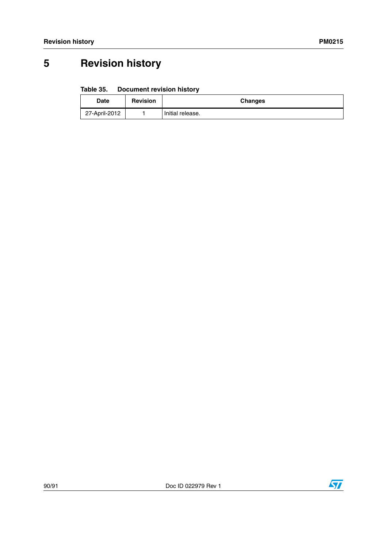# **5 Revision history**

#### Table 35. **Document revision history**

| <b>Date</b>   | <b>Revision</b> | <b>Changes</b>   |
|---------------|-----------------|------------------|
| 27-April-2012 |                 | Initial release. |